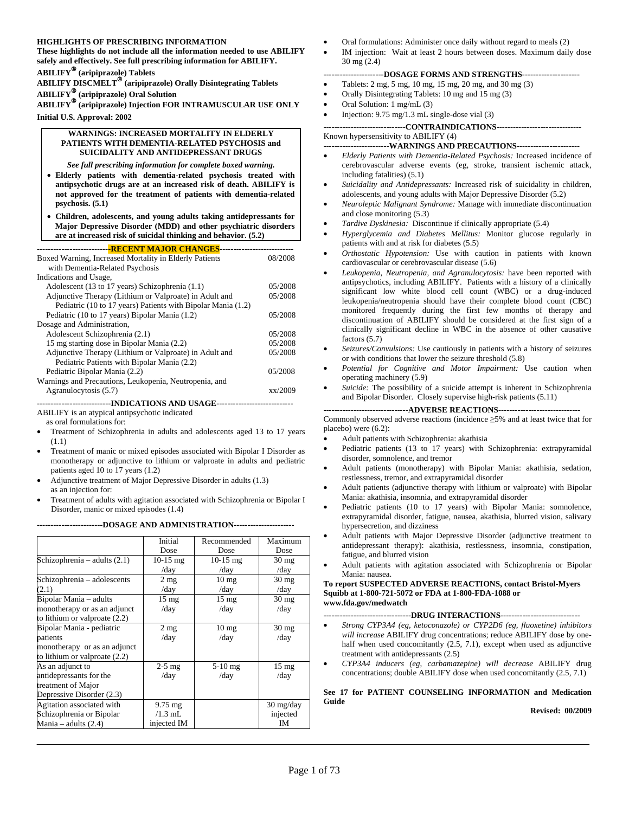#### **HIGHLIGHTS OF PRESCRIBING INFORMATION**

**These highlights do not include all the information needed to use ABILIFY safely and effectively. See full prescribing information for ABILIFY.** 

**ABILIFY**® **(aripiprazole) Tablets** 

**ABILIFY DISCMELT**® **(aripiprazole) Orally Disintegrating Tablets** 

**ABILIFY**® **(aripiprazole) Oral Solution ABILIFY**® **(aripiprazole) Injection FOR INTRAMUSCULAR USE ONLY** 

**Initial U.S. Approval: 2002** 

#### **WARNINGS: INCREASED MORTALITY IN ELDERLY PATIENTS WITH DEMENTIA-RELATED PSYCHOSIS and SUICIDALITY AND ANTIDEPRESSANT DRUGS**

*See full prescribing information for complete boxed warning.* 

- • **Elderly patients with dementia-related psychosis treated with antipsychotic drugs are at an increased risk of death. ABILIFY is not approved for the treatment of patients with dementia-related psychosis. (5.1)**
- Children, adolescents, and young adults taking antidepressants for **Major Depressive Disorder (MDD) and other psychiatric disorders are at increased risk of suicidal thinking and behavior. (5.2)**

Indications and Usage, **---------------------------RECENT MAJOR CHANGES---------------------------**  Boxed Warning, Increased Mortality in Elderly Patients with Dementia-Related Psychosis Adolescent (13 to 17 years) Schizophrenia (1.1) 05/2008 Adjunctive Therapy (Lithium or Valproate) in Adult and 05/2008 Pediatric (10 to 17 years) Patients with Bipolar Mania (1.2) Pediatric (10 to 17 years) Bipolar Mania (1.2) 05/2008 Dosage and Administration, Adolescent Schizophrenia (2.1) 05/2008 15 mg starting dose in Bipolar Mania (2.2) 05/2008 Adjunctive Therapy (Lithium or Valproate) in Adult and 05/2008 Pediatric Patients with Bipolar Mania (2.2)

#### Pediatric Bipolar Mania  $(2.2)$  05/2008 Warnings and Precautions, Leukopenia, Neutropenia, and Agranulocytosis (5.7) xx/2009

**---------------------------INDICATIONS AND USAGE----------------------------**  ABILIFY is an atypical antipsychotic indicated

as oral formulations for:

- Treatment of Schizophrenia in adults and adolescents aged 13 to 17 years (1.1)
- Treatment of manic or mixed episodes associated with Bipolar I Disorder as monotherapy or adjunctive to lithium or valproate in adults and pediatric patients aged 10 to 17 years (1.2)
- Adjunctive treatment of Major Depressive Disorder in adults (1.3)
- as an injection for:
- Treatment of adults with agitation associated with Schizophrenia or Bipolar I Disorder, manic or mixed episodes (1.4)

**------------------------DOSAGE AND ADMINISTRATION----------------------** 

|                                 | Initial              | Recommended     | Maximum                           |
|---------------------------------|----------------------|-----------------|-----------------------------------|
|                                 | Dose                 | Dose            | Dose                              |
| Schizophrenia – adults $(2.1)$  | $10-15$ mg           | $10-15$ mg      | 30 mg                             |
|                                 | /day                 | /day            | /day                              |
| Schizophrenia – adolescents     | $2 \text{ mg}$       | $10 \text{ mg}$ | $30 \text{ mg}$                   |
| (2.1)                           | /day                 | /day            | /day                              |
| Bipolar Mania - adults          | $15 \text{ mg}$      | $15 \text{ mg}$ | 30 mg                             |
| monotherapy or as an adjunct    | /day                 | /day            | /day                              |
| to lithium or valproate $(2.2)$ |                      |                 |                                   |
| Bipolar Mania - pediatric       | $2 \text{ mg}$       | $10 \text{ mg}$ | 30 mg                             |
| patients                        | /day                 | /day            | /day                              |
| monotherapy or as an adjunct    |                      |                 |                                   |
| to lithium or valproate $(2.2)$ |                      |                 |                                   |
| As an adjunct to                | $2-5$ mg             | $5-10$ mg       | $15 \text{ mg}$                   |
| antidepressants for the         | /day                 | /day            | /day                              |
| treatment of Major              |                      |                 |                                   |
| Depressive Disorder (2.3)       |                      |                 |                                   |
| Agitation associated with       | $9.75 \,\mathrm{mg}$ |                 | $30 \frac{\text{mg}}{\text{day}}$ |
| Schizophrenia or Bipolar        | $/1.3$ mL            |                 | injected                          |
| Mania – adults $(2.4)$          | injected IM          |                 | IM                                |

- Oral formulations: Administer once daily without regard to meals (2)
- IM injection: Wait at least 2 hours between doses. Maximum daily dose 30 mg (2.4)

#### **----------------------DOSAGE FORMS AND STRENGTHS---------------------**

- Tablets:  $2 \text{ mg}$ ,  $5 \text{ mg}$ ,  $10 \text{ mg}$ ,  $15 \text{ mg}$ ,  $20 \text{ mg}$ , and  $30 \text{ mg}$  (3)
- Orally Disintegrating Tablets: 10 mg and 15 mg (3)
- Oral Solution: 1 mg/mL (3)
- Injection:  $9.75 \text{ mg}/1.3 \text{ mL single-dose}$  vial  $(3)$

#### **------------------------------CONTRAINDICATIONS-------------------------------**

Known hypersensitivity to ABILIFY (4)

#### **------------------------WARNINGS AND PRECAUTIONS-----------------------**

- Elderly Patients with Dementia-Related Psychosis: Increased incidence of cerebrovascular adverse events (eg, stroke, transient ischemic attack, including fatalities) (5.1)
- Suicidality and Antidepressants: Increased risk of suicidality in children, adolescents, and young adults with Major Depressive Disorder (5.2)
- and close monitoring (5.3) • *Neuroleptic Malignant Syndrome:* Manage with immediate discontinuation
- *Tardive Dyskinesia:* Discontinue if clinically appropriate (5.4)
- patients with and at risk for diabetes (5.5) Hyperglycemia and Diabetes Mellitus: Monitor glucose regularly in
- Orthostatic Hypotension: Use with caution in patients with known cardiovascular or cerebrovascular disease (5.6)
- Leukopenia, Neutropenia, and Agranulocytosis: have been reported with antipsychotics, including ABILIFY. Patients with a history of a clinically significant low white blood cell count (WBC) or a drug-induced leukopenia/neutropenia should have their complete blood count (CBC) monitored frequently during the first few months of therapy and discontinuation of ABILIFY should be considered at the first sign of a clinically significant decline in WBC in the absence of other causative factors (5.7)
- or with conditions that lower the seizure threshold (5.8) Seizures/Convulsions: Use cautiously in patients with a history of seizures
- operating machinery (5.9) Potential for Cognitive and Motor Impairment: Use caution when
- and Bipolar Disorder. Closely supervise high-risk patients (5.11)<br>--------------------------------ADVERSE REACTIONS--------------------------------Suicide: The possibility of a suicide attempt is inherent in Schizophrenia

Commonly observed adverse reactions (incidence ≥5% and at least twice that for placebo) were (6.2):

- Adult patients with Schizophrenia: akathisia
- Pediatric patients (13 to 17 years) with Schizophrenia: extrapyramidal disorder, somnolence, and tremor
- Adult patients (monotherapy) with Bipolar Mania: akathisia, sedation, restlessness, tremor, and extrapyramidal disorder
- Adult patients (adjunctive therapy with lithium or valproate) with Bipolar Mania: akathisia, insomnia, and extrapyramidal disorder
- Pediatric patients (10 to 17 years) with Bipolar Mania: somnolence, extrapyramidal disorder, fatigue, nausea, akathisia, blurred vision, salivary hypersecretion, and dizziness
- Adult patients with Major Depressive Disorder (adjunctive treatment to antidepressant therapy): akathisia, restlessness, insomnia, constipation, fatigue, and blurred vision
- Adult patients with agitation associated with Schizophrenia or Bipolar Mania: nausea.

**To report SUSPECTED ADVERSE REACTIONS, contact Bristol-Myers Squibb at 1-800-721-5072 or FDA at 1-800-FDA-1088 or www.fda.gov/medwatch** 

**--------------------------------DRUG INTERACTIONS-----------------------------** 

- Strong CYP3A4 (eg, ketoconazole) or CYP2D6 (eg, fluoxetine) inhibitors *will increase* ABILIFY drug concentrations; reduce ABILIFY dose by onehalf when used concomitantly (2.5, 7.1), except when used as adjunctive treatment with antidepressants (2.5)
- • *CYP3A4 inducers (eg, carbamazepine) will decrease* ABILIFY drug concentrations; double ABILIFY dose when used concomitantly (2.5, 7.1)

**See 17 for PATIENT COUNSELING INFORMATION and Medication Guide** 

**Revised: 00/2009**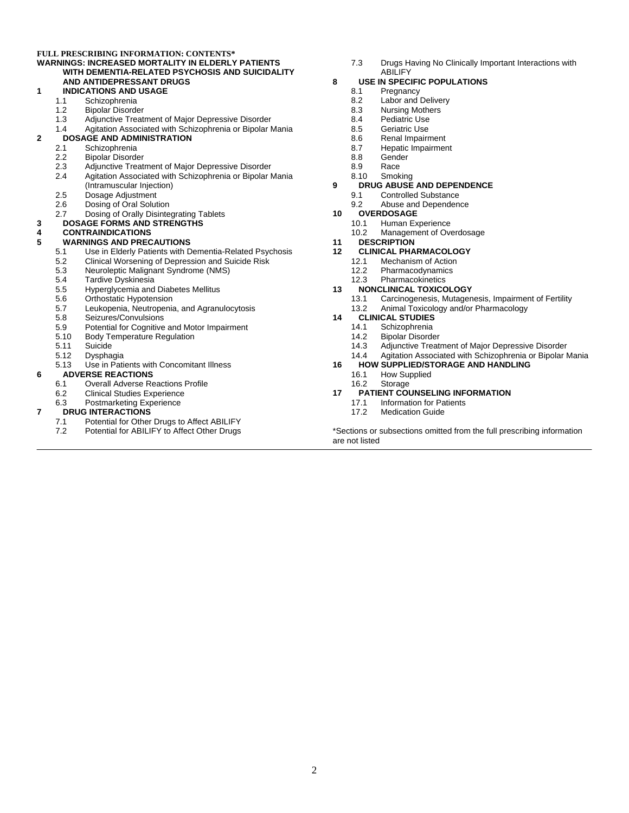#### **FULL PRESCRIBING INFORMATION: CONTENTS\* WARNINGS: INCREASED MORTALITY IN ELDERLY PATIENTS WITH DEMENTIA-RELATED PSYCHOSIS AND SUICIDALITY AND ANTIDEPRESSANT DRUGS**

## **1 INDICATIONS AND USAGE**<br>1.1 Schizophrenia

- Schizophrenia
- 1.2 Bipolar Disorder<br>1.3 Adjunctive Treat
- 1.3 Adjunctive Treatment of Major Depressive Disorder

#### 1.4 Agitation Associated with Schizophrenia or Bipolar Mania

## **2 DOSAGE AND ADMINISTRATION**<br>2.1 Schizophrenia

- 2.1 Schizophrenia<br>2.2 Bipolar Disorde
- 2.2 Bipolar Disorder
- 2.3 Adjunctive Treatment of Major Depressive Disorder 2.4 Agitation Associated with Schizophrenia or Bipolar Mania
- (Intramuscular Injection)
- 2.5 Dosage Adjustment<br>2.6 Dosing of Oral Solut
- 2.6 Dosing of Oral Solution
- 2.7 Dosing of Orally Disintegrating Tablets
- **3 DOSAGE FORMS AND STRENGTHS**

## **4 CONTRAINDICATIONS**

#### **5 WARNINGS AND PRECAUTIONS**

- 5.1 Use in Elderly Patients with Dementia-Related Psychosis<br>5.2 Clinical Worsening of Depression and Suicide Risk
- 5.2 Clinical Worsening of Depression and Suicide Risk<br>5.3 Neuroleptic Malignant Syndrome (NMS)
- 5.3 Neuroleptic Malignant Syndrome (NMS)<br>5.4 Tardive Dyskinesia
- Tardive Dyskinesia
- 5.5 Hyperglycemia and Diabetes Mellitus<br>5.6 Orthostatic Hypotension
- Orthostatic Hypotension
- 5.7 Leukopenia, Neutropenia, and Agranulocytosis<br>5.8 Seizures/Convulsions
- Seizures/Convulsions
- 5.9 Potential for Cognitive and Motor Impairment
- 5.10<br>5.11 Body Temperature Regulation
- Suicide
- 5.12<br>5.13 Dysphagia
- Use in Patients with Concomitant Illness
- **6 ADVERSE REACTIONS**<br>6.1 Overall Adverse Re
	- **Overall Adverse Reactions Profile**
	- 6.2 Clinical Studies Experience
	- 6.3 Postmarketing Experience
- **7 DRUG INTERACTIONS**<br>7.1 Potential for Other
	- Potential for Other Drugs to Affect ABILIFY
	- 7.2 Potential for ABILIFY to Affect Other Drugs

7.3 Drugs Having No Clinically Important Interactions with ABILIFY

#### **8 USE IN SPECIFIC POPULATIONS**

- $\frac{8.1}{8.2}$ Pregnancy
- 8.2 Labor and Delivery
- 8.3 Nursing Mothers<br>8.4 Pediatric Use
- 8.4 Pediatric Use<br>8.5 Geriatric Use
- 8.5 Geriatric Use<br>8.6 Renal Impairr
- Renal Impairment
- Hepatic Impairment Gender
- $\begin{array}{c} 8.7 \\ 8.8 \\ 8.9 \end{array}$ Race
- 8.10 Smoking
- **9 DRUG ABUSE AND DEPENDENCE**
- 
- 9.1 Controlled Substance<br>9.2 Abuse and Dependen 9.2 Abuse and Dependence
- **10 OVERDOSAGE** 
	-
	- 10.1 Human Experience<br>10.2 Management of Ove Management of Overdosage
- **11 DESCRIPTION**
- **12 CLINICAL PHARMACOLOGY**
- 12.1 Mechanism of Action<br>12.2 Pharmacodynamics
	- 12.2 Pharmacodynamics<br>12.3 Pharmacokinetics
	- **Pharmacokinetics**
- **13 NONCLINICAL TOXICOLOGY**<br>13.1 Carcinogenesis. Mutagen
	- Carcinogenesis, Mutagenesis, Impairment of Fertility 13.2 Animal Toxicology and/or Pharmacology
- **14 CLINICAL STUDIES** 
	- 14.1 Schizophrenia<br>14.2 Bipolar Disorde
	- 14.2 Bipolar Disorder
	- 14.3 Adjunctive Treatment of Major Depressive Disorder
	- 14.4 Agitation Associated with Schizophrenia or Bipolar Mania
- **16 HOW SUPPLIED/STORAGE AND HANDLING** 
	- $16.1$ How Supplied
	- 16.2 Storage
- **17 PATIENT COUNSELING INFORMATION** 
	- 17.1 Information for Patients<br>17.2 Medication Guide
	- **Medication Guide**

\*Sections or subsections omitted from the full prescribing information are not listed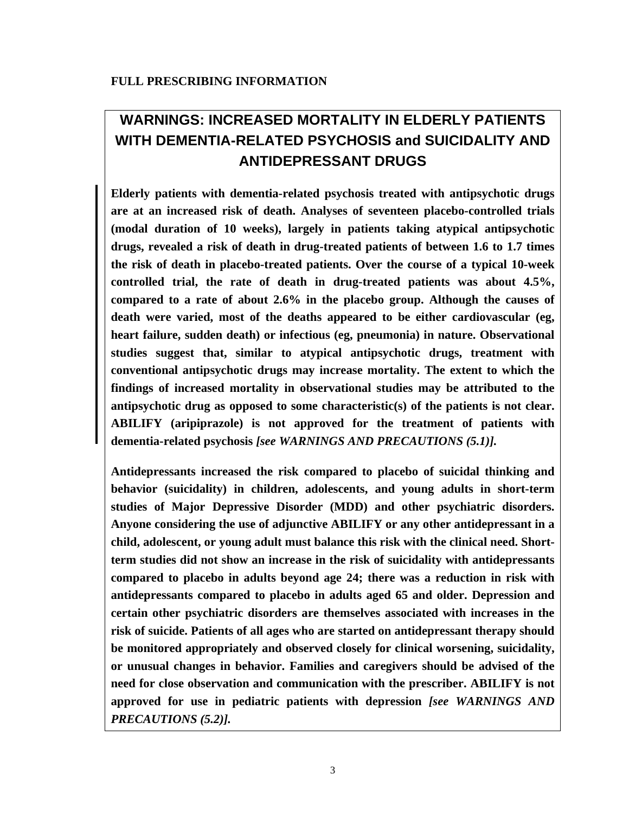## **WARNINGS: INCREASED MORTALITY IN ELDERLY PATIENTS WITH DEMENTIA-RELATED PSYCHOSIS and SUICIDALITY AND ANTIDEPRESSANT DRUGS**

**Elderly patients with dementia-related psychosis treated with antipsychotic drugs are at an increased risk of death. Analyses of seventeen placebo-controlled trials (modal duration of 10 weeks), largely in patients taking atypical antipsychotic drugs, revealed a risk of death in drug-treated patients of between 1.6 to 1.7 times the risk of death in placebo-treated patients. Over the course of a typical 10-week controlled trial, the rate of death in drug-treated patients was about 4.5%, compared to a rate of about 2.6% in the placebo group. Although the causes of death were varied, most of the deaths appeared to be either cardiovascular (eg, heart failure, sudden death) or infectious (eg, pneumonia) in nature. Observational studies suggest that, similar to atypical antipsychotic drugs, treatment with conventional antipsychotic drugs may increase mortality. The extent to which the findings of increased mortality in observational studies may be attributed to the antipsychotic drug as opposed to some characteristic(s) of the patients is not clear. ABILIFY (aripiprazole) is not approved for the treatment of patients with dementia-related psychosis** *[see WARNINGS AND PRECAUTIONS (5.1)].* 

**Antidepressants increased the risk compared to placebo of suicidal thinking and behavior (suicidality) in children, adolescents, and young adults in short-term studies of Major Depressive Disorder (MDD) and other psychiatric disorders. Anyone considering the use of adjunctive ABILIFY or any other antidepressant in a child, adolescent, or young adult must balance this risk with the clinical need. Shortterm studies did not show an increase in the risk of suicidality with antidepressants compared to placebo in adults beyond age 24; there was a reduction in risk with antidepressants compared to placebo in adults aged 65 and older. Depression and certain other psychiatric disorders are themselves associated with increases in the risk of suicide. Patients of all ages who are started on antidepressant therapy should be monitored appropriately and observed closely for clinical worsening, suicidality, or unusual changes in behavior. Families and caregivers should be advised of the need for close observation and communication with the prescriber. ABILIFY is not approved for use in pediatric patients with depression** *[see WARNINGS AND PRECAUTIONS (5.2)].*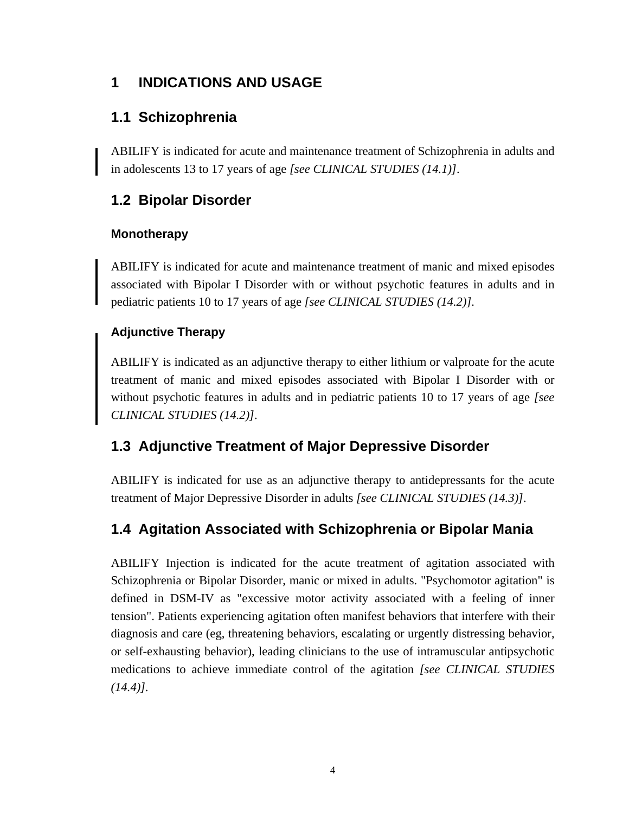## **1 INDICATIONS AND USAGE**

## **1.1 Schizophrenia**

ABILIFY is indicated for acute and maintenance treatment of Schizophrenia in adults and in adolescents 13 to 17 years of age *[see CLINICAL STUDIES (14.1)]*.

## **1.2 Bipolar Disorder**

### **Monotherapy**

ABILIFY is indicated for acute and maintenance treatment of manic and mixed episodes associated with Bipolar I Disorder with or without psychotic features in adults and in pediatric patients 10 to 17 years of age *[see CLINICAL STUDIES (14.2)].* 

### **Adjunctive Therapy**

ABILIFY is indicated as an adjunctive therapy to either lithium or valproate for the acute treatment of manic and mixed episodes associated with Bipolar I Disorder with or without psychotic features in adults and in pediatric patients 10 to 17 years of age *[see CLINICAL STUDIES (14.2)]*.

## **1.3 Adjunctive Treatment of Major Depressive Disorder**

ABILIFY is indicated for use as an adjunctive therapy to antidepressants for the acute treatment of Major Depressive Disorder in adults *[see CLINICAL STUDIES (14.3)]*.

## **1.4 Agitation Associated with Schizophrenia or Bipolar Mania**

ABILIFY Injection is indicated for the acute treatment of agitation associated with Schizophrenia or Bipolar Disorder, manic or mixed in adults. "Psychomotor agitation" is defined in DSM-IV as "excessive motor activity associated with a feeling of inner tension". Patients experiencing agitation often manifest behaviors that interfere with their diagnosis and care (eg, threatening behaviors, escalating or urgently distressing behavior, or self-exhausting behavior), leading clinicians to the use of intramuscular antipsychotic medications to achieve immediate control of the agitation *[see CLINICAL STUDIES (14.4)].*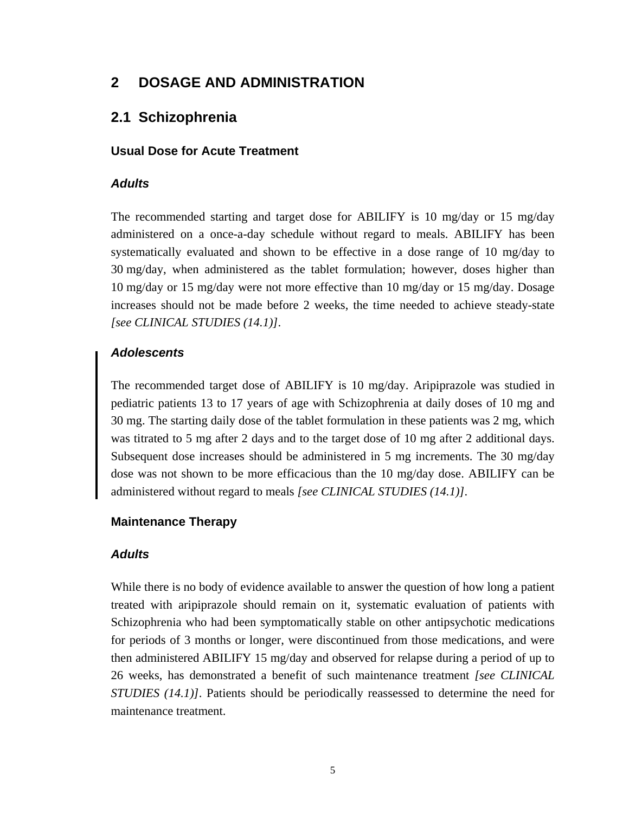### **2 DOSAGE AND ADMINISTRATION**

### **2.1 Schizophrenia**

### **Usual Dose for Acute Treatment**

### *Adults*

The recommended starting and target dose for ABILIFY is 10 mg/day or 15 mg/day administered on a once-a-day schedule without regard to meals. ABILIFY has been systematically evaluated and shown to be effective in a dose range of 10 mg/day to 30 mg/day, when administered as the tablet formulation; however, doses higher than 10 mg/day or 15 mg/day were not more effective than 10 mg/day or 15 mg/day. Dosage increases should not be made before 2 weeks, the time needed to achieve steady-state *[see CLINICAL STUDIES (14.1)]*.

### *Adolescents*

The recommended target dose of ABILIFY is 10 mg/day. Aripiprazole was studied in pediatric patients 13 to 17 years of age with Schizophrenia at daily doses of 10 mg and 30 mg. The starting daily dose of the tablet formulation in these patients was 2 mg, which was titrated to 5 mg after 2 days and to the target dose of 10 mg after 2 additional days. Subsequent dose increases should be administered in 5 mg increments. The 30 mg/day dose was not shown to be more efficacious than the 10 mg/day dose. ABILIFY can be administered without regard to meals *[see CLINICAL STUDIES (14.1)]*.

### **Maintenance Therapy**

### *Adults*

While there is no body of evidence available to answer the question of how long a patient treated with aripiprazole should remain on it, systematic evaluation of patients with Schizophrenia who had been symptomatically stable on other antipsychotic medications for periods of 3 months or longer, were discontinued from those medications, and were then administered ABILIFY 15 mg/day and observed for relapse during a period of up to 26 weeks, has demonstrated a benefit of such maintenance treatment *[see CLINICAL STUDIES (14.1)]*. Patients should be periodically reassessed to determine the need for maintenance treatment.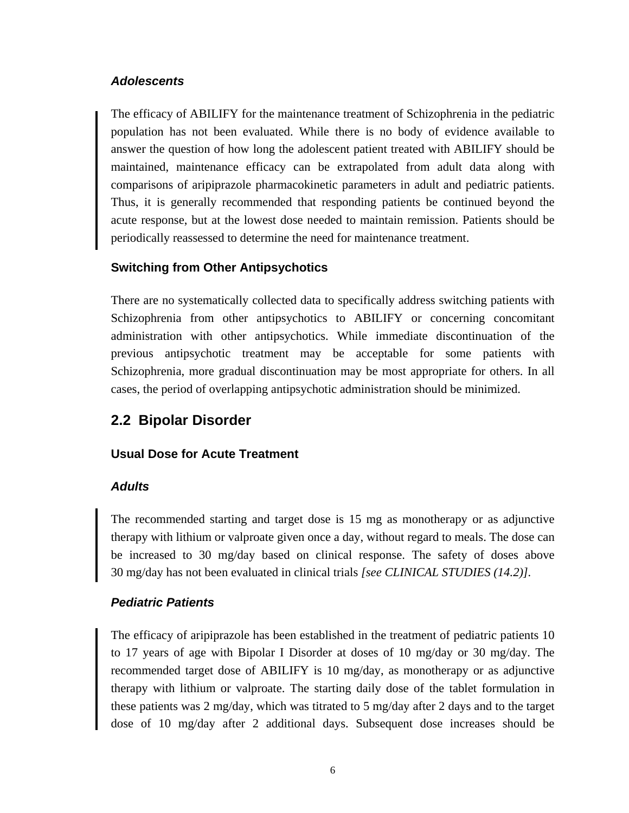### *Adolescents*

The efficacy of ABILIFY for the maintenance treatment of Schizophrenia in the pediatric population has not been evaluated. While there is no body of evidence available to answer the question of how long the adolescent patient treated with ABILIFY should be maintained, maintenance efficacy can be extrapolated from adult data along with comparisons of aripiprazole pharmacokinetic parameters in adult and pediatric patients. Thus, it is generally recommended that responding patients be continued beyond the acute response, but at the lowest dose needed to maintain remission. Patients should be periodically reassessed to determine the need for maintenance treatment.

### **Switching from Other Antipsychotics**

There are no systematically collected data to specifically address switching patients with Schizophrenia from other antipsychotics to ABILIFY or concerning concomitant administration with other antipsychotics. While immediate discontinuation of the previous antipsychotic treatment may be acceptable for some patients with Schizophrenia, more gradual discontinuation may be most appropriate for others. In all cases, the period of overlapping antipsychotic administration should be minimized.

### **2.2 Bipolar Disorder**

### **Usual Dose for Acute Treatment**

### *Adults*

The recommended starting and target dose is 15 mg as monotherapy or as adjunctive therapy with lithium or valproate given once a day, without regard to meals. The dose can be increased to 30 mg/day based on clinical response. The safety of doses above 30 mg/day has not been evaluated in clinical trials *[see CLINICAL STUDIES (14.2)].* 

### *Pediatric Patients*

The efficacy of aripiprazole has been established in the treatment of pediatric patients 10 to 17 years of age with Bipolar I Disorder at doses of 10 mg/day or 30 mg/day. The recommended target dose of ABILIFY is 10 mg/day, as monotherapy or as adjunctive therapy with lithium or valproate. The starting daily dose of the tablet formulation in these patients was 2 mg/day, which was titrated to 5 mg/day after 2 days and to the target dose of 10 mg/day after 2 additional days. Subsequent dose increases should be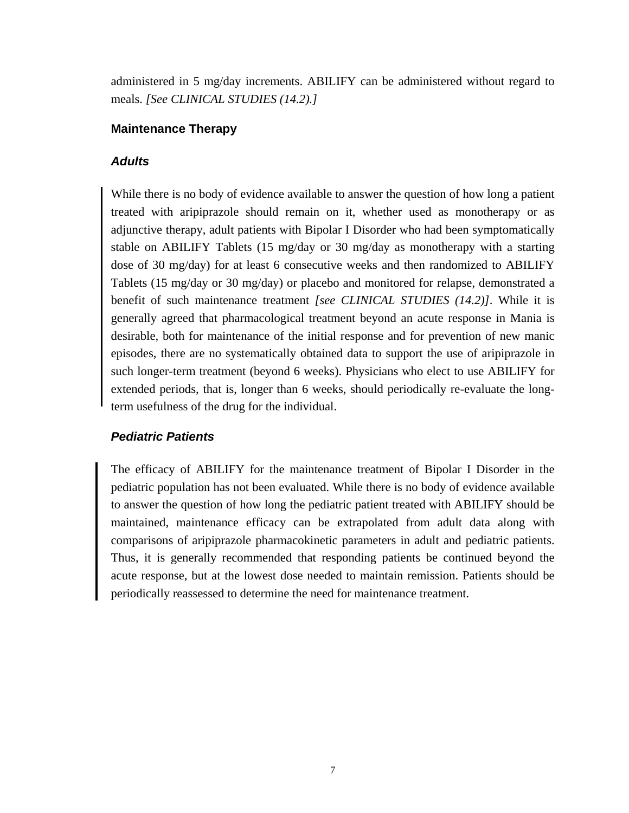administered in 5 mg/day increments. ABILIFY can be administered without regard to meals. *[See CLINICAL STUDIES (14.2).]* 

#### **Maintenance Therapy**

#### *Adults*

While there is no body of evidence available to answer the question of how long a patient treated with aripiprazole should remain on it, whether used as monotherapy or as adjunctive therapy, adult patients with Bipolar I Disorder who had been symptomatically stable on ABILIFY Tablets (15 mg/day or 30 mg/day as monotherapy with a starting dose of 30 mg/day) for at least 6 consecutive weeks and then randomized to ABILIFY Tablets (15 mg/day or 30 mg/day) or placebo and monitored for relapse, demonstrated a benefit of such maintenance treatment *[see CLINICAL STUDIES (14.2)]*. While it is generally agreed that pharmacological treatment beyond an acute response in Mania is desirable, both for maintenance of the initial response and for prevention of new manic episodes, there are no systematically obtained data to support the use of aripiprazole in such longer-term treatment (beyond 6 weeks). Physicians who elect to use ABILIFY for extended periods, that is, longer than 6 weeks, should periodically re-evaluate the longterm usefulness of the drug for the individual.

### *Pediatric Patients*

The efficacy of ABILIFY for the maintenance treatment of Bipolar I Disorder in the pediatric population has not been evaluated. While there is no body of evidence available to answer the question of how long the pediatric patient treated with ABILIFY should be maintained, maintenance efficacy can be extrapolated from adult data along with comparisons of aripiprazole pharmacokinetic parameters in adult and pediatric patients. Thus, it is generally recommended that responding patients be continued beyond the acute response, but at the lowest dose needed to maintain remission. Patients should be periodically reassessed to determine the need for maintenance treatment.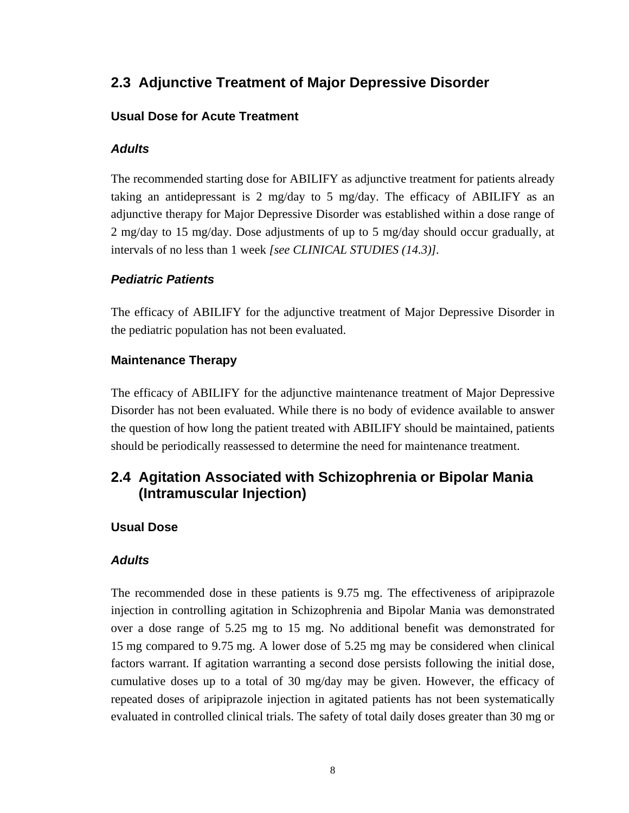### **2.3 Adjunctive Treatment of Major Depressive Disorder**

### **Usual Dose for Acute Treatment**

### *Adults*

The recommended starting dose for ABILIFY as adjunctive treatment for patients already taking an antidepressant is 2 mg/day to 5 mg/day. The efficacy of ABILIFY as an adjunctive therapy for Major Depressive Disorder was established within a dose range of 2 mg/day to 15 mg/day. Dose adjustments of up to 5 mg/day should occur gradually, at intervals of no less than 1 week *[see CLINICAL STUDIES (14.3)].* 

### *Pediatric Patients*

The efficacy of ABILIFY for the adjunctive treatment of Major Depressive Disorder in the pediatric population has not been evaluated.

### **Maintenance Therapy**

The efficacy of ABILIFY for the adjunctive maintenance treatment of Major Depressive Disorder has not been evaluated. While there is no body of evidence available to answer the question of how long the patient treated with ABILIFY should be maintained, patients should be periodically reassessed to determine the need for maintenance treatment.

### **2.4 Agitation Associated with Schizophrenia or Bipolar Mania (Intramuscular Injection)**

### **Usual Dose**

### *Adults*

The recommended dose in these patients is 9.75 mg. The effectiveness of aripiprazole injection in controlling agitation in Schizophrenia and Bipolar Mania was demonstrated over a dose range of 5.25 mg to 15 mg. No additional benefit was demonstrated for 15 mg compared to 9.75 mg. A lower dose of 5.25 mg may be considered when clinical factors warrant. If agitation warranting a second dose persists following the initial dose, cumulative doses up to a total of 30 mg/day may be given. However, the efficacy of repeated doses of aripiprazole injection in agitated patients has not been systematically evaluated in controlled clinical trials. The safety of total daily doses greater than 30 mg or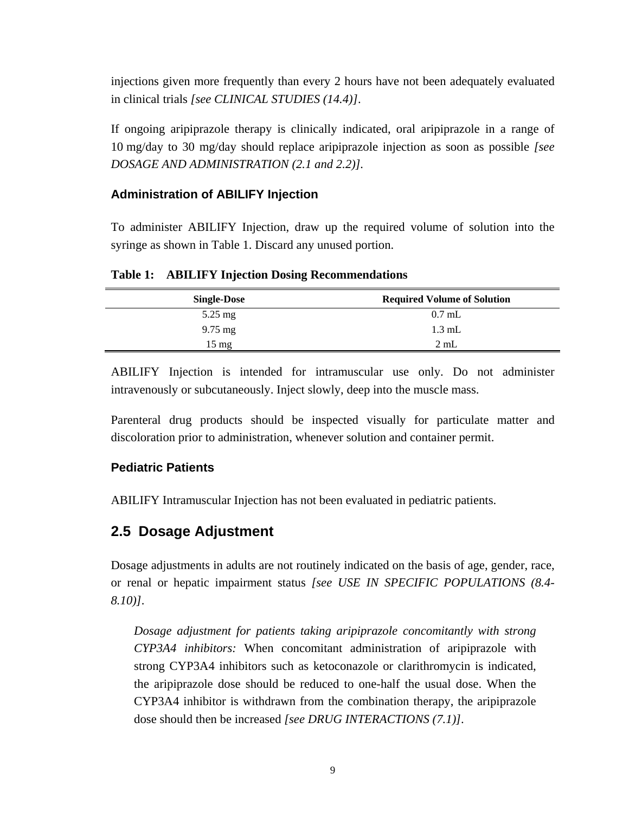injections given more frequently than every 2 hours have not been adequately evaluated in clinical trials *[see CLINICAL STUDIES (14.4)]*.

If ongoing aripiprazole therapy is clinically indicated, oral aripiprazole in a range of 10 mg/day to 30 mg/day should replace aripiprazole injection as soon as possible *[see DOSAGE AND ADMINISTRATION (2.1 and 2.2)].* 

### **Administration of ABILIFY Injection**

To administer ABILIFY Injection, draw up the required volume of solution into the syringe as shown in Table 1. Discard any unused portion.

| <b>Single-Dose</b> | <b>Required Volume of Solution</b> |
|--------------------|------------------------------------|
| $5.25 \text{ mg}$  | $0.7$ mL                           |
| $9.75 \text{ mg}$  | $1.3 \text{ mL}$                   |
| $15 \text{ mg}$    | $2 \text{ mL}$                     |

**Table 1: ABILIFY Injection Dosing Recommendations** 

ABILIFY Injection is intended for intramuscular use only. Do not administer intravenously or subcutaneously. Inject slowly, deep into the muscle mass.

Parenteral drug products should be inspected visually for particulate matter and discoloration prior to administration, whenever solution and container permit.

### **Pediatric Patients**

ABILIFY Intramuscular Injection has not been evaluated in pediatric patients.

### **2.5 Dosage Adjustment**

Dosage adjustments in adults are not routinely indicated on the basis of age, gender, race, or renal or hepatic impairment status *[see USE IN SPECIFIC POPULATIONS (8.4- 8.10)]*.

*Dosage adjustment for patients taking aripiprazole concomitantly with strong CYP3A4 inhibitors:* When concomitant administration of aripiprazole with strong CYP3A4 inhibitors such as ketoconazole or clarithromycin is indicated, the aripiprazole dose should be reduced to one-half the usual dose. When the CYP3A4 inhibitor is withdrawn from the combination therapy, the aripiprazole dose should then be increased *[see DRUG INTERACTIONS (7.1)]*.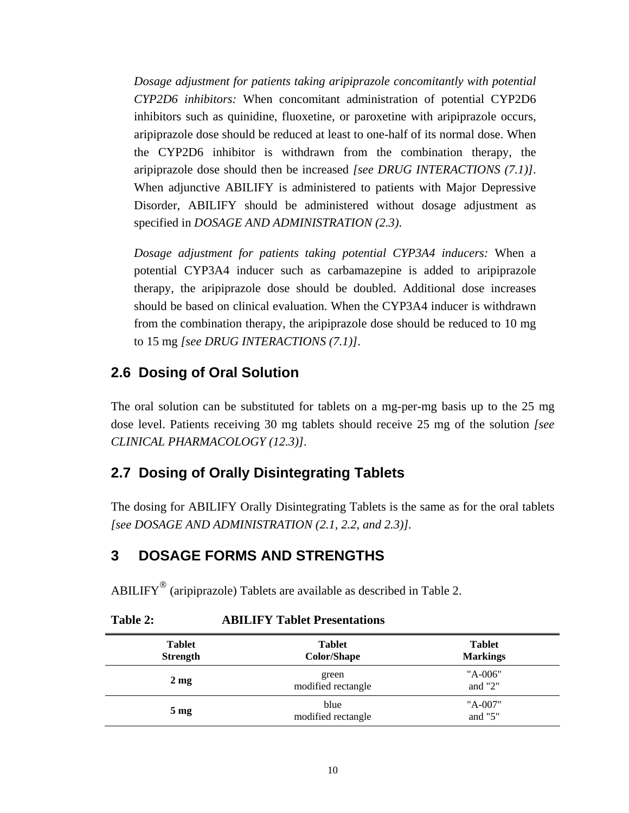*Dosage adjustment for patients taking aripiprazole concomitantly with potential CYP2D6 inhibitors:* When concomitant administration of potential CYP2D6 inhibitors such as quinidine, fluoxetine, or paroxetine with aripiprazole occurs, aripiprazole dose should be reduced at least to one-half of its normal dose. When the CYP2D6 inhibitor is withdrawn from the combination therapy, the aripiprazole dose should then be increased *[see DRUG INTERACTIONS (7.1)]*. When adjunctive ABILIFY is administered to patients with Major Depressive Disorder, ABILIFY should be administered without dosage adjustment as specified in *DOSAGE AND ADMINISTRATION (2.3)*.

*Dosage adjustment for patients taking potential CYP3A4 inducers:* When a potential CYP3A4 inducer such as carbamazepine is added to aripiprazole therapy, the aripiprazole dose should be doubled. Additional dose increases should be based on clinical evaluation. When the CYP3A4 inducer is withdrawn from the combination therapy, the aripiprazole dose should be reduced to 10 mg to 15 mg *[see DRUG INTERACTIONS (7.1)]*.

### **2.6 Dosing of Oral Solution**

The oral solution can be substituted for tablets on a mg-per-mg basis up to the 25 mg dose level. Patients receiving 30 mg tablets should receive 25 mg of the solution *[see CLINICAL PHARMACOLOGY (12.3)]*.

### **2.7 Dosing of Orally Disintegrating Tablets**

The dosing for ABILIFY Orally Disintegrating Tablets is the same as for the oral tablets *[see DOSAGE AND ADMINISTRATION (2.1, 2.2, and 2.3)].* 

#### **3 DOSAGE FORMS AND STRENGTHS**

ABILIFY<sup>®</sup> (aripiprazole) Tablets are available as described in Table 2.

| <b>Tablet</b><br><b>Strength</b> | <b>Tablet</b><br><b>Color/Shape</b> | <b>Tablet</b><br><b>Markings</b> |
|----------------------------------|-------------------------------------|----------------------------------|
| $2 \text{ mg}$                   | green<br>modified rectangle         | "A-006"<br>and $"2"$             |
| 5 <sub>mg</sub>                  | blue<br>modified rectangle          | "A-007"<br>and $"5"$             |

**Table 2: ABILIFY Tablet Presentations**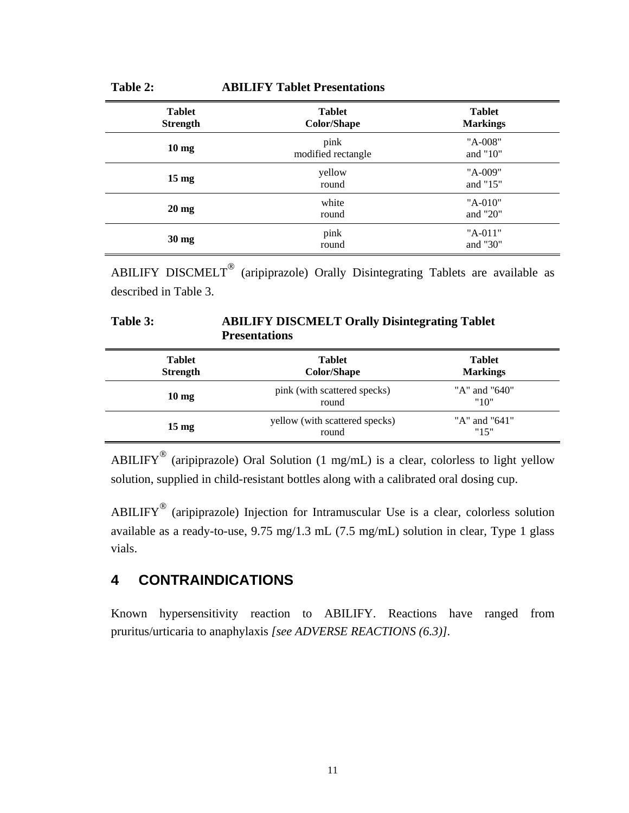| <b>Tablet</b><br><b>Strength</b> | <b>Tablet</b><br><b>Color/Shape</b> | <b>Tablet</b><br><b>Markings</b> |
|----------------------------------|-------------------------------------|----------------------------------|
| 10 <sub>mg</sub>                 | pink<br>modified rectangle          | "A-008"<br>and "10"              |
| $15 \text{ mg}$                  | yellow<br>round                     | "A-009"<br>and $"15"$            |
| $20 \text{ mg}$                  | white<br>round                      | "A-010"<br>and "20"              |
| $30 \text{ mg}$                  | pink<br>round                       | "A-011"<br>and "30"              |

**Table 2: ABILIFY Tablet Presentations** 

ABILIFY DISCMELT® (aripiprazole) Orally Disintegrating Tablets are available as described in Table 3.

| Table 3: | <b>ABILIFY DISCMELT Orally Disintegrating Tablet</b> |
|----------|------------------------------------------------------|
|          | <b>Presentations</b>                                 |

| <b>Tablet</b><br><b>Strength</b> | <b>Tablet</b><br>Color/Shape            | <b>Tablet</b><br><b>Markings</b> |
|----------------------------------|-----------------------------------------|----------------------------------|
| 10 <sub>mg</sub>                 | pink (with scattered specks)<br>round   | "A" and "640"<br>"10"            |
| $15 \text{ mg}$                  | yellow (with scattered specks)<br>round | "A" and "641"<br>"15"            |

ABILIFY<sup>®</sup> (aripiprazole) Oral Solution (1 mg/mL) is a clear, colorless to light yellow solution, supplied in child-resistant bottles along with a calibrated oral dosing cup.

ABILIFY® (aripiprazole) Injection for Intramuscular Use is a clear, colorless solution available as a ready-to-use, 9.75 mg/1.3 mL (7.5 mg/mL) solution in clear, Type 1 glass vials.

#### **4 CONTRAINDICATIONS**

Known hypersensitivity reaction to ABILIFY. Reactions have ranged from pruritus/urticaria to anaphylaxis *[see ADVERSE REACTIONS (6.3)].*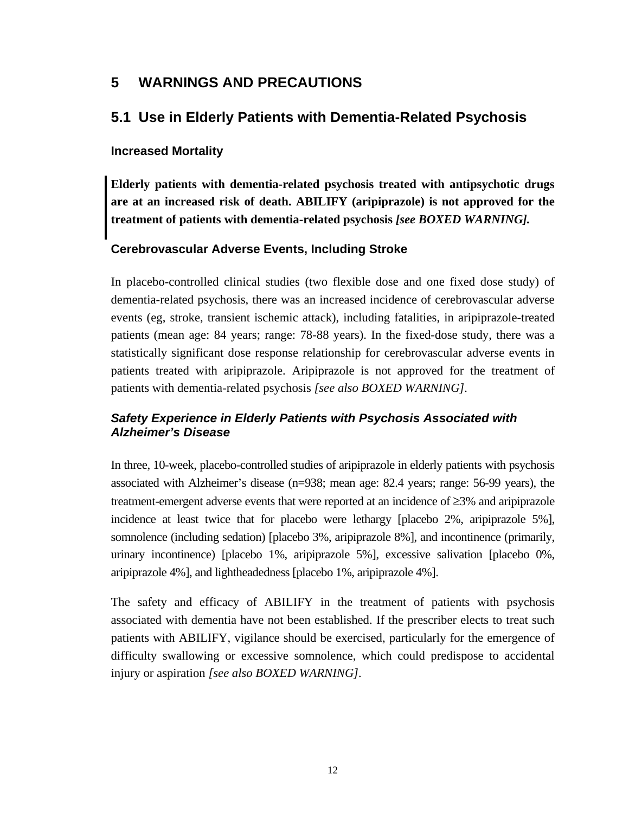### **5 WARNINGS AND PRECAUTIONS**

### **5.1 Use in Elderly Patients with Dementia-Related Psychosis**

### **Increased Mortality**

**Elderly patients with dementia-related psychosis treated with antipsychotic drugs are at an increased risk of death. ABILIFY (aripiprazole) is not approved for the treatment of patients with dementia-related psychosis** *[see BOXED WARNING].* 

### **Cerebrovascular Adverse Events, Including Stroke**

In placebo-controlled clinical studies (two flexible dose and one fixed dose study) of dementia-related psychosis, there was an increased incidence of cerebrovascular adverse events (eg, stroke, transient ischemic attack), including fatalities, in aripiprazole-treated patients (mean age: 84 years; range: 78-88 years). In the fixed-dose study, there was a statistically significant dose response relationship for cerebrovascular adverse events in patients treated with aripiprazole. Aripiprazole is not approved for the treatment of patients with dementia-related psychosis *[see also BOXED WARNING].* 

### *Safety Experience in Elderly Patients with Psychosis Associated with Alzheimer's Disease*

In three, 10-week, placebo-controlled studies of aripiprazole in elderly patients with psychosis associated with Alzheimer's disease (n=938; mean age: 82.4 years; range: 56-99 years), the treatment-emergent adverse events that were reported at an incidence of ≥3% and aripiprazole incidence at least twice that for placebo were lethargy [placebo 2%, aripiprazole 5%], somnolence (including sedation) [placebo 3%, aripiprazole 8%], and incontinence (primarily, urinary incontinence) [placebo 1%, aripiprazole 5%], excessive salivation [placebo 0%, aripiprazole 4%], and lightheadedness [placebo 1%, aripiprazole 4%].

The safety and efficacy of ABILIFY in the treatment of patients with psychosis associated with dementia have not been established. If the prescriber elects to treat such patients with ABILIFY, vigilance should be exercised, particularly for the emergence of difficulty swallowing or excessive somnolence, which could predispose to accidental injury or aspiration *[see also BOXED WARNING].*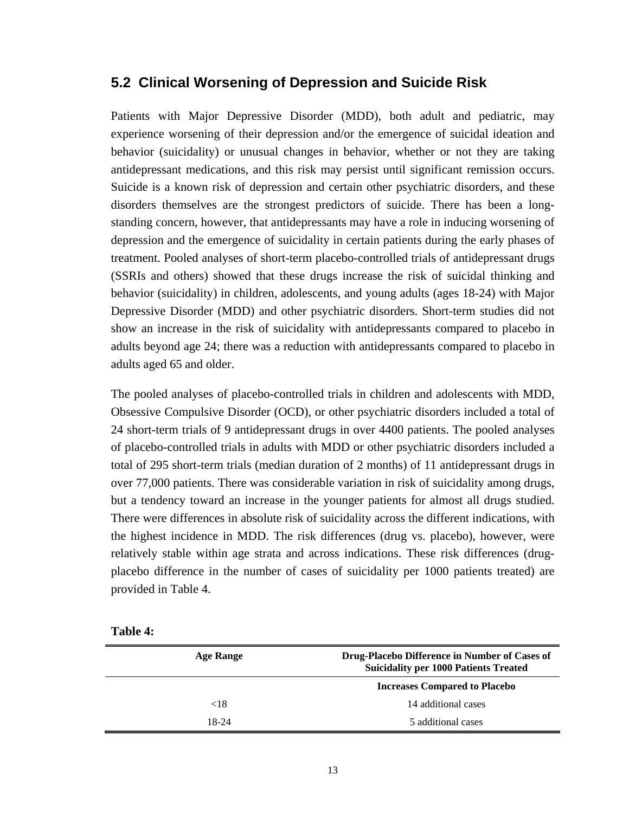### **5.2 Clinical Worsening of Depression and Suicide Risk**

Patients with Major Depressive Disorder (MDD), both adult and pediatric, may experience worsening of their depression and/or the emergence of suicidal ideation and behavior (suicidality) or unusual changes in behavior, whether or not they are taking antidepressant medications, and this risk may persist until significant remission occurs. Suicide is a known risk of depression and certain other psychiatric disorders, and these disorders themselves are the strongest predictors of suicide. There has been a longstanding concern, however, that antidepressants may have a role in inducing worsening of depression and the emergence of suicidality in certain patients during the early phases of treatment. Pooled analyses of short-term placebo-controlled trials of antidepressant drugs (SSRIs and others) showed that these drugs increase the risk of suicidal thinking and behavior (suicidality) in children, adolescents, and young adults (ages 18-24) with Major Depressive Disorder (MDD) and other psychiatric disorders. Short-term studies did not show an increase in the risk of suicidality with antidepressants compared to placebo in adults beyond age 24; there was a reduction with antidepressants compared to placebo in adults aged 65 and older.

The pooled analyses of placebo-controlled trials in children and adolescents with MDD, Obsessive Compulsive Disorder (OCD), or other psychiatric disorders included a total of 24 short-term trials of 9 antidepressant drugs in over 4400 patients. The pooled analyses of placebo-controlled trials in adults with MDD or other psychiatric disorders included a total of 295 short-term trials (median duration of 2 months) of 11 antidepressant drugs in over 77,000 patients. There was considerable variation in risk of suicidality among drugs, but a tendency toward an increase in the younger patients for almost all drugs studied. There were differences in absolute risk of suicidality across the different indications, with the highest incidence in MDD. The risk differences (drug vs. placebo), however, were relatively stable within age strata and across indications. These risk differences (drugplacebo difference in the number of cases of suicidality per 1000 patients treated) are provided in Table 4.

| Drug-Placebo Difference in Number of Cases of<br><b>Suicidality per 1000 Patients Treated</b> |  |
|-----------------------------------------------------------------------------------------------|--|
| <b>Increases Compared to Placebo</b>                                                          |  |
| 14 additional cases                                                                           |  |
| 5 additional cases                                                                            |  |
|                                                                                               |  |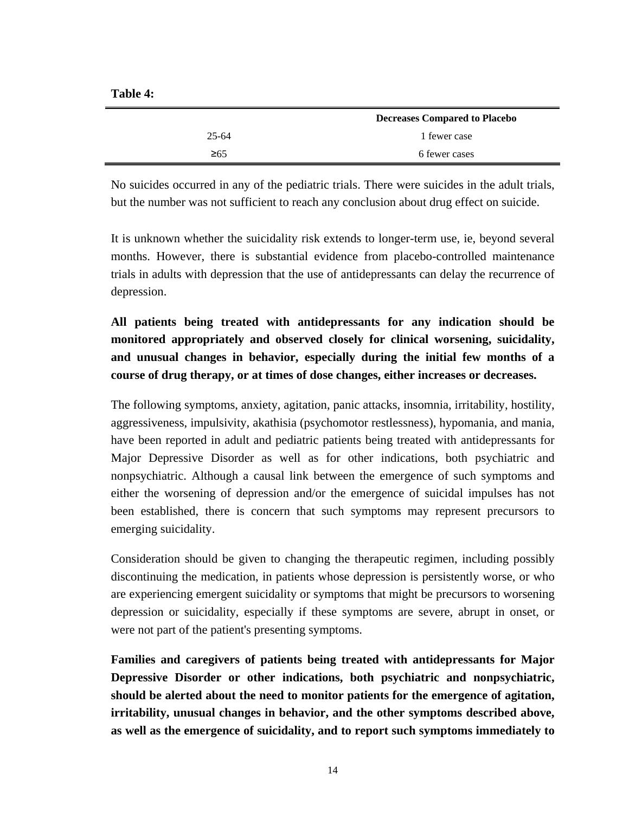#### **Table 4:**

|           | <b>Decreases Compared to Placebo</b> |  |
|-----------|--------------------------------------|--|
| $25 - 64$ | 1 fewer case                         |  |
| $\geq 65$ | 6 fewer cases                        |  |

No suicides occurred in any of the pediatric trials. There were suicides in the adult trials, but the number was not sufficient to reach any conclusion about drug effect on suicide.

It is unknown whether the suicidality risk extends to longer-term use, ie, beyond several months. However, there is substantial evidence from placebo-controlled maintenance trials in adults with depression that the use of antidepressants can delay the recurrence of depression.

### **All patients being treated with antidepressants for any indication should be monitored appropriately and observed closely for clinical worsening, suicidality, and unusual changes in behavior, especially during the initial few months of a course of drug therapy, or at times of dose changes, either increases or decreases.**

The following symptoms, anxiety, agitation, panic attacks, insomnia, irritability, hostility, aggressiveness, impulsivity, akathisia (psychomotor restlessness), hypomania, and mania, have been reported in adult and pediatric patients being treated with antidepressants for Major Depressive Disorder as well as for other indications, both psychiatric and nonpsychiatric. Although a causal link between the emergence of such symptoms and either the worsening of depression and/or the emergence of suicidal impulses has not been established, there is concern that such symptoms may represent precursors to emerging suicidality.

Consideration should be given to changing the therapeutic regimen, including possibly discontinuing the medication, in patients whose depression is persistently worse, or who are experiencing emergent suicidality or symptoms that might be precursors to worsening depression or suicidality, especially if these symptoms are severe, abrupt in onset, or were not part of the patient's presenting symptoms.

**Families and caregivers of patients being treated with antidepressants for Major Depressive Disorder or other indications, both psychiatric and nonpsychiatric, should be alerted about the need to monitor patients for the emergence of agitation, irritability, unusual changes in behavior, and the other symptoms described above, as well as the emergence of suicidality, and to report such symptoms immediately to**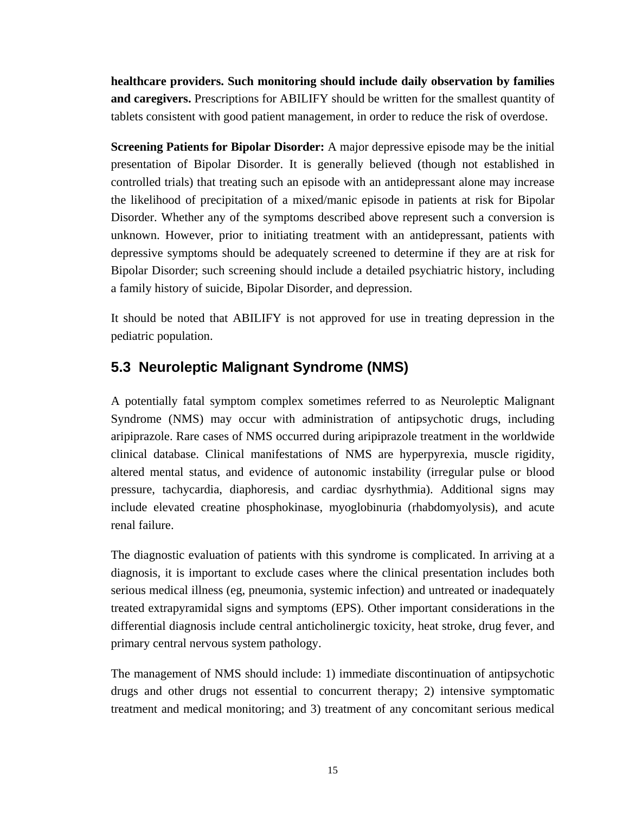**healthcare providers. Such monitoring should include daily observation by families and caregivers.** Prescriptions for ABILIFY should be written for the smallest quantity of tablets consistent with good patient management, in order to reduce the risk of overdose.

**Screening Patients for Bipolar Disorder:** A major depressive episode may be the initial presentation of Bipolar Disorder. It is generally believed (though not established in controlled trials) that treating such an episode with an antidepressant alone may increase the likelihood of precipitation of a mixed/manic episode in patients at risk for Bipolar Disorder. Whether any of the symptoms described above represent such a conversion is unknown. However, prior to initiating treatment with an antidepressant, patients with depressive symptoms should be adequately screened to determine if they are at risk for Bipolar Disorder; such screening should include a detailed psychiatric history, including a family history of suicide, Bipolar Disorder, and depression.

It should be noted that ABILIFY is not approved for use in treating depression in the pediatric population.

### **5.3 Neuroleptic Malignant Syndrome (NMS)**

A potentially fatal symptom complex sometimes referred to as Neuroleptic Malignant Syndrome (NMS) may occur with administration of antipsychotic drugs, including aripiprazole. Rare cases of NMS occurred during aripiprazole treatment in the worldwide clinical database. Clinical manifestations of NMS are hyperpyrexia, muscle rigidity, altered mental status, and evidence of autonomic instability (irregular pulse or blood pressure, tachycardia, diaphoresis, and cardiac dysrhythmia). Additional signs may include elevated creatine phosphokinase, myoglobinuria (rhabdomyolysis), and acute renal failure.

The diagnostic evaluation of patients with this syndrome is complicated. In arriving at a diagnosis, it is important to exclude cases where the clinical presentation includes both serious medical illness (eg, pneumonia, systemic infection) and untreated or inadequately treated extrapyramidal signs and symptoms (EPS). Other important considerations in the differential diagnosis include central anticholinergic toxicity, heat stroke, drug fever, and primary central nervous system pathology.

The management of NMS should include: 1) immediate discontinuation of antipsychotic drugs and other drugs not essential to concurrent therapy; 2) intensive symptomatic treatment and medical monitoring; and 3) treatment of any concomitant serious medical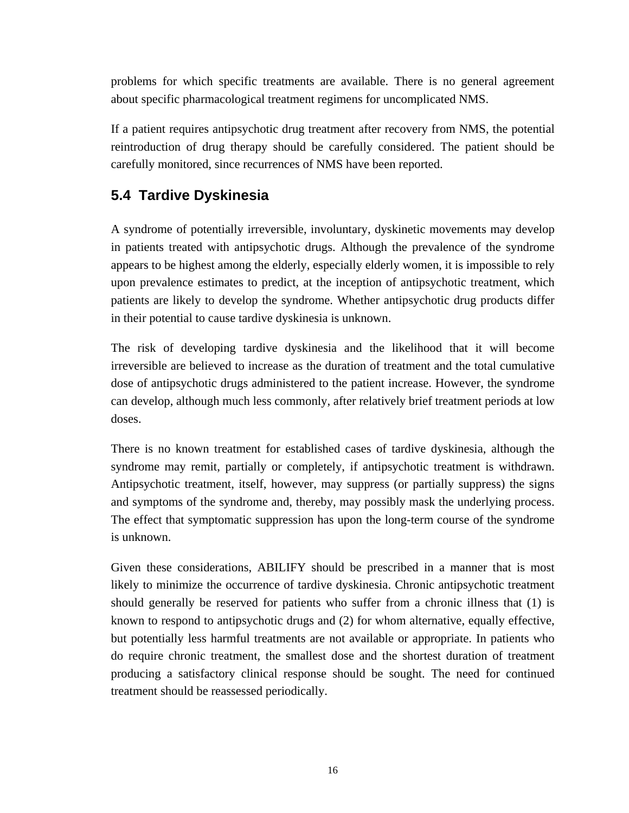problems for which specific treatments are available. There is no general agreement about specific pharmacological treatment regimens for uncomplicated NMS.

If a patient requires antipsychotic drug treatment after recovery from NMS, the potential reintroduction of drug therapy should be carefully considered. The patient should be carefully monitored, since recurrences of NMS have been reported.

### **5.4 Tardive Dyskinesia**

A syndrome of potentially irreversible, involuntary, dyskinetic movements may develop in patients treated with antipsychotic drugs. Although the prevalence of the syndrome appears to be highest among the elderly, especially elderly women, it is impossible to rely upon prevalence estimates to predict, at the inception of antipsychotic treatment, which patients are likely to develop the syndrome. Whether antipsychotic drug products differ in their potential to cause tardive dyskinesia is unknown.

The risk of developing tardive dyskinesia and the likelihood that it will become irreversible are believed to increase as the duration of treatment and the total cumulative dose of antipsychotic drugs administered to the patient increase. However, the syndrome can develop, although much less commonly, after relatively brief treatment periods at low doses.

There is no known treatment for established cases of tardive dyskinesia, although the syndrome may remit, partially or completely, if antipsychotic treatment is withdrawn. Antipsychotic treatment, itself, however, may suppress (or partially suppress) the signs and symptoms of the syndrome and, thereby, may possibly mask the underlying process. The effect that symptomatic suppression has upon the long-term course of the syndrome is unknown.

Given these considerations, ABILIFY should be prescribed in a manner that is most likely to minimize the occurrence of tardive dyskinesia. Chronic antipsychotic treatment should generally be reserved for patients who suffer from a chronic illness that (1) is known to respond to antipsychotic drugs and (2) for whom alternative, equally effective, but potentially less harmful treatments are not available or appropriate. In patients who do require chronic treatment, the smallest dose and the shortest duration of treatment producing a satisfactory clinical response should be sought. The need for continued treatment should be reassessed periodically.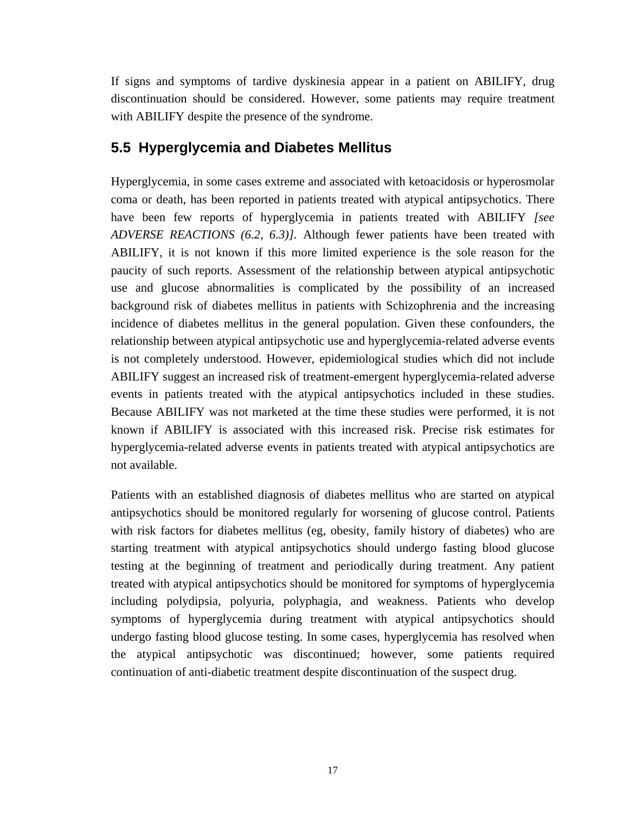If signs and symptoms of tardive dyskinesia appear in a patient on ABILIFY, drug discontinuation should be considered. However, some patients may require treatment with ABILIFY despite the presence of the syndrome.

### **5.5 Hyperglycemia and Diabetes Mellitus**

Hyperglycemia, in some cases extreme and associated with ketoacidosis or hyperosmolar coma or death, has been reported in patients treated with atypical antipsychotics. There have been few reports of hyperglycemia in patients treated with ABILIFY *[see ADVERSE REACTIONS (6.2, 6.3)].* Although fewer patients have been treated with ABILIFY, it is not known if this more limited experience is the sole reason for the paucity of such reports. Assessment of the relationship between atypical antipsychotic use and glucose abnormalities is complicated by the possibility of an increased background risk of diabetes mellitus in patients with Schizophrenia and the increasing incidence of diabetes mellitus in the general population. Given these confounders, the relationship between atypical antipsychotic use and hyperglycemia-related adverse events is not completely understood. However, epidemiological studies which did not include ABILIFY suggest an increased risk of treatment-emergent hyperglycemia-related adverse events in patients treated with the atypical antipsychotics included in these studies. Because ABILIFY was not marketed at the time these studies were performed, it is not known if ABILIFY is associated with this increased risk. Precise risk estimates for hyperglycemia-related adverse events in patients treated with atypical antipsychotics are not available.

Patients with an established diagnosis of diabetes mellitus who are started on atypical antipsychotics should be monitored regularly for worsening of glucose control. Patients with risk factors for diabetes mellitus (eg, obesity, family history of diabetes) who are starting treatment with atypical antipsychotics should undergo fasting blood glucose testing at the beginning of treatment and periodically during treatment. Any patient treated with atypical antipsychotics should be monitored for symptoms of hyperglycemia including polydipsia, polyuria, polyphagia, and weakness. Patients who develop symptoms of hyperglycemia during treatment with atypical antipsychotics should undergo fasting blood glucose testing. In some cases, hyperglycemia has resolved when the atypical antipsychotic was discontinued; however, some patients required continuation of anti-diabetic treatment despite discontinuation of the suspect drug.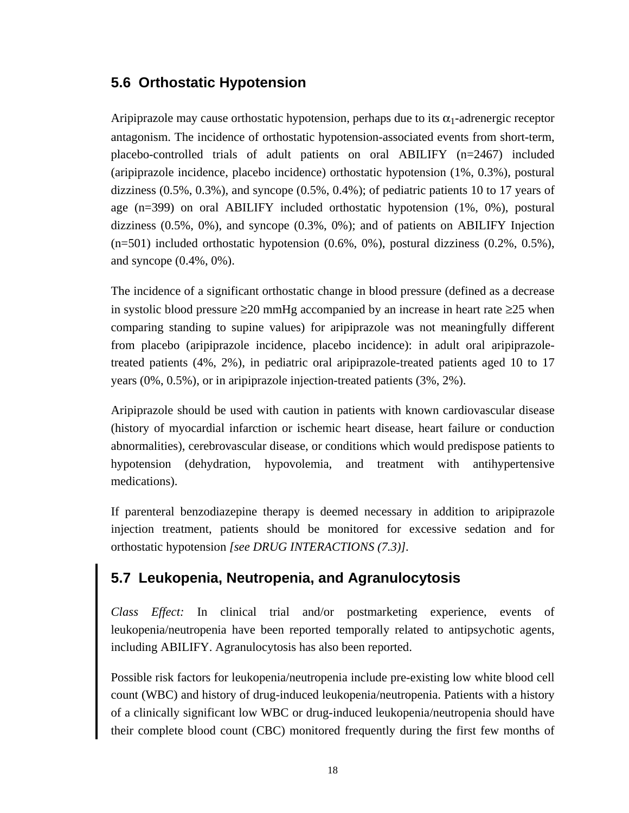### **5.6 Orthostatic Hypotension**

Aripiprazole may cause orthostatic hypotension, perhaps due to its  $\alpha_1$ -adrenergic receptor antagonism. The incidence of orthostatic hypotension-associated events from short-term, placebo-controlled trials of adult patients on oral ABILIFY (n=2467) included (aripiprazole incidence, placebo incidence) orthostatic hypotension (1%, 0.3%), postural dizziness  $(0.5\%, 0.3\%)$ , and syncope  $(0.5\%, 0.4\%)$ ; of pediatric patients 10 to 17 years of age (n=399) on oral ABILIFY included orthostatic hypotension (1%, 0%), postural dizziness (0.5%, 0%), and syncope (0.3%, 0%); and of patients on ABILIFY Injection  $(n=501)$  included orthostatic hypotension  $(0.6\%, 0\%)$ , postural dizziness  $(0.2\%, 0.5\%)$ , and syncope (0.4%, 0%).

The incidence of a significant orthostatic change in blood pressure (defined as a decrease in systolic blood pressure ≥20 mmHg accompanied by an increase in heart rate ≥25 when comparing standing to supine values) for aripiprazole was not meaningfully different from placebo (aripiprazole incidence, placebo incidence): in adult oral aripiprazoletreated patients (4%, 2%), in pediatric oral aripiprazole-treated patients aged 10 to 17 years (0%, 0.5%), or in aripiprazole injection-treated patients (3%, 2%).

Aripiprazole should be used with caution in patients with known cardiovascular disease (history of myocardial infarction or ischemic heart disease, heart failure or conduction abnormalities), cerebrovascular disease, or conditions which would predispose patients to hypotension (dehydration, hypovolemia, and treatment with antihypertensive medications).

If parenteral benzodiazepine therapy is deemed necessary in addition to aripiprazole injection treatment, patients should be monitored for excessive sedation and for orthostatic hypotension *[see DRUG INTERACTIONS (7.3)].* 

### **5.7 Leukopenia, Neutropenia, and Agranulocytosis**

*Class Effect:* In clinical trial and/or postmarketing experience, events of leukopenia/neutropenia have been reported temporally related to antipsychotic agents, including ABILIFY. Agranulocytosis has also been reported.

Possible risk factors for leukopenia/neutropenia include pre-existing low white blood cell count (WBC) and history of drug-induced leukopenia/neutropenia. Patients with a history of a clinically significant low WBC or drug-induced leukopenia/neutropenia should have their complete blood count (CBC) monitored frequently during the first few months of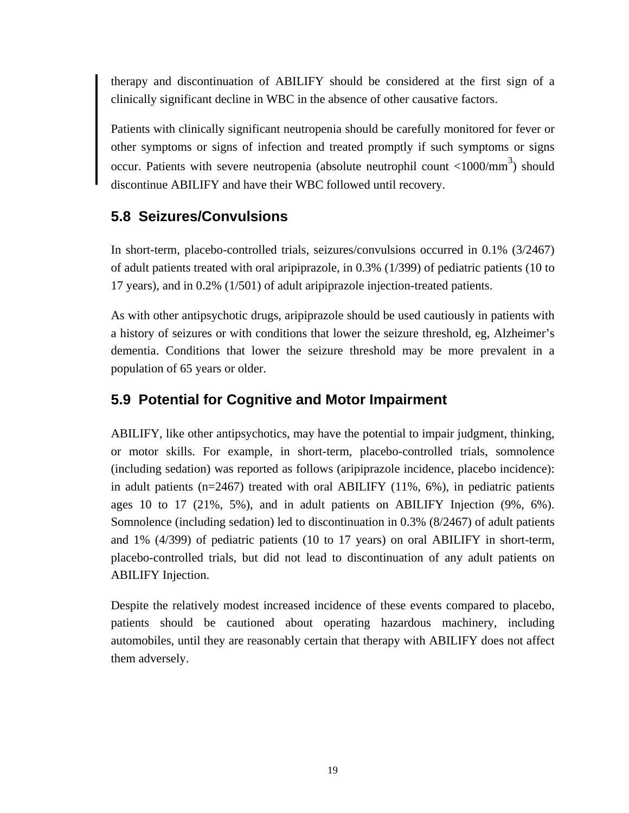therapy and discontinuation of ABILIFY should be considered at the first sign of a clinically significant decline in WBC in the absence of other causative factors.

Patients with clinically significant neutropenia should be carefully monitored for fever or other symptoms or signs of infection and treated promptly if such symptoms or signs occur. Patients with severe neutropenia (absolute neutrophil count  $\langle 1000/\text{mm}^3 \rangle$  should discontinue ABILIFY and have their WBC followed until recovery.

## **5.8 Seizures/Convulsions**

In short-term, placebo-controlled trials, seizures/convulsions occurred in 0.1% (3/2467) of adult patients treated with oral aripiprazole, in 0.3% (1/399) of pediatric patients (10 to 17 years), and in 0.2% (1/501) of adult aripiprazole injection-treated patients.

As with other antipsychotic drugs, aripiprazole should be used cautiously in patients with a history of seizures or with conditions that lower the seizure threshold, eg, Alzheimer's dementia. Conditions that lower the seizure threshold may be more prevalent in a population of 65 years or older.

### **5.9 Potential for Cognitive and Motor Impairment**

ABILIFY, like other antipsychotics, may have the potential to impair judgment, thinking, or motor skills. For example, in short-term, placebo-controlled trials, somnolence (including sedation) was reported as follows (aripiprazole incidence, placebo incidence): in adult patients (n=2467) treated with oral ABILIFY (11%, 6%), in pediatric patients ages 10 to 17 (21%, 5%), and in adult patients on ABILIFY Injection (9%, 6%). Somnolence (including sedation) led to discontinuation in 0.3% (8/2467) of adult patients and 1% (4/399) of pediatric patients (10 to 17 years) on oral ABILIFY in short-term, placebo-controlled trials, but did not lead to discontinuation of any adult patients on ABILIFY Injection.

Despite the relatively modest increased incidence of these events compared to placebo, patients should be cautioned about operating hazardous machinery, including automobiles, until they are reasonably certain that therapy with ABILIFY does not affect them adversely.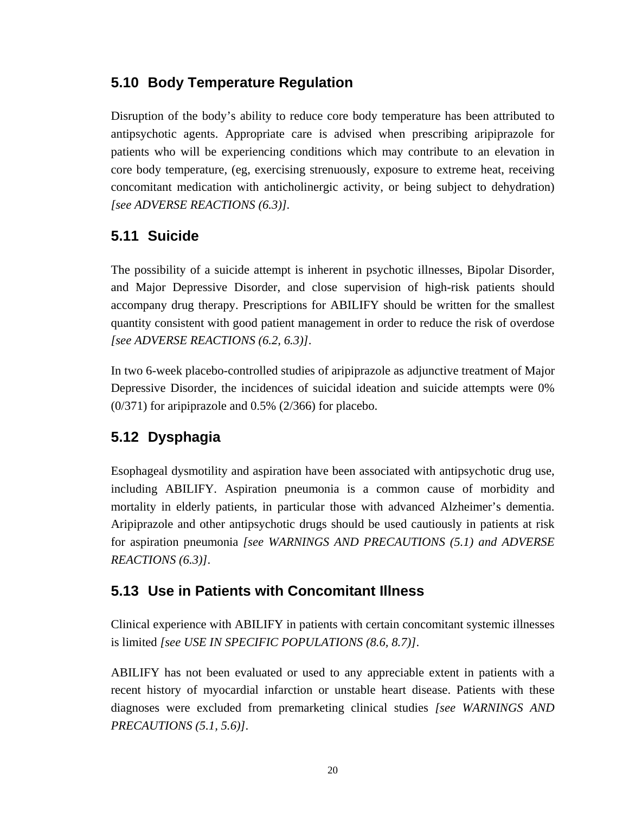### **5.10 Body Temperature Regulation**

Disruption of the body's ability to reduce core body temperature has been attributed to antipsychotic agents. Appropriate care is advised when prescribing aripiprazole for patients who will be experiencing conditions which may contribute to an elevation in core body temperature, (eg, exercising strenuously, exposure to extreme heat, receiving concomitant medication with anticholinergic activity, or being subject to dehydration) *[see ADVERSE REACTIONS (6.3)].* 

## **5.11 Suicide**

The possibility of a suicide attempt is inherent in psychotic illnesses, Bipolar Disorder, and Major Depressive Disorder, and close supervision of high-risk patients should accompany drug therapy. Prescriptions for ABILIFY should be written for the smallest quantity consistent with good patient management in order to reduce the risk of overdose *[see ADVERSE REACTIONS (6.2, 6.3)]*.

In two 6-week placebo-controlled studies of aripiprazole as adjunctive treatment of Major Depressive Disorder, the incidences of suicidal ideation and suicide attempts were 0% (0/371) for aripiprazole and 0.5% (2/366) for placebo.

## **5.12 Dysphagia**

Esophageal dysmotility and aspiration have been associated with antipsychotic drug use, including ABILIFY. Aspiration pneumonia is a common cause of morbidity and mortality in elderly patients, in particular those with advanced Alzheimer's dementia. Aripiprazole and other antipsychotic drugs should be used cautiously in patients at risk for aspiration pneumonia *[see WARNINGS AND PRECAUTIONS (5.1) and ADVERSE REACTIONS (6.3)]*.

## **5.13 Use in Patients with Concomitant Illness**

Clinical experience with ABILIFY in patients with certain concomitant systemic illnesses is limited *[see USE IN SPECIFIC POPULATIONS (8.6, 8.7)]*.

ABILIFY has not been evaluated or used to any appreciable extent in patients with a recent history of myocardial infarction or unstable heart disease. Patients with these diagnoses were excluded from premarketing clinical studies *[see WARNINGS AND PRECAUTIONS (5.1, 5.6)]*.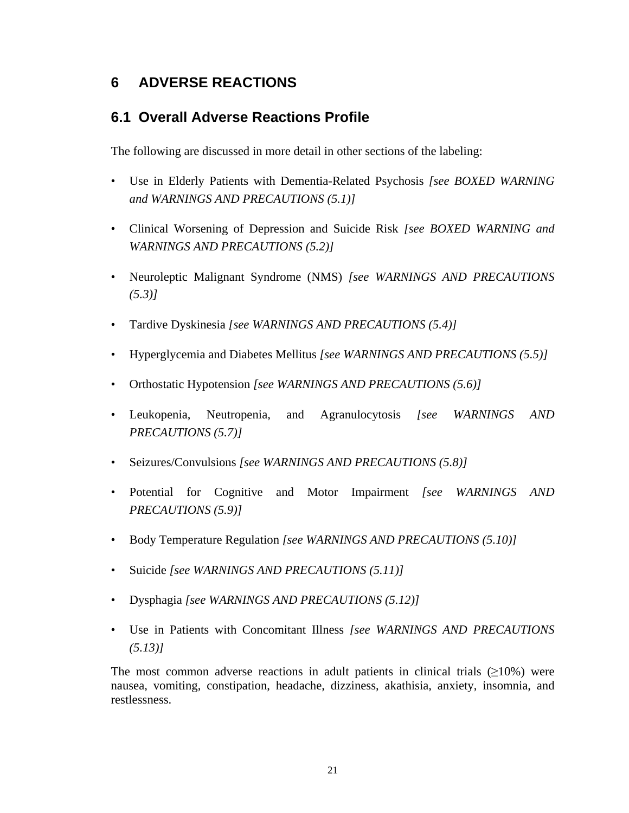### **6 ADVERSE REACTIONS**

### **6.1 Overall Adverse Reactions Profile**

The following are discussed in more detail in other sections of the labeling:

- Use in Elderly Patients with Dementia-Related Psychosis *[see BOXED WARNING and WARNINGS AND PRECAUTIONS (5.1)]*
- Clinical Worsening of Depression and Suicide Risk *[see BOXED WARNING and WARNINGS AND PRECAUTIONS (5.2)]*
- Neuroleptic Malignant Syndrome (NMS) *[see WARNINGS AND PRECAUTIONS (5.3)]*
- Tardive Dyskinesia *[see WARNINGS AND PRECAUTIONS (5.4)]*
- Hyperglycemia and Diabetes Mellitus *[see WARNINGS AND PRECAUTIONS (5.5)]*
- Orthostatic Hypotension *[see WARNINGS AND PRECAUTIONS (5.6)]*
- Leukopenia, Neutropenia, and Agranulocytosis *[see WARNINGS AND PRECAUTIONS (5.7)]*
- Seizures/Convulsions *[see WARNINGS AND PRECAUTIONS (5.8)]*
- *PRECAUTIONS (5.9)]* • Potential for Cognitive and Motor Impairment *[see WARNINGS AND*
- Body Temperature Regulation *[see WARNINGS AND PRECAUTIONS (5.10)]*
- Suicide *[see WARNINGS AND PRECAUTIONS (5.11)]*
- Dysphagia *[see WARNINGS AND PRECAUTIONS (5.12)]*
- Use in Patients with Concomitant Illness *[see WARNINGS AND PRECAUTIONS (5.13)]*

The most common adverse reactions in adult patients in clinical trials  $(\geq 10\%)$  were nausea, vomiting, constipation, headache, dizziness, akathisia, anxiety, insomnia, and restlessness.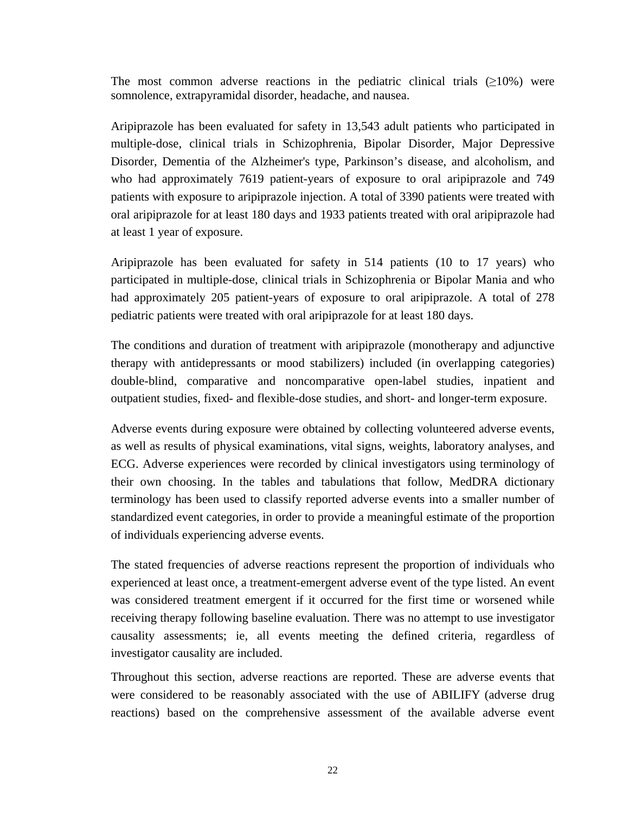The most common adverse reactions in the pediatric clinical trials  $(\geq 10\%)$  were somnolence, extrapyramidal disorder, headache, and nausea.

Aripiprazole has been evaluated for safety in 13,543 adult patients who participated in multiple-dose, clinical trials in Schizophrenia, Bipolar Disorder, Major Depressive Disorder, Dementia of the Alzheimer's type, Parkinson's disease, and alcoholism, and who had approximately 7619 patient-years of exposure to oral aripiprazole and 749 patients with exposure to aripiprazole injection. A total of 3390 patients were treated with oral aripiprazole for at least 180 days and 1933 patients treated with oral aripiprazole had at least 1 year of exposure.

Aripiprazole has been evaluated for safety in 514 patients (10 to 17 years) who participated in multiple-dose, clinical trials in Schizophrenia or Bipolar Mania and who had approximately 205 patient-years of exposure to oral aripiprazole. A total of 278 pediatric patients were treated with oral aripiprazole for at least 180 days.

The conditions and duration of treatment with aripiprazole (monotherapy and adjunctive therapy with antidepressants or mood stabilizers) included (in overlapping categories) double-blind, comparative and noncomparative open-label studies, inpatient and outpatient studies, fixed- and flexible-dose studies, and short- and longer-term exposure.

Adverse events during exposure were obtained by collecting volunteered adverse events, as well as results of physical examinations, vital signs, weights, laboratory analyses, and ECG. Adverse experiences were recorded by clinical investigators using terminology of their own choosing. In the tables and tabulations that follow, MedDRA dictionary terminology has been used to classify reported adverse events into a smaller number of standardized event categories, in order to provide a meaningful estimate of the proportion of individuals experiencing adverse events.

The stated frequencies of adverse reactions represent the proportion of individuals who experienced at least once, a treatment-emergent adverse event of the type listed. An event was considered treatment emergent if it occurred for the first time or worsened while receiving therapy following baseline evaluation. There was no attempt to use investigator causality assessments; ie, all events meeting the defined criteria, regardless of investigator causality are included.

Throughout this section, adverse reactions are reported. These are adverse events that were considered to be reasonably associated with the use of ABILIFY (adverse drug reactions) based on the comprehensive assessment of the available adverse event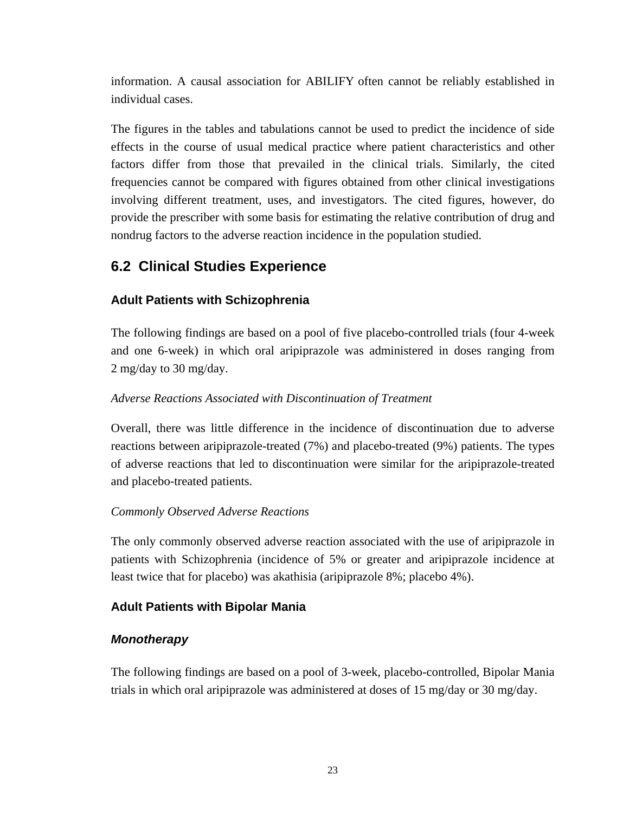information. A causal association for ABILIFY often cannot be reliably established in individual cases.

The figures in the tables and tabulations cannot be used to predict the incidence of side effects in the course of usual medical practice where patient characteristics and other factors differ from those that prevailed in the clinical trials. Similarly, the cited frequencies cannot be compared with figures obtained from other clinical investigations involving different treatment, uses, and investigators. The cited figures, however, do provide the prescriber with some basis for estimating the relative contribution of drug and nondrug factors to the adverse reaction incidence in the population studied.

### **6.2 Clinical Studies Experience**

### **Adult Patients with Schizophrenia**

The following findings are based on a pool of five placebo-controlled trials (four 4-week and one 6-week) in which oral aripiprazole was administered in doses ranging from 2 mg/day to 30 mg/day.

### *Adverse Reactions Associated with Discontinuation of Treatment*

Overall, there was little difference in the incidence of discontinuation due to adverse reactions between aripiprazole-treated (7%) and placebo-treated (9%) patients. The types of adverse reactions that led to discontinuation were similar for the aripiprazole-treated and placebo-treated patients.

### *Commonly Observed Adverse Reactions*

The only commonly observed adverse reaction associated with the use of aripiprazole in patients with Schizophrenia (incidence of 5% or greater and aripiprazole incidence at least twice that for placebo) was akathisia (aripiprazole 8%; placebo 4%).

### **Adult Patients with Bipolar Mania**

### *Monotherapy*

The following findings are based on a pool of 3-week, placebo-controlled, Bipolar Mania trials in which oral aripiprazole was administered at doses of  $15 \text{ mg/day}$  or  $30 \text{ mg/day}$ .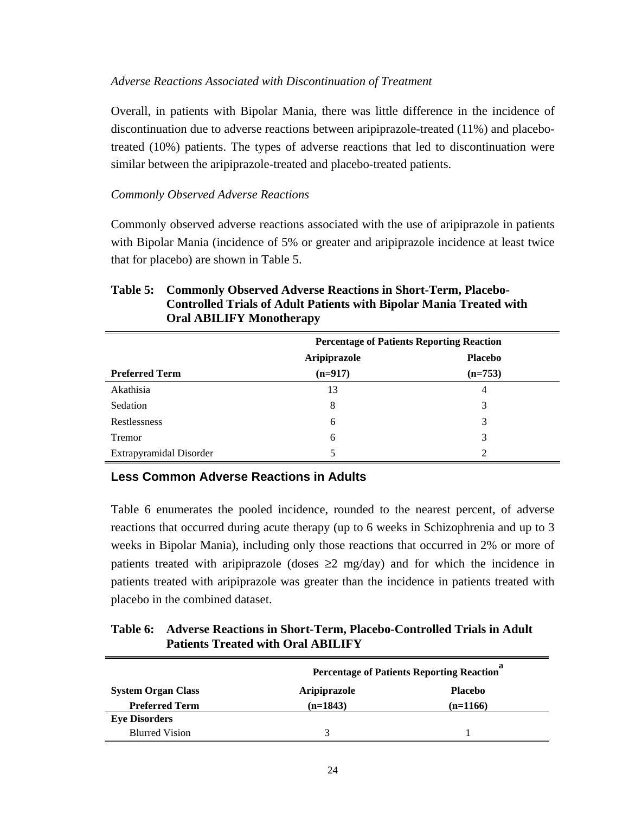#### *Adverse Reactions Associated with Discontinuation of Treatment*

Overall, in patients with Bipolar Mania, there was little difference in the incidence of discontinuation due to adverse reactions between aripiprazole-treated (11%) and placebotreated (10%) patients. The types of adverse reactions that led to discontinuation were similar between the aripiprazole-treated and placebo-treated patients.

#### *Commonly Observed Adverse Reactions*

Commonly observed adverse reactions associated with the use of aripiprazole in patients with Bipolar Mania (incidence of 5% or greater and aripiprazole incidence at least twice that for placebo) are shown in Table 5.

# **Controlled Trials of Adult Patients with Bipolar Mania Treated with Oral ABILIFY Monotherapy**

**Table 5: Commonly Observed Adverse Reactions in Short-Term, Placebo-**

|                         | <b>Percentage of Patients Reporting Reaction</b> |                |
|-------------------------|--------------------------------------------------|----------------|
|                         | Aripiprazole                                     | <b>Placebo</b> |
| <b>Preferred Term</b>   | $(n=917)$                                        | $(n=753)$      |
| Akathisia               | 13                                               | 4              |
| Sedation                | 8                                                | 3              |
| Restlessness            | 6                                                | 3              |
| Tremor                  | 6                                                | 3              |
| Extrapyramidal Disorder |                                                  | 2              |

### **Less Common Adverse Reactions in Adults**

Table 6 enumerates the pooled incidence, rounded to the nearest percent, of adverse reactions that occurred during acute therapy (up to 6 weeks in Schizophrenia and up to 3 weeks in Bipolar Mania), including only those reactions that occurred in 2% or more of patients treated with aripiprazole (doses  $\geq 2$  mg/day) and for which the incidence in patients treated with aripiprazole was greater than the incidence in patients treated with placebo in the combined dataset.

#### **Table 6: Adverse Reactions in Short-Term, Placebo-Controlled Trials in Adult Patients Treated with Oral ABILIFY**

|                           | <b>Percentage of Patients Reporting Reaction</b> |                |  |
|---------------------------|--------------------------------------------------|----------------|--|
| <b>System Organ Class</b> | <b>Aripiprazole</b>                              | <b>Placebo</b> |  |
| <b>Preferred Term</b>     | $(n=1843)$                                       | $(n=1166)$     |  |
| <b>Eye Disorders</b>      |                                                  |                |  |
| <b>Blurred Vision</b>     | 2                                                |                |  |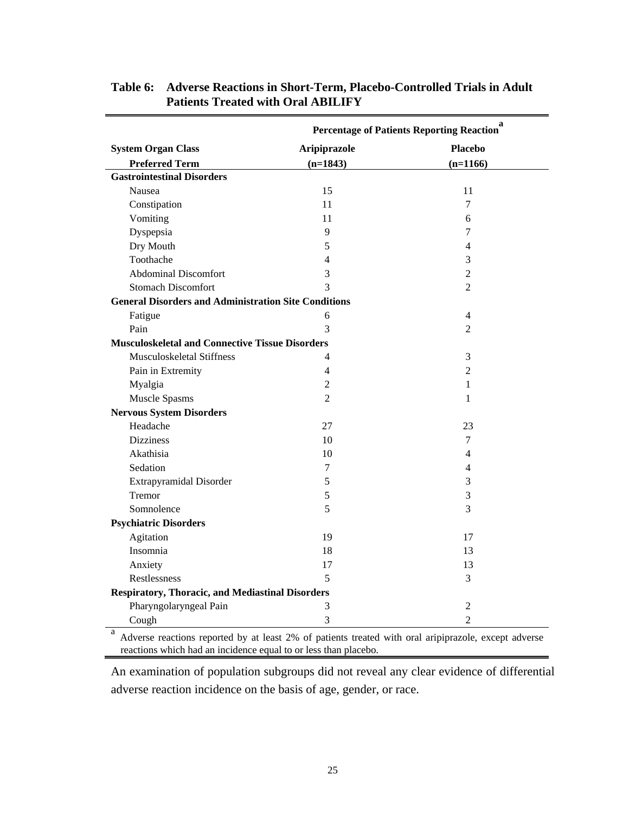|                                                             | Percentage of Patients Reporting Reaction <sup>a</sup> |                |
|-------------------------------------------------------------|--------------------------------------------------------|----------------|
| <b>System Organ Class</b>                                   | <b>Aripiprazole</b>                                    | <b>Placebo</b> |
| <b>Preferred Term</b>                                       | $(n=1843)$                                             | $(n=1166)$     |
| <b>Gastrointestinal Disorders</b>                           |                                                        |                |
| Nausea                                                      | 15                                                     | 11             |
| Constipation                                                | 11                                                     | 7              |
| Vomiting                                                    | 11                                                     | 6              |
| Dyspepsia                                                   | 9                                                      | 7              |
| Dry Mouth                                                   | 5                                                      | 4              |
| Toothache                                                   | 4                                                      | 3              |
| <b>Abdominal Discomfort</b>                                 | 3                                                      | $\overline{2}$ |
| <b>Stomach Discomfort</b>                                   | 3                                                      | $\overline{2}$ |
| <b>General Disorders and Administration Site Conditions</b> |                                                        |                |
| Fatigue                                                     | 6                                                      | 4              |
| Pain                                                        | $\overline{3}$                                         | $\overline{2}$ |
| <b>Musculoskeletal and Connective Tissue Disorders</b>      |                                                        |                |
| Musculoskeletal Stiffness                                   | 4                                                      | 3              |
| Pain in Extremity                                           | 4                                                      | $\overline{2}$ |
| Myalgia                                                     | 2                                                      | 1              |
| Muscle Spasms                                               | $\overline{2}$                                         | $\mathbf{1}$   |
| <b>Nervous System Disorders</b>                             |                                                        |                |
| Headache                                                    | 27                                                     | 23             |
| <b>Dizziness</b>                                            | 10                                                     | 7              |
| Akathisia                                                   | 10                                                     | 4              |
| Sedation                                                    | 7                                                      | 4              |
| Extrapyramidal Disorder                                     | 5                                                      | 3              |
| Tremor                                                      | 5                                                      | 3              |
| Somnolence                                                  | 5                                                      | 3              |
| <b>Psychiatric Disorders</b>                                |                                                        |                |
| Agitation                                                   | 19                                                     | 17             |
| Insomnia                                                    | 18                                                     | 13             |
| Anxiety                                                     | 17                                                     | 13             |
| Restlessness                                                | 5                                                      | 3              |
| <b>Respiratory, Thoracic, and Mediastinal Disorders</b>     |                                                        |                |
| Pharyngolaryngeal Pain                                      | 3                                                      | $\overline{2}$ |
| Cough<br>a                                                  | $\overline{3}$                                         | $\overline{2}$ |

#### **Table 6: Adverse Reactions in Short-Term, Placebo-Controlled Trials in Adult Patients Treated with Oral ABILIFY**

 reactions which had an incidence equal to or less than placebo. a Adverse reactions reported by at least 2% of patients treated with oral aripiprazole, except adverse

An examination of population subgroups did not reveal any clear evidence of differential adverse reaction incidence on the basis of age, gender, or race.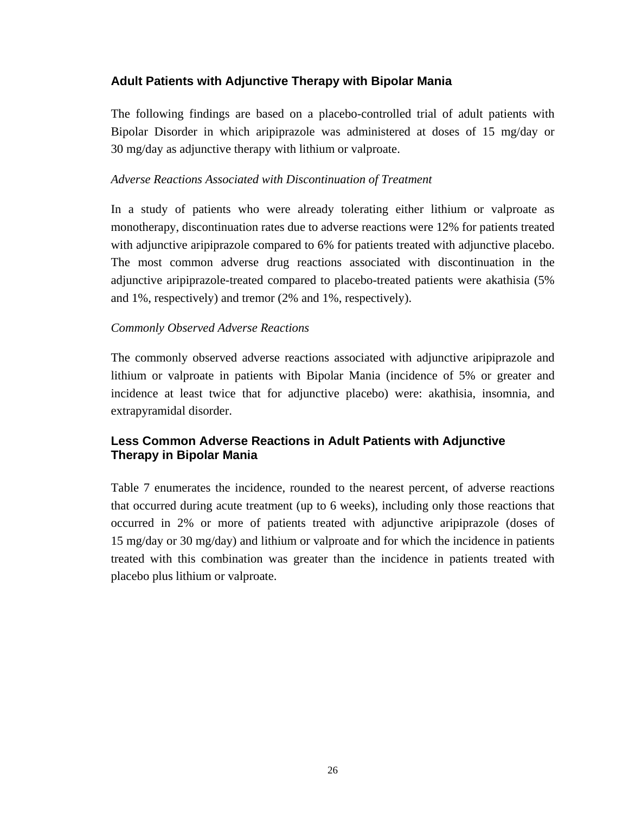### **Adult Patients with Adjunctive Therapy with Bipolar Mania**

The following findings are based on a placebo-controlled trial of adult patients with Bipolar Disorder in which aripiprazole was administered at doses of 15 mg/day or 30 mg/day as adjunctive therapy with lithium or valproate.

#### *Adverse Reactions Associated with Discontinuation of Treatment*

In a study of patients who were already tolerating either lithium or valproate as monotherapy, discontinuation rates due to adverse reactions were 12% for patients treated with adjunctive aripiprazole compared to 6% for patients treated with adjunctive placebo. The most common adverse drug reactions associated with discontinuation in the adjunctive aripiprazole-treated compared to placebo-treated patients were akathisia (5% and 1%, respectively) and tremor (2% and 1%, respectively).

#### *Commonly Observed Adverse Reactions*

The commonly observed adverse reactions associated with adjunctive aripiprazole and lithium or valproate in patients with Bipolar Mania (incidence of 5% or greater and incidence at least twice that for adjunctive placebo) were: akathisia, insomnia, and extrapyramidal disorder.

### **Less Common Adverse Reactions in Adult Patients with Adjunctive Therapy in Bipolar Mania**

Table 7 enumerates the incidence, rounded to the nearest percent, of adverse reactions that occurred during acute treatment (up to 6 weeks), including only those reactions that occurred in 2% or more of patients treated with adjunctive aripiprazole (doses of 15 mg/day or 30 mg/day) and lithium or valproate and for which the incidence in patients treated with this combination was greater than the incidence in patients treated with placebo plus lithium or valproate.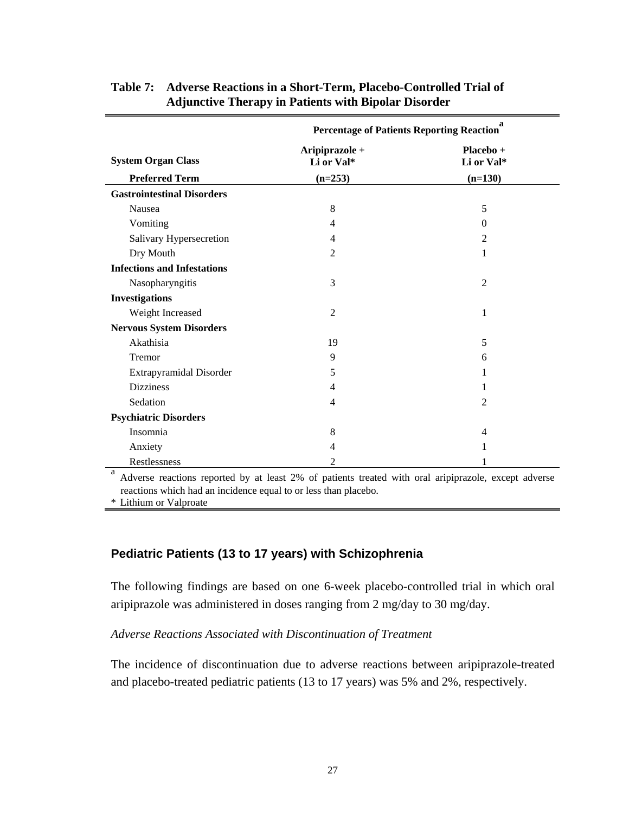|                                    | a<br><b>Percentage of Patients Reporting Reaction</b> |                         |
|------------------------------------|-------------------------------------------------------|-------------------------|
| <b>System Organ Class</b>          | Aripiprazole +<br>Li or Val*                          | Placebo +<br>Li or Val* |
| <b>Preferred Term</b>              | $(n=253)$                                             | $(n=130)$               |
| <b>Gastrointestinal Disorders</b>  |                                                       |                         |
| Nausea                             | 8                                                     | 5                       |
| Vomiting                           | 4                                                     | $\Omega$                |
| Salivary Hypersecretion            | 4                                                     | $\overline{2}$          |
| Dry Mouth                          | $\overline{2}$                                        | 1                       |
| <b>Infections and Infestations</b> |                                                       |                         |
| Nasopharyngitis                    | 3                                                     | 2                       |
| <b>Investigations</b>              |                                                       |                         |
| Weight Increased                   | 2                                                     | 1                       |
| <b>Nervous System Disorders</b>    |                                                       |                         |
| Akathisia                          | 19                                                    | 5                       |
| Tremor                             | 9                                                     | 6                       |
| Extrapyramidal Disorder            | 5                                                     | 1                       |
| <b>Dizziness</b>                   | $\overline{4}$                                        |                         |
| Sedation                           | 4                                                     | 2                       |
| <b>Psychiatric Disorders</b>       |                                                       |                         |
| Insomnia                           | 8                                                     | 4                       |
| Anxiety                            | 4                                                     | 1                       |
| Restlessness                       | 2                                                     |                         |

#### **Table 7: Adverse Reactions in a Short-Term, Placebo-Controlled Trial of Adjunctive Therapy in Patients with Bipolar Disorder**

 reactions which had an incidence equal to or less than placebo.  $A$  Adverse reactions reported by at least 2% of patients treated with oral aripiprazole, except adverse

\* Lithium or Valproate

#### **Pediatric Patients (13 to 17 years) with Schizophrenia**

The following findings are based on one 6-week placebo-controlled trial in which oral aripiprazole was administered in doses ranging from 2 mg/day to 30 mg/day.

#### *Adverse Reactions Associated with Discontinuation of Treatment*

The incidence of discontinuation due to adverse reactions between aripiprazole-treated and placebo-treated pediatric patients (13 to 17 years) was 5% and 2%, respectively.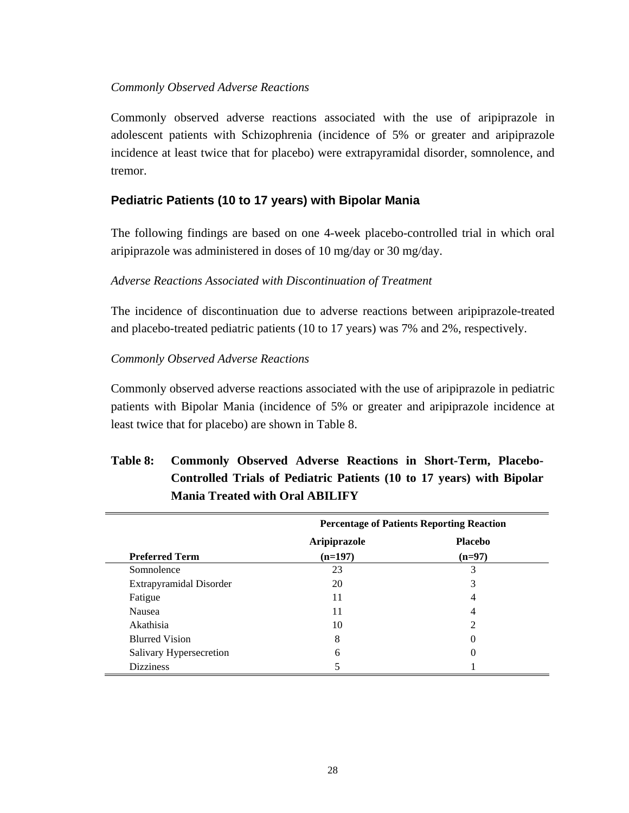#### *Commonly Observed Adverse Reactions*

Commonly observed adverse reactions associated with the use of aripiprazole in adolescent patients with Schizophrenia (incidence of 5% or greater and aripiprazole incidence at least twice that for placebo) were extrapyramidal disorder, somnolence, and tremor.

### **Pediatric Patients (10 to 17 years) with Bipolar Mania**

The following findings are based on one 4-week placebo-controlled trial in which oral aripiprazole was administered in doses of 10 mg/day or 30 mg/day.

#### *Adverse Reactions Associated with Discontinuation of Treatment*

The incidence of discontinuation due to adverse reactions between aripiprazole-treated and placebo-treated pediatric patients (10 to 17 years) was 7% and 2%, respectively.

#### *Commonly Observed Adverse Reactions*

Commonly observed adverse reactions associated with the use of aripiprazole in pediatric patients with Bipolar Mania (incidence of 5% or greater and aripiprazole incidence at least twice that for placebo) are shown in Table 8.

### **Table 8: Commonly Observed Adverse Reactions in Short-Term, Placebo-Controlled Trials of Pediatric Patients (10 to 17 years) with Bipolar Mania Treated with Oral ABILIFY**

|                         | <b>Percentage of Patients Reporting Reaction</b> |                |
|-------------------------|--------------------------------------------------|----------------|
|                         | Aripiprazole                                     | <b>Placebo</b> |
| <b>Preferred Term</b>   | $(n=197)$                                        | $(n=97)$       |
| Somnolence              | 23                                               | 3              |
| Extrapyramidal Disorder | 20                                               | 3              |
| Fatigue                 | 11                                               | 4              |
| Nausea                  | 11                                               | 4              |
| Akathisia               | 10                                               | 2              |
| <b>Blurred Vision</b>   | 8                                                | 0              |
| Salivary Hypersecretion | 6                                                | 0              |
| <b>Dizziness</b>        |                                                  |                |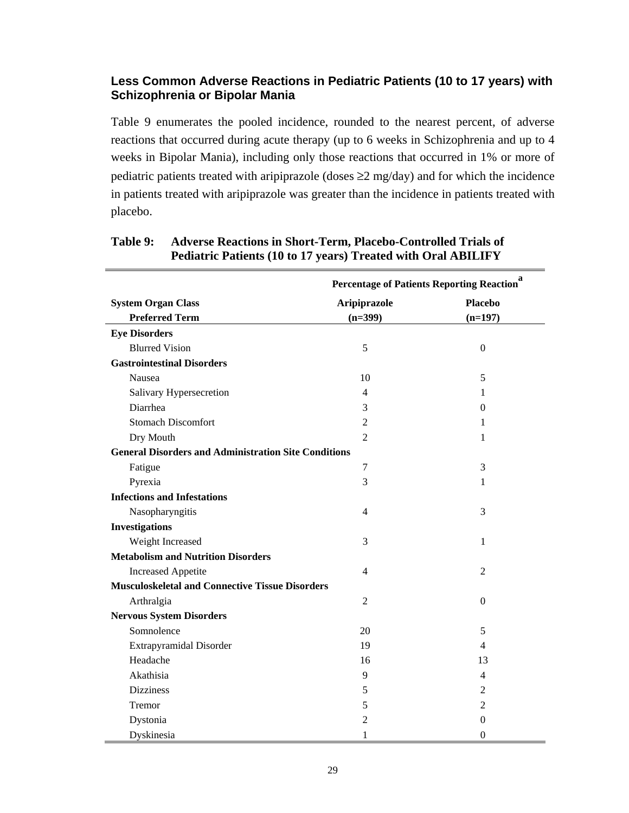### **Less Common Adverse Reactions in Pediatric Patients (10 to 17 years) with Schizophrenia or Bipolar Mania**

Table 9 enumerates the pooled incidence, rounded to the nearest percent, of adverse reactions that occurred during acute therapy (up to 6 weeks in Schizophrenia and up to 4 weeks in Bipolar Mania), including only those reactions that occurred in 1% or more of pediatric patients treated with aripiprazole (doses  $\geq$ 2 mg/day) and for which the incidence in patients treated with aripiprazole was greater than the incidence in patients treated with placebo.

|                                                             |                | <b>Percentage of Patients Reporting Reaction</b> <sup>a</sup> |  |
|-------------------------------------------------------------|----------------|---------------------------------------------------------------|--|
| <b>System Organ Class</b>                                   | Aripiprazole   | <b>Placebo</b>                                                |  |
| <b>Preferred Term</b>                                       | $(n=399)$      | $(n=197)$                                                     |  |
| <b>Eye Disorders</b>                                        |                |                                                               |  |
| <b>Blurred Vision</b>                                       | 5              | $\mathbf{0}$                                                  |  |
| <b>Gastrointestinal Disorders</b>                           |                |                                                               |  |
| <b>Nausea</b>                                               | 10             | 5                                                             |  |
| Salivary Hypersecretion                                     | 4              | 1                                                             |  |
| Diarrhea                                                    | 3              | $\boldsymbol{0}$                                              |  |
| <b>Stomach Discomfort</b>                                   | $\overline{2}$ | 1                                                             |  |
| Dry Mouth                                                   | $\overline{2}$ | 1                                                             |  |
| <b>General Disorders and Administration Site Conditions</b> |                |                                                               |  |
| Fatigue                                                     | 7              | 3                                                             |  |
| Pyrexia                                                     | 3              | 1                                                             |  |
| <b>Infections and Infestations</b>                          |                |                                                               |  |
| Nasopharyngitis                                             | 4              | 3                                                             |  |
| <b>Investigations</b>                                       |                |                                                               |  |
| Weight Increased                                            | 3              | $\mathbf{1}$                                                  |  |
| <b>Metabolism and Nutrition Disorders</b>                   |                |                                                               |  |
| <b>Increased Appetite</b>                                   | 4              | $\overline{2}$                                                |  |
| <b>Musculoskeletal and Connective Tissue Disorders</b>      |                |                                                               |  |
| Arthralgia                                                  | $\overline{2}$ | $\boldsymbol{0}$                                              |  |
| <b>Nervous System Disorders</b>                             |                |                                                               |  |
| Somnolence                                                  | 20             | 5                                                             |  |
| Extrapyramidal Disorder                                     | 19             | 4                                                             |  |
| Headache                                                    | 16             | 13                                                            |  |
| Akathisia                                                   | 9              | 4                                                             |  |
| <b>Dizziness</b>                                            | 5              | $\overline{2}$                                                |  |
| Tremor                                                      | 5              | $\overline{2}$                                                |  |
| Dystonia                                                    | $\overline{c}$ | $\mathbf{0}$                                                  |  |
| Dyskinesia                                                  | 1              | $\theta$                                                      |  |

#### **Table 9: Adverse Reactions in Short-Term, Placebo-Controlled Trials of Pediatric Patients (10 to 17 years) Treated with Oral ABILIFY**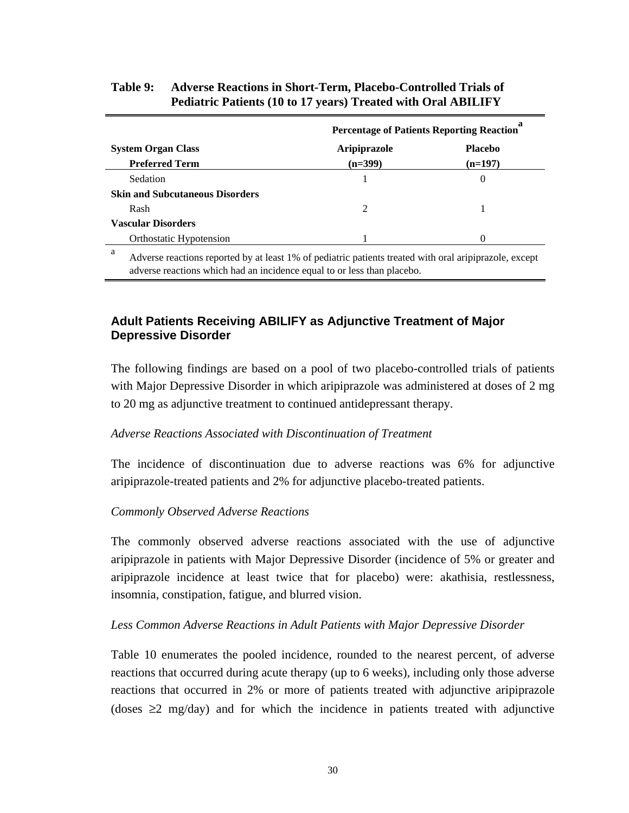|                                                                                                             | <b>Percentage of Patients Reporting Reaction</b> |                             |
|-------------------------------------------------------------------------------------------------------------|--------------------------------------------------|-----------------------------|
| <b>System Organ Class</b><br><b>Preferred Term</b>                                                          | Aripiprazole<br>$(n=399)$                        | <b>Placebo</b><br>$(n=197)$ |
| <b>Sedation</b>                                                                                             |                                                  | 0                           |
| <b>Skin and Subcutaneous Disorders</b>                                                                      |                                                  |                             |
| Rash                                                                                                        | 2                                                |                             |
| <b>Vascular Disorders</b>                                                                                   |                                                  |                             |
| Orthostatic Hypotension                                                                                     |                                                  | $\Omega$                    |
| a<br>Adverse reactions reported by at least 1% of pediatric patients treated with oral aripiprazole, except |                                                  |                             |

### **Table 9: Adverse Reactions in Short-Term, Placebo-Controlled Trials of Pediatric Patients (10 to 17 years) Treated with Oral ABILIFY**

Adverse reactions reported by at least 1% of pediatric patients treated with oral aripiprazole, except adverse reactions which had an incidence equal to or less than placebo.

### **Adult Patients Receiving ABILIFY as Adjunctive Treatment of Major Depressive Disorder**

The following findings are based on a pool of two placebo-controlled trials of patients with Major Depressive Disorder in which aripiprazole was administered at doses of 2 mg to 20 mg as adjunctive treatment to continued antidepressant therapy.

### *Adverse Reactions Associated with Discontinuation of Treatment*

The incidence of discontinuation due to adverse reactions was 6% for adjunctive aripiprazole-treated patients and 2% for adjunctive placebo-treated patients.

### *Commonly Observed Adverse Reactions*

The commonly observed adverse reactions associated with the use of adjunctive aripiprazole in patients with Major Depressive Disorder (incidence of 5% or greater and aripiprazole incidence at least twice that for placebo) were: akathisia, restlessness, insomnia, constipation, fatigue, and blurred vision.

### Less Common Adverse Reactions in Adult Patients with Major Depressive Disorder

Table 10 enumerates the pooled incidence, rounded to the nearest percent, of adverse reactions that occurred during acute therapy (up to 6 weeks), including only those adverse reactions that occurred in 2% or more of patients treated with adjunctive aripiprazole (doses  $\geq 2$  mg/day) and for which the incidence in patients treated with adjunctive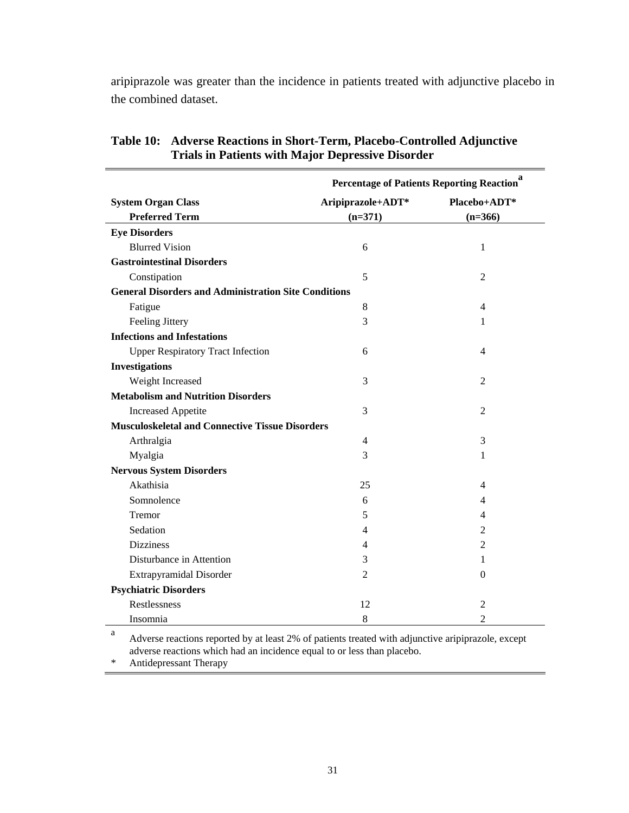aripiprazole was greater than the incidence in patients treated with adjunctive placebo in the combined dataset.

|                                                             | <b>Percentage of Patients Reporting Reaction</b> |                |
|-------------------------------------------------------------|--------------------------------------------------|----------------|
| <b>System Organ Class</b>                                   | Aripiprazole+ADT*                                | Placebo+ADT*   |
| <b>Preferred Term</b>                                       | $(n=371)$                                        | $(n=366)$      |
| <b>Eye Disorders</b>                                        |                                                  |                |
| <b>Blurred Vision</b>                                       | 6                                                | 1              |
| <b>Gastrointestinal Disorders</b>                           |                                                  |                |
| Constipation                                                | 5                                                | $\overline{2}$ |
| <b>General Disorders and Administration Site Conditions</b> |                                                  |                |
| Fatigue                                                     | $8\,$                                            | $\overline{4}$ |
| <b>Feeling Jittery</b>                                      | 3                                                | 1              |
| <b>Infections and Infestations</b>                          |                                                  |                |
| <b>Upper Respiratory Tract Infection</b>                    | 6                                                | 4              |
| <b>Investigations</b>                                       |                                                  |                |
| Weight Increased                                            | 3                                                | $\overline{2}$ |
| <b>Metabolism and Nutrition Disorders</b>                   |                                                  |                |
| <b>Increased Appetite</b>                                   | 3                                                | 2              |
| <b>Musculoskeletal and Connective Tissue Disorders</b>      |                                                  |                |
| Arthralgia                                                  | 4                                                | 3              |
| Myalgia                                                     | 3                                                | 1              |
| <b>Nervous System Disorders</b>                             |                                                  |                |
| Akathisia                                                   | 25                                               | 4              |
| Somnolence                                                  | 6                                                | 4              |
| Tremor                                                      | 5                                                | 4              |
| Sedation                                                    | 4                                                | 2              |
| <b>Dizziness</b>                                            | 4                                                | 2              |
| Disturbance in Attention                                    | 3                                                | 1              |
| Extrapyramidal Disorder                                     | $\overline{2}$                                   | $\mathbf{0}$   |
| <b>Psychiatric Disorders</b>                                |                                                  |                |
| Restlessness                                                | 12                                               | $\overline{2}$ |
| Insomnia                                                    | 8                                                | 2              |

**Table 10: Adverse Reactions in Short-Term, Placebo-Controlled Adjunctive Trials in Patients with Major Depressive Disorder** 

a Adverse reactions reported by at least 2% of patients treated with adjunctive aripiprazole, except adverse reactions which had an incidence equal to or less than placebo.

\* Antidepressant Therapy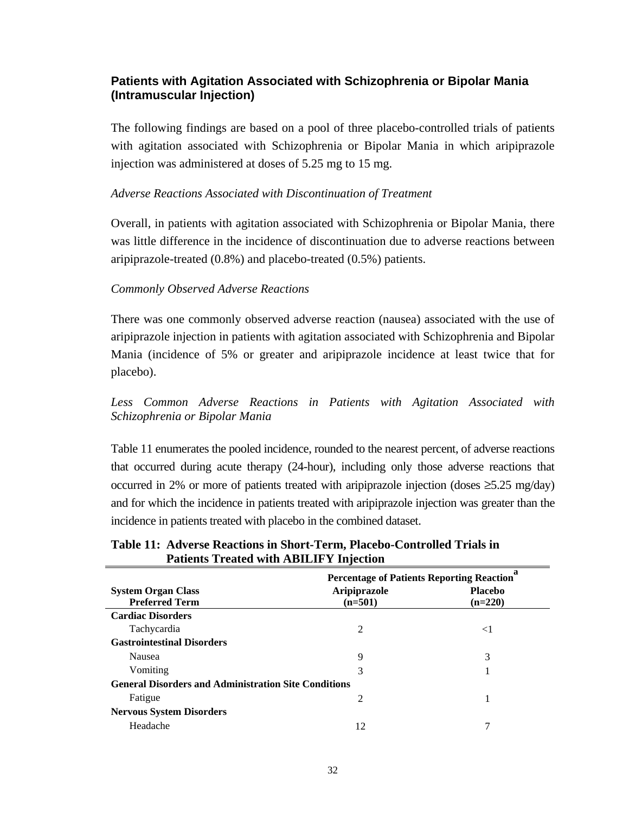### **Patients with Agitation Associated with Schizophrenia or Bipolar Mania (Intramuscular Injection)**

The following findings are based on a pool of three placebo-controlled trials of patients with agitation associated with Schizophrenia or Bipolar Mania in which aripiprazole injection was administered at doses of 5.25 mg to 15 mg.

#### *Adverse Reactions Associated with Discontinuation of Treatment*

Overall, in patients with agitation associated with Schizophrenia or Bipolar Mania, there was little difference in the incidence of discontinuation due to adverse reactions between aripiprazole-treated (0.8%) and placebo-treated (0.5%) patients.

#### *Commonly Observed Adverse Reactions*

There was one commonly observed adverse reaction (nausea) associated with the use of aripiprazole injection in patients with agitation associated with Schizophrenia and Bipolar Mania (incidence of 5% or greater and aripiprazole incidence at least twice that for placebo).

### *Less Common Adverse Reactions in Patients with Agitation Associated with Schizophrenia or Bipolar Mania*

Table 11 enumerates the pooled incidence, rounded to the nearest percent, of adverse reactions that occurred during acute therapy (24-hour), including only those adverse reactions that occurred in 2% or more of patients treated with aripiprazole injection (doses ≥5.25 mg/day) and for which the incidence in patients treated with aripiprazole injection was greater than the incidence in patients treated with placebo in the combined dataset.

|                                                             | <b>Percentage of Patients Reporting Reaction</b> |                |
|-------------------------------------------------------------|--------------------------------------------------|----------------|
| <b>System Organ Class</b>                                   | Aripiprazole                                     | <b>Placebo</b> |
| <b>Preferred Term</b>                                       | $(n=501)$                                        | $(n=220)$      |
| <b>Cardiac Disorders</b>                                    |                                                  |                |
| <b>Tachycardia</b>                                          | 2                                                | $\leq$ 1       |
| <b>Gastrointestinal Disorders</b>                           |                                                  |                |
| Nausea                                                      | 9                                                | 3              |
| Vomiting                                                    | 3                                                |                |
| <b>General Disorders and Administration Site Conditions</b> |                                                  |                |
| Fatigue                                                     | 2                                                |                |
| <b>Nervous System Disorders</b>                             |                                                  |                |
| Headache                                                    | 12                                               |                |

#### **Table 11: Adverse Reactions in Short-Term, Placebo-Controlled Trials in Patients Treated with ABILIFY Injection**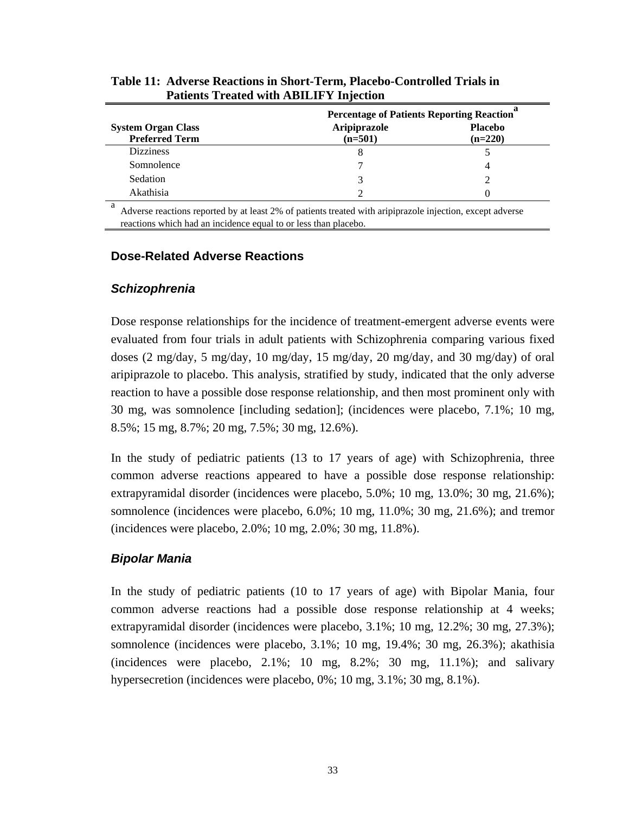|                                                    | <b>Percentage of Patients Reporting Reaction</b> |                             |
|----------------------------------------------------|--------------------------------------------------|-----------------------------|
| <b>System Organ Class</b><br><b>Preferred Term</b> | Aripiprazole<br>$(n=501)$                        | <b>Placebo</b><br>$(n=220)$ |
| <b>Dizziness</b>                                   | Õ                                                |                             |
| Somnolence                                         |                                                  |                             |
| Sedation                                           |                                                  |                             |
| Akathisia                                          |                                                  |                             |

**Table 11: Adverse Reactions in Short-Term, Placebo-Controlled Trials in Patients Treated with ABILIFY Injection** 

Adverse reactions reported by at least 2% of patients treated with aripiprazole injection, except adverse reactions which had an incidence equal to or less than placebo.

### **Dose-Related Adverse Reactions**

#### *Schizophrenia*

Dose response relationships for the incidence of treatment-emergent adverse events were evaluated from four trials in adult patients with Schizophrenia comparing various fixed doses (2 mg/day, 5 mg/day, 10 mg/day, 15 mg/day, 20 mg/day, and 30 mg/day) of oral aripiprazole to placebo. This analysis, stratified by study, indicated that the only adverse reaction to have a possible dose response relationship, and then most prominent only with 30 mg, was somnolence [including sedation]; (incidences were placebo, 7.1%; 10 mg, 8.5%; 15 mg, 8.7%; 20 mg, 7.5%; 30 mg, 12.6%).

In the study of pediatric patients (13 to 17 years of age) with Schizophrenia, three common adverse reactions appeared to have a possible dose response relationship: extrapyramidal disorder (incidences were placebo, 5.0%; 10 mg, 13.0%; 30 mg, 21.6%); somnolence (incidences were placebo, 6.0%; 10 mg, 11.0%; 30 mg, 21.6%); and tremor (incidences were placebo, 2.0%; 10 mg, 2.0%; 30 mg, 11.8%).

### *Bipolar Mania*

In the study of pediatric patients (10 to 17 years of age) with Bipolar Mania, four common adverse reactions had a possible dose response relationship at 4 weeks; extrapyramidal disorder (incidences were placebo, 3.1%; 10 mg, 12.2%; 30 mg, 27.3%); somnolence (incidences were placebo, 3.1%; 10 mg, 19.4%; 30 mg, 26.3%); akathisia (incidences were placebo,  $2.1\%$ ; 10 mg,  $8.2\%$ ; 30 mg,  $11.1\%$ ); and salivary hypersecretion (incidences were placebo, 0%; 10 mg, 3.1%; 30 mg, 8.1%).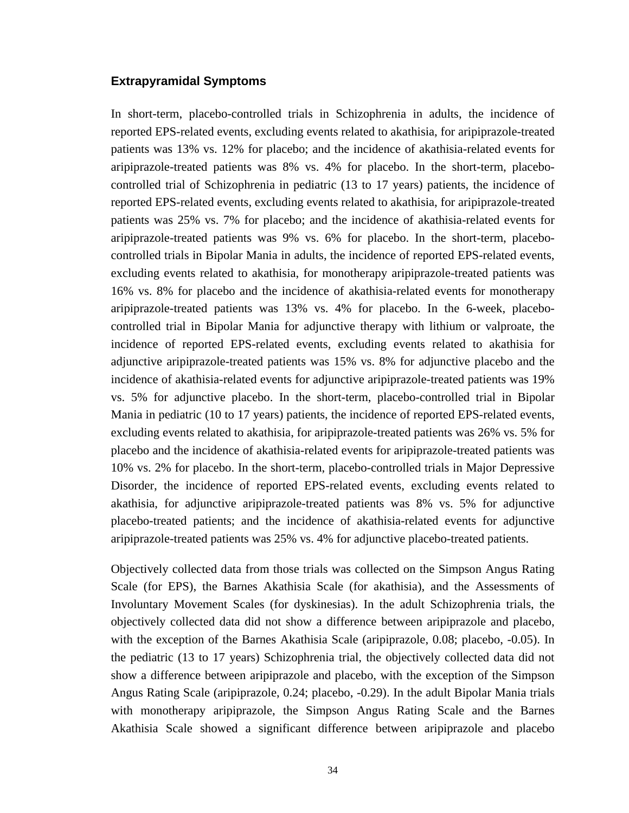#### **Extrapyramidal Symptoms**

In short-term, placebo-controlled trials in Schizophrenia in adults, the incidence of reported EPS-related events, excluding events related to akathisia, for aripiprazole-treated patients was 13% vs. 12% for placebo; and the incidence of akathisia-related events for aripiprazole-treated patients was 8% vs. 4% for placebo. In the short-term, placebocontrolled trial of Schizophrenia in pediatric (13 to 17 years) patients, the incidence of reported EPS-related events, excluding events related to akathisia, for aripiprazole-treated patients was 25% vs. 7% for placebo; and the incidence of akathisia-related events for aripiprazole-treated patients was 9% vs. 6% for placebo. In the short-term, placebocontrolled trials in Bipolar Mania in adults, the incidence of reported EPS-related events, excluding events related to akathisia, for monotherapy aripiprazole-treated patients was 16% vs. 8% for placebo and the incidence of akathisia-related events for monotherapy aripiprazole-treated patients was 13% vs. 4% for placebo. In the 6-week, placebocontrolled trial in Bipolar Mania for adjunctive therapy with lithium or valproate, the incidence of reported EPS-related events, excluding events related to akathisia for adjunctive aripiprazole-treated patients was 15% vs. 8% for adjunctive placebo and the incidence of akathisia-related events for adjunctive aripiprazole-treated patients was 19% vs. 5% for adjunctive placebo. In the short-term, placebo-controlled trial in Bipolar Mania in pediatric (10 to 17 years) patients, the incidence of reported EPS-related events, excluding events related to akathisia, for aripiprazole-treated patients was 26% vs. 5% for placebo and the incidence of akathisia-related events for aripiprazole-treated patients was 10% vs. 2% for placebo. In the short-term, placebo-controlled trials in Major Depressive Disorder, the incidence of reported EPS-related events, excluding events related to akathisia, for adjunctive aripiprazole-treated patients was 8% vs. 5% for adjunctive placebo-treated patients; and the incidence of akathisia-related events for adjunctive aripiprazole-treated patients was 25% vs. 4% for adjunctive placebo-treated patients.

Objectively collected data from those trials was collected on the Simpson Angus Rating Scale (for EPS), the Barnes Akathisia Scale (for akathisia), and the Assessments of Involuntary Movement Scales (for dyskinesias). In the adult Schizophrenia trials, the objectively collected data did not show a difference between aripiprazole and placebo, with the exception of the Barnes Akathisia Scale (aripiprazole, 0.08; placebo, -0.05). In the pediatric (13 to 17 years) Schizophrenia trial, the objectively collected data did not show a difference between aripiprazole and placebo, with the exception of the Simpson Angus Rating Scale (aripiprazole, 0.24; placebo, -0.29). In the adult Bipolar Mania trials with monotherapy aripiprazole, the Simpson Angus Rating Scale and the Barnes Akathisia Scale showed a significant difference between aripiprazole and placebo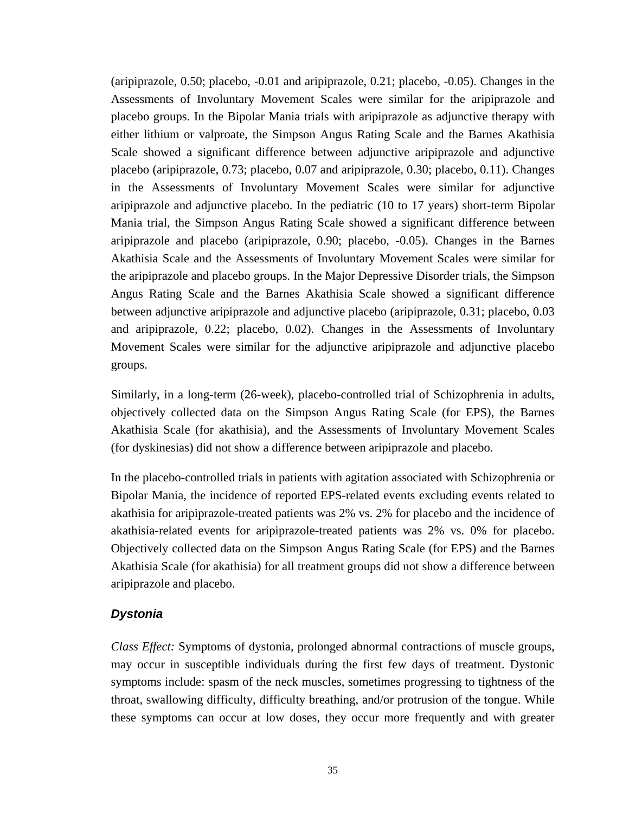(aripiprazole, 0.50; placebo, -0.01 and aripiprazole, 0.21; placebo, -0.05). Changes in the Assessments of Involuntary Movement Scales were similar for the aripiprazole and placebo groups. In the Bipolar Mania trials with aripiprazole as adjunctive therapy with either lithium or valproate, the Simpson Angus Rating Scale and the Barnes Akathisia Scale showed a significant difference between adjunctive aripiprazole and adjunctive placebo (aripiprazole, 0.73; placebo, 0.07 and aripiprazole, 0.30; placebo, 0.11). Changes in the Assessments of Involuntary Movement Scales were similar for adjunctive aripiprazole and adjunctive placebo. In the pediatric (10 to 17 years) short-term Bipolar Mania trial, the Simpson Angus Rating Scale showed a significant difference between aripiprazole and placebo (aripiprazole, 0.90; placebo, -0.05). Changes in the Barnes Akathisia Scale and the Assessments of Involuntary Movement Scales were similar for the aripiprazole and placebo groups. In the Major Depressive Disorder trials, the Simpson Angus Rating Scale and the Barnes Akathisia Scale showed a significant difference between adjunctive aripiprazole and adjunctive placebo (aripiprazole, 0.31; placebo, 0.03 and aripiprazole, 0.22; placebo, 0.02). Changes in the Assessments of Involuntary Movement Scales were similar for the adjunctive aripiprazole and adjunctive placebo groups.

Similarly, in a long-term (26-week), placebo-controlled trial of Schizophrenia in adults, objectively collected data on the Simpson Angus Rating Scale (for EPS), the Barnes Akathisia Scale (for akathisia), and the Assessments of Involuntary Movement Scales (for dyskinesias) did not show a difference between aripiprazole and placebo.

In the placebo-controlled trials in patients with agitation associated with Schizophrenia or Bipolar Mania, the incidence of reported EPS-related events excluding events related to akathisia for aripiprazole-treated patients was 2% vs. 2% for placebo and the incidence of akathisia-related events for aripiprazole-treated patients was 2% vs. 0% for placebo. Objectively collected data on the Simpson Angus Rating Scale (for EPS) and the Barnes Akathisia Scale (for akathisia) for all treatment groups did not show a difference between aripiprazole and placebo.

### *Dystonia*

*Class Effect:* Symptoms of dystonia, prolonged abnormal contractions of muscle groups, may occur in susceptible individuals during the first few days of treatment. Dystonic symptoms include: spasm of the neck muscles, sometimes progressing to tightness of the throat, swallowing difficulty, difficulty breathing, and/or protrusion of the tongue. While these symptoms can occur at low doses, they occur more frequently and with greater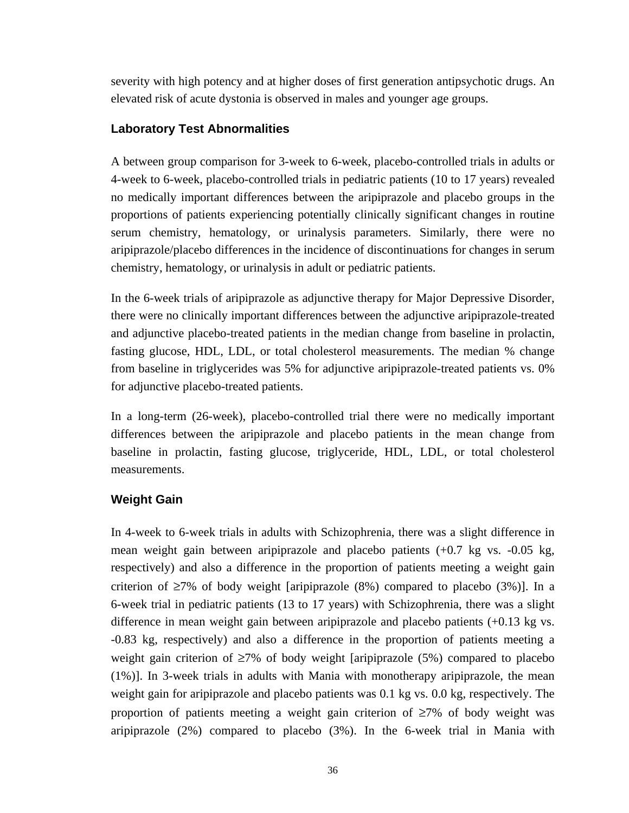severity with high potency and at higher doses of first generation antipsychotic drugs. An elevated risk of acute dystonia is observed in males and younger age groups.

### **Laboratory Test Abnormalities**

A between group comparison for 3-week to 6-week, placebo-controlled trials in adults or 4-week to 6-week, placebo-controlled trials in pediatric patients (10 to 17 years) revealed no medically important differences between the aripiprazole and placebo groups in the proportions of patients experiencing potentially clinically significant changes in routine serum chemistry, hematology, or urinalysis parameters. Similarly, there were no aripiprazole/placebo differences in the incidence of discontinuations for changes in serum chemistry, hematology, or urinalysis in adult or pediatric patients.

In the 6-week trials of aripiprazole as adjunctive therapy for Major Depressive Disorder, there were no clinically important differences between the adjunctive aripiprazole-treated and adjunctive placebo-treated patients in the median change from baseline in prolactin, fasting glucose, HDL, LDL, or total cholesterol measurements. The median % change from baseline in triglycerides was 5% for adjunctive aripiprazole-treated patients vs. 0% for adjunctive placebo-treated patients.

In a long-term (26-week), placebo-controlled trial there were no medically important differences between the aripiprazole and placebo patients in the mean change from baseline in prolactin, fasting glucose, triglyceride, HDL, LDL, or total cholesterol measurements.

### **Weight Gain**

In 4-week to 6-week trials in adults with Schizophrenia, there was a slight difference in mean weight gain between aripiprazole and placebo patients (+0.7 kg vs. -0.05 kg, respectively) and also a difference in the proportion of patients meeting a weight gain criterion of  $\geq$ 7% of body weight [aripiprazole (8%) compared to placebo (3%)]. In a 6-week trial in pediatric patients (13 to 17 years) with Schizophrenia, there was a slight difference in mean weight gain between aripiprazole and placebo patients (+0.13 kg vs. -0.83 kg, respectively) and also a difference in the proportion of patients meeting a weight gain criterion of  $\geq 7\%$  of body weight [aripiprazole (5%) compared to placebo (1%)]. In 3-week trials in adults with Mania with monotherapy aripiprazole, the mean weight gain for aripiprazole and placebo patients was 0.1 kg vs. 0.0 kg, respectively. The proportion of patients meeting a weight gain criterion of  $\geq 7\%$  of body weight was aripiprazole (2%) compared to placebo (3%). In the 6-week trial in Mania with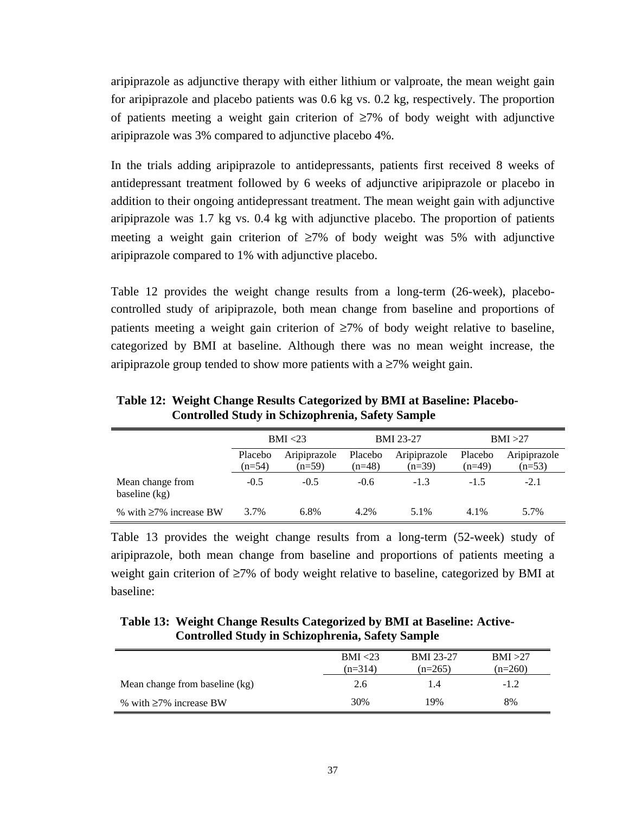aripiprazole as adjunctive therapy with either lithium or valproate, the mean weight gain for aripiprazole and placebo patients was 0.6 kg vs. 0.2 kg, respectively. The proportion of patients meeting a weight gain criterion of ≥7% of body weight with adjunctive aripiprazole was 3% compared to adjunctive placebo 4%.

In the trials adding aripiprazole to antidepressants, patients first received 8 weeks of antidepressant treatment followed by 6 weeks of adjunctive aripiprazole or placebo in addition to their ongoing antidepressant treatment. The mean weight gain with adjunctive aripiprazole was 1.7 kg vs. 0.4 kg with adjunctive placebo. The proportion of patients meeting a weight gain criterion of  $\geq 7\%$  of body weight was 5% with adjunctive aripiprazole compared to 1% with adjunctive placebo.

Table 12 provides the weight change results from a long-term (26-week), placebocontrolled study of aripiprazole, both mean change from baseline and proportions of patients meeting a weight gain criterion of  $\geq 7\%$  of body weight relative to baseline, categorized by BMI at baseline. Although there was no mean weight increase, the aripiprazole group tended to show more patients with a  $\geq 7\%$  weight gain.

BMI <23 BMI 23-27 BMI >27 Placebo Aripiprazole Placebo Aripiprazole Placebo Aripiprazole  $(n=54)$   $(n=59)$   $(n=48)$   $(n=39)$   $(n=49)$   $(n=53)$ Mean change from  $-0.5$   $-0.5$   $-0.6$   $-1.3$   $-1.5$   $-2.1$ baseline (kg) % with ≥7% increase BW 3.7% 6.8% 4.2% 5.1% 4.1% 5.7%

**Table 12: Weight Change Results Categorized by BMI at Baseline: Placebo-Controlled Study in Schizophrenia, Safety Sample** 

Table 13 provides the weight change results from a long-term (52-week) study of aripiprazole, both mean change from baseline and proportions of patients meeting a weight gain criterion of ≥7% of body weight relative to baseline, categorized by BMI at baseline:

| Table 13: Weight Change Results Categorized by BMI at Baseline: Active- |
|-------------------------------------------------------------------------|
| <b>Controlled Study in Schizophrenia, Safety Sample</b>                 |

|                                | BMI < 23<br>$(n=314)$ | <b>BMI 23-27</b><br>$(n=265)$ | BMI >27<br>$(n=260)$ |
|--------------------------------|-----------------------|-------------------------------|----------------------|
| Mean change from baseline (kg) | 2.6                   | 1.4                           | $-1.2$               |
| % with $\geq 7\%$ increase BW  | 30%                   | 19%                           | 8%                   |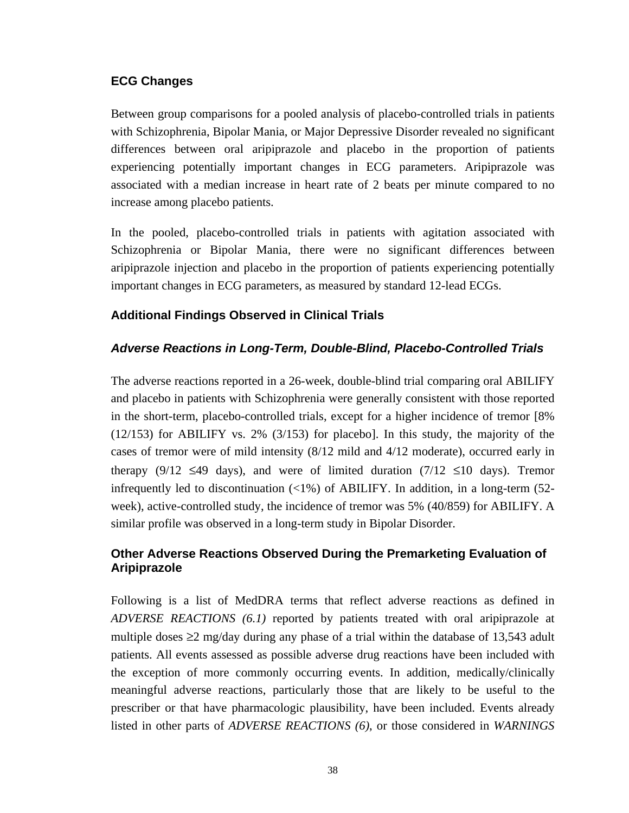### **ECG Changes**

Between group comparisons for a pooled analysis of placebo-controlled trials in patients with Schizophrenia, Bipolar Mania, or Major Depressive Disorder revealed no significant differences between oral aripiprazole and placebo in the proportion of patients experiencing potentially important changes in ECG parameters. Aripiprazole was associated with a median increase in heart rate of 2 beats per minute compared to no increase among placebo patients.

In the pooled, placebo-controlled trials in patients with agitation associated with Schizophrenia or Bipolar Mania, there were no significant differences between aripiprazole injection and placebo in the proportion of patients experiencing potentially important changes in ECG parameters, as measured by standard 12-lead ECGs.

### **Additional Findings Observed in Clinical Trials**

### *Adverse Reactions in Long-Term, Double-Blind, Placebo-Controlled Trials*

The adverse reactions reported in a 26-week, double-blind trial comparing oral ABILIFY and placebo in patients with Schizophrenia were generally consistent with those reported in the short-term, placebo-controlled trials, except for a higher incidence of tremor [8% (12/153) for ABILIFY vs. 2% (3/153) for placebo]. In this study, the majority of the cases of tremor were of mild intensity (8/12 mild and 4/12 moderate), occurred early in therapy (9/12  $\leq$ 49 days), and were of limited duration (7/12  $\leq$ 10 days). Tremor infrequently led to discontinuation  $\langle 54 \rangle$  of ABILIFY. In addition, in a long-term (52week), active-controlled study, the incidence of tremor was 5% (40/859) for ABILIFY. A similar profile was observed in a long-term study in Bipolar Disorder.

### **Other Adverse Reactions Observed During the Premarketing Evaluation of Aripiprazole**

Following is a list of MedDRA terms that reflect adverse reactions as defined in *ADVERSE REACTIONS (6.1)* reported by patients treated with oral aripiprazole at multiple doses  $\geq$ 2 mg/day during any phase of a trial within the database of 13,543 adult patients. All events assessed as possible adverse drug reactions have been included with the exception of more commonly occurring events. In addition, medically/clinically meaningful adverse reactions, particularly those that are likely to be useful to the prescriber or that have pharmacologic plausibility, have been included. Events already listed in other parts of *ADVERSE REACTIONS (6)*, or those considered in *WARNINGS*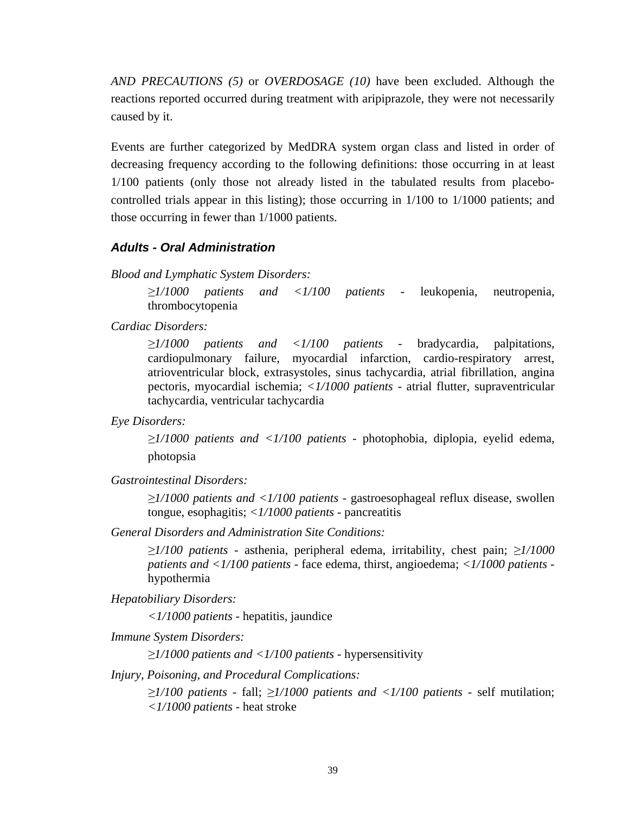*AND PRECAUTIONS (5)* or *OVERDOSAGE (10)* have been excluded. Although the reactions reported occurred during treatment with aripiprazole, they were not necessarily caused by it.

Events are further categorized by MedDRA system organ class and listed in order of decreasing frequency according to the following definitions: those occurring in at least 1/100 patients (only those not already listed in the tabulated results from placebocontrolled trials appear in this listing); those occurring in 1/100 to 1/1000 patients; and those occurring in fewer than 1/1000 patients.

#### *Adults - Oral Administration*

*Blood and Lymphatic System Disorders:* 

*≥1/1000 patients and <1/100 patients* - leukopenia, neutropenia, thrombocytopenia

*Cardiac Disorders:* 

*≥1/1000 patients and <1/100 patients* - bradycardia, palpitations, cardiopulmonary failure, myocardial infarction, cardio-respiratory arrest, atrioventricular block, extrasystoles, sinus tachycardia, atrial fibrillation, angina pectoris, myocardial ischemia; *<1/1000 patients* - atrial flutter, supraventricular tachycardia, ventricular tachycardia

*Eye Disorders:* 

*≥1/1000 patients and <1/100 patients* - photophobia, diplopia, eyelid edema, photopsia

*Gastrointestinal Disorders:* 

*≥1/1000 patients and <1/100 patients* - gastroesophageal reflux disease, swollen tongue, esophagitis; *<1/1000 patients* - pancreatitis

*General Disorders and Administration Site Conditions:* 

*≥1/100 patients* - asthenia, peripheral edema, irritability, chest pain; *≥1/1000 patients and <1/100 patients -* face edema, thirst, angioedema; *<1/1000 patients*  hypothermia

*Hepatobiliary Disorders:* 

*<1/1000 patients* - hepatitis, jaundice

*Immune System Disorders:* 

*≥1/1000 patients and <1/100 patients* - hypersensitivity

*Injury, Poisoning, and Procedural Complications:* 

*≥1/100 patients* - fall; *≥1/1000 patients and <1/100 patients* - self mutilation; *<1/1000 patients* - heat stroke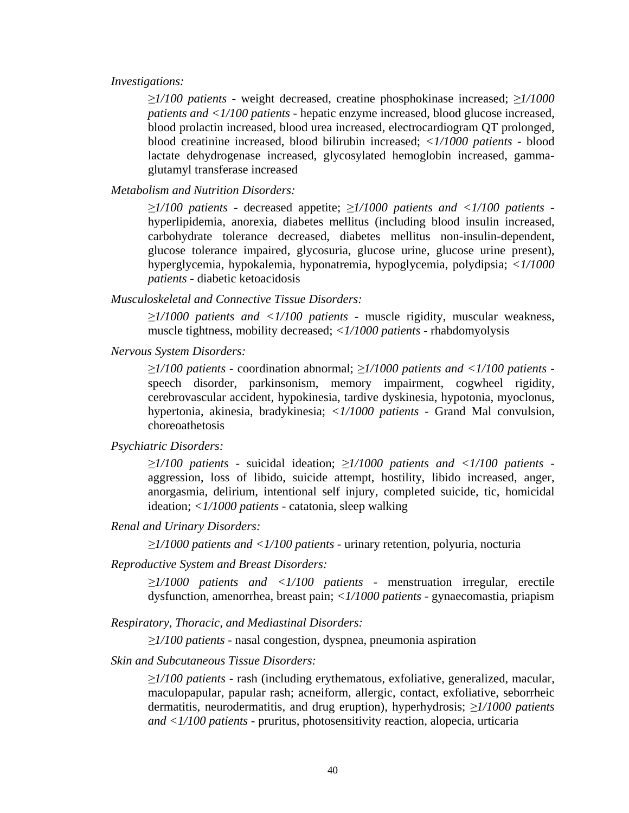#### *Investigations:*

*≥1/100 patients* - weight decreased, creatine phosphokinase increased; *≥1/1000 patients and <1/100 patients* - hepatic enzyme increased, blood glucose increased, blood prolactin increased, blood urea increased, electrocardiogram QT prolonged, blood creatinine increased, blood bilirubin increased; *<1/1000 patients* - blood lactate dehydrogenase increased, glycosylated hemoglobin increased, gammaglutamyl transferase increased

*Metabolism and Nutrition Disorders:* 

*≥1/100 patients* - decreased appetite; *≥1/1000 patients and <1/100 patients* hyperlipidemia, anorexia, diabetes mellitus (including blood insulin increased, carbohydrate tolerance decreased, diabetes mellitus non-insulin-dependent, glucose tolerance impaired, glycosuria, glucose urine, glucose urine present), hyperglycemia, hypokalemia, hyponatremia, hypoglycemia, polydipsia; *<1/1000 patients -* diabetic ketoacidosis

*Musculoskeletal and Connective Tissue Disorders:* 

*≥1/1000 patients and <1/100 patients* - muscle rigidity, muscular weakness, muscle tightness, mobility decreased; *<1/1000 patients* - rhabdomyolysis

*Nervous System Disorders:* 

*≥1/100 patients* - coordination abnormal; *≥1/1000 patients and <1/100 patients*  speech disorder, parkinsonism, memory impairment, cogwheel rigidity, cerebrovascular accident, hypokinesia, tardive dyskinesia, hypotonia, myoclonus, hypertonia, akinesia, bradykinesia; *<1/1000 patients* - Grand Mal convulsion, choreoathetosis

*Psychiatric Disorders:* 

*≥1/100 patients* - suicidal ideation; *≥1/1000 patients and <1/100 patients*  aggression, loss of libido, suicide attempt, hostility, libido increased, anger, anorgasmia, delirium, intentional self injury, completed suicide, tic, homicidal ideation; *<1/1000 patients* - catatonia, sleep walking

*Renal and Urinary Disorders:* 

*≥1/1000 patients and <1/100 patients* - urinary retention, polyuria, nocturia

*Reproductive System and Breast Disorders:* 

*≥1/1000 patients and <1/100 patients* - menstruation irregular, erectile dysfunction, amenorrhea, breast pain; *<1/1000 patients* - gynaecomastia, priapism

*Respiratory, Thoracic, and Mediastinal Disorders:* 

*≥1/100 patients -* nasal congestion, dyspnea, pneumonia aspiration

*Skin and Subcutaneous Tissue Disorders:* 

*≥1/100 patients -* rash (including erythematous, exfoliative, generalized, macular, maculopapular, papular rash; acneiform, allergic, contact, exfoliative, seborrheic dermatitis, neurodermatitis, and drug eruption), hyperhydrosis; *≥1/1000 patients and <1/100 patients* - pruritus, photosensitivity reaction, alopecia, urticaria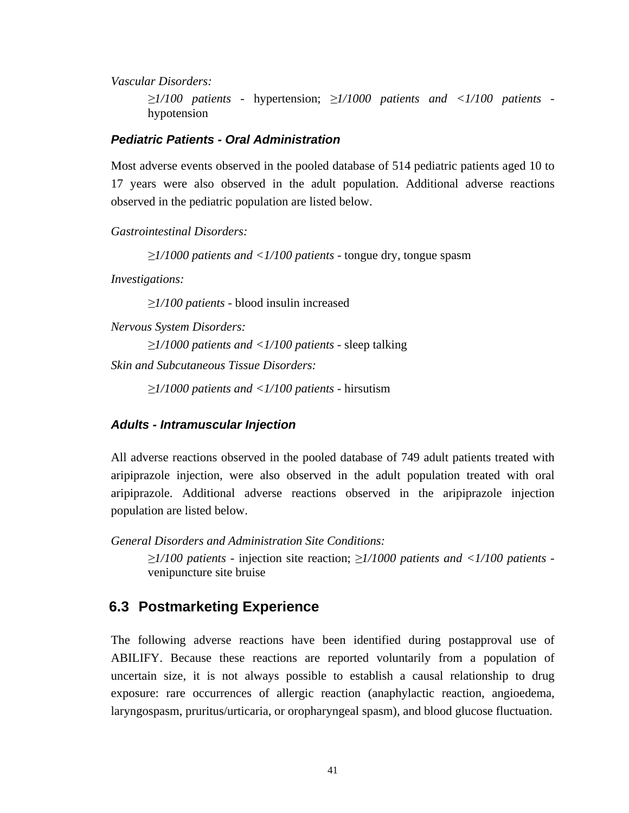*Vascular Disorders:* 

*≥1/100 patients -* hypertension; *≥1/1000 patients and <1/100 patients* hypotension

#### *Pediatric Patients - Oral Administration*

Most adverse events observed in the pooled database of 514 pediatric patients aged 10 to 17 years were also observed in the adult population. Additional adverse reactions observed in the pediatric population are listed below.

*Gastrointestinal Disorders:* 

*≥1/1000 patients and <1/100 patients -* tongue dry, tongue spasm

*Investigations:* 

*≥1/100 patients -* blood insulin increased

*Nervous System Disorders:* 

*≥1/1000 patients and <1/100 patients* - sleep talking

*Skin and Subcutaneous Tissue Disorders:* 

*≥1/1000 patients and <1/100 patients* - hirsutism

#### *Adults - Intramuscular Injection*

All adverse reactions observed in the pooled database of 749 adult patients treated with aripiprazole injection, were also observed in the adult population treated with oral aripiprazole. Additional adverse reactions observed in the aripiprazole injection population are listed below.

*General Disorders and Administration Site Conditions:* 

*≥1/100 patients -* injection site reaction; *≥1/1000 patients and <1/100 patients* venipuncture site bruise

### **6.3 Postmarketing Experience**

The following adverse reactions have been identified during postapproval use of ABILIFY. Because these reactions are reported voluntarily from a population of uncertain size, it is not always possible to establish a causal relationship to drug exposure: rare occurrences of allergic reaction (anaphylactic reaction, angioedema, laryngospasm, pruritus/urticaria, or oropharyngeal spasm), and blood glucose fluctuation.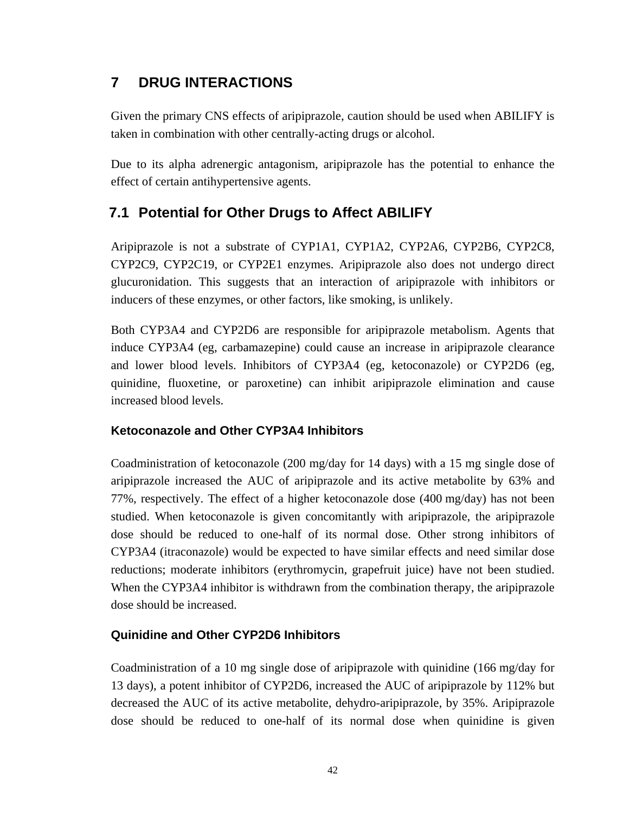# **7 DRUG INTERACTIONS**

Given the primary CNS effects of aripiprazole, caution should be used when ABILIFY is taken in combination with other centrally-acting drugs or alcohol.

Due to its alpha adrenergic antagonism, aripiprazole has the potential to enhance the effect of certain antihypertensive agents.

# **7.1 Potential for Other Drugs to Affect ABILIFY**

Aripiprazole is not a substrate of CYP1A1, CYP1A2, CYP2A6, CYP2B6, CYP2C8, CYP2C9, CYP2C19, or CYP2E1 enzymes. Aripiprazole also does not undergo direct glucuronidation. This suggests that an interaction of aripiprazole with inhibitors or inducers of these enzymes, or other factors, like smoking, is unlikely.

Both CYP3A4 and CYP2D6 are responsible for aripiprazole metabolism. Agents that induce CYP3A4 (eg, carbamazepine) could cause an increase in aripiprazole clearance and lower blood levels. Inhibitors of CYP3A4 (eg, ketoconazole) or CYP2D6 (eg, quinidine, fluoxetine, or paroxetine) can inhibit aripiprazole elimination and cause increased blood levels.

### **Ketoconazole and Other CYP3A4 Inhibitors**

Coadministration of ketoconazole (200 mg/day for 14 days) with a 15 mg single dose of aripiprazole increased the AUC of aripiprazole and its active metabolite by 63% and 77%, respectively. The effect of a higher ketoconazole dose (400 mg/day) has not been studied. When ketoconazole is given concomitantly with aripiprazole, the aripiprazole dose should be reduced to one-half of its normal dose. Other strong inhibitors of CYP3A4 (itraconazole) would be expected to have similar effects and need similar dose reductions; moderate inhibitors (erythromycin, grapefruit juice) have not been studied. When the CYP3A4 inhibitor is withdrawn from the combination therapy, the aripiprazole dose should be increased.

### **Quinidine and Other CYP2D6 Inhibitors**

Coadministration of a 10 mg single dose of aripiprazole with quinidine (166 mg/day for 13 days), a potent inhibitor of CYP2D6, increased the AUC of aripiprazole by 112% but decreased the AUC of its active metabolite, dehydro-aripiprazole, by 35%. Aripiprazole dose should be reduced to one-half of its normal dose when quinidine is given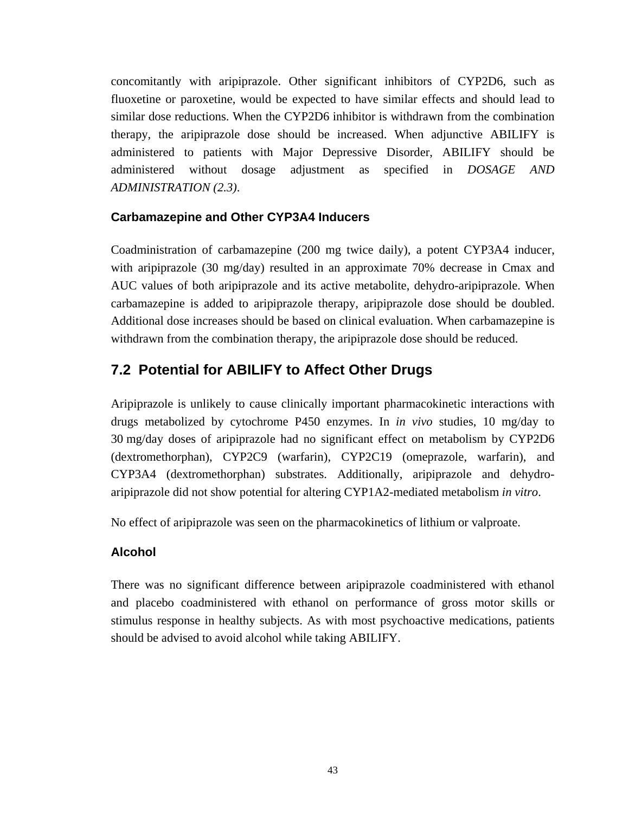concomitantly with aripiprazole. Other significant inhibitors of CYP2D6, such as fluoxetine or paroxetine, would be expected to have similar effects and should lead to similar dose reductions. When the CYP2D6 inhibitor is withdrawn from the combination therapy, the aripiprazole dose should be increased. When adjunctive ABILIFY is administered to patients with Major Depressive Disorder, ABILIFY should be administered without dosage adjustment as specified in *DOSAGE AND ADMINISTRATION (2.3)*.

### **Carbamazepine and Other CYP3A4 Inducers**

Coadministration of carbamazepine (200 mg twice daily), a potent CYP3A4 inducer, with aripiprazole (30 mg/day) resulted in an approximate 70% decrease in Cmax and AUC values of both aripiprazole and its active metabolite, dehydro-aripiprazole. When carbamazepine is added to aripiprazole therapy, aripiprazole dose should be doubled. Additional dose increases should be based on clinical evaluation. When carbamazepine is withdrawn from the combination therapy, the aripiprazole dose should be reduced.

## **7.2 Potential for ABILIFY to Affect Other Drugs**

Aripiprazole is unlikely to cause clinically important pharmacokinetic interactions with drugs metabolized by cytochrome P450 enzymes. In *in vivo* studies, 10 mg/day to 30 mg/day doses of aripiprazole had no significant effect on metabolism by CYP2D6 (dextromethorphan), CYP2C9 (warfarin), CYP2C19 (omeprazole, warfarin), and CYP3A4 (dextromethorphan) substrates. Additionally, aripiprazole and dehydroaripiprazole did not show potential for altering CYP1A2-mediated metabolism *in vitro*.

No effect of aripiprazole was seen on the pharmacokinetics of lithium or valproate.

### **Alcohol**

There was no significant difference between aripiprazole coadministered with ethanol and placebo coadministered with ethanol on performance of gross motor skills or stimulus response in healthy subjects. As with most psychoactive medications, patients should be advised to avoid alcohol while taking ABILIFY.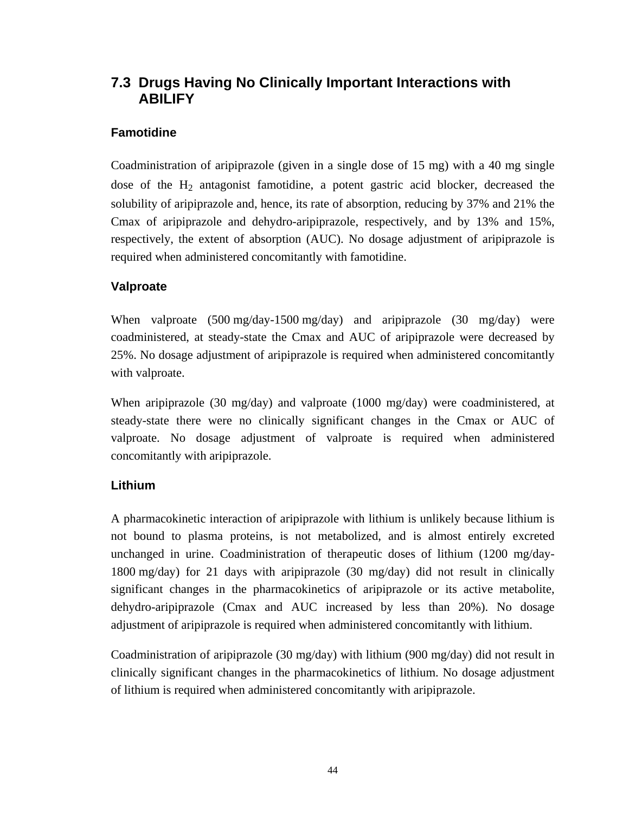## **7.3 Drugs Having No Clinically Important Interactions with ABILIFY**

### **Famotidine**

Coadministration of aripiprazole (given in a single dose of 15 mg) with a 40 mg single dose of the H2 antagonist famotidine, a potent gastric acid blocker, decreased the solubility of aripiprazole and, hence, its rate of absorption, reducing by 37% and 21% the Cmax of aripiprazole and dehydro-aripiprazole, respectively, and by 13% and 15%, respectively, the extent of absorption (AUC). No dosage adjustment of aripiprazole is required when administered concomitantly with famotidine.

### **Valproate**

When valproate (500 mg/day-1500 mg/day) and aripiprazole (30 mg/day) were coadministered, at steady-state the Cmax and AUC of aripiprazole were decreased by 25%. No dosage adjustment of aripiprazole is required when administered concomitantly with valproate.

When aripiprazole (30 mg/day) and valproate (1000 mg/day) were coadministered, at steady-state there were no clinically significant changes in the Cmax or AUC of valproate. No dosage adjustment of valproate is required when administered concomitantly with aripiprazole.

### **Lithium**

A pharmacokinetic interaction of aripiprazole with lithium is unlikely because lithium is not bound to plasma proteins, is not metabolized, and is almost entirely excreted unchanged in urine. Coadministration of therapeutic doses of lithium (1200 mg/day-1800 mg/day) for 21 days with aripiprazole (30 mg/day) did not result in clinically significant changes in the pharmacokinetics of aripiprazole or its active metabolite, dehydro-aripiprazole (Cmax and AUC increased by less than 20%). No dosage adjustment of aripiprazole is required when administered concomitantly with lithium.

Coadministration of aripiprazole (30 mg/day) with lithium (900 mg/day) did not result in clinically significant changes in the pharmacokinetics of lithium. No dosage adjustment of lithium is required when administered concomitantly with aripiprazole.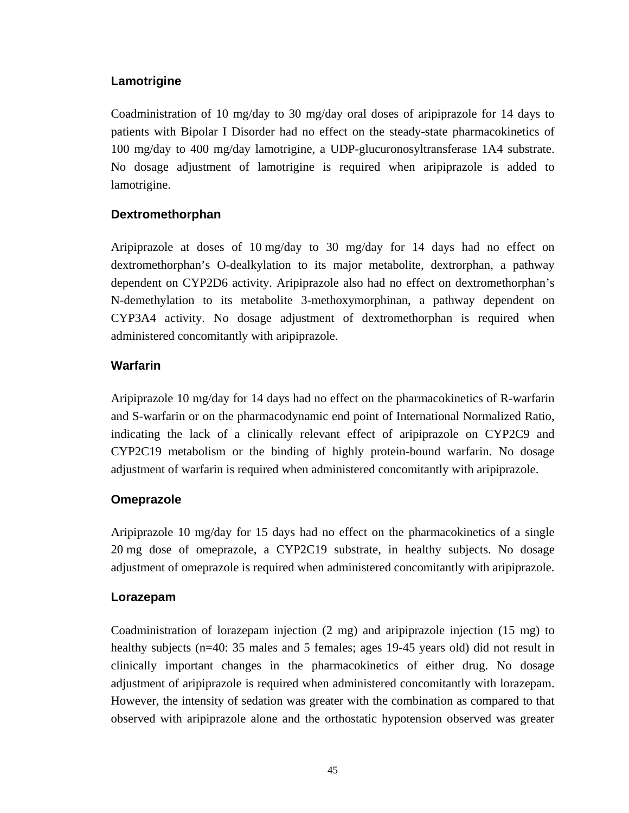### **Lamotrigine**

Coadministration of 10 mg/day to 30 mg/day oral doses of aripiprazole for 14 days to patients with Bipolar I Disorder had no effect on the steady-state pharmacokinetics of 100 mg/day to 400 mg/day lamotrigine, a UDP-glucuronosyltransferase 1A4 substrate. No dosage adjustment of lamotrigine is required when aripiprazole is added to lamotrigine.

### **Dextromethorphan**

Aripiprazole at doses of 10 mg/day to 30 mg/day for 14 days had no effect on dextromethorphan's O-dealkylation to its major metabolite, dextrorphan, a pathway dependent on CYP2D6 activity. Aripiprazole also had no effect on dextromethorphan's N-demethylation to its metabolite 3-methoxymorphinan, a pathway dependent on CYP3A4 activity. No dosage adjustment of dextromethorphan is required when administered concomitantly with aripiprazole.

### **Warfarin**

Aripiprazole 10 mg/day for 14 days had no effect on the pharmacokinetics of R-warfarin and S-warfarin or on the pharmacodynamic end point of International Normalized Ratio, indicating the lack of a clinically relevant effect of aripiprazole on CYP2C9 and CYP2C19 metabolism or the binding of highly protein-bound warfarin. No dosage adjustment of warfarin is required when administered concomitantly with aripiprazole.

### **Omeprazole**

Aripiprazole 10 mg/day for 15 days had no effect on the pharmacokinetics of a single 20 mg dose of omeprazole, a CYP2C19 substrate, in healthy subjects. No dosage adjustment of omeprazole is required when administered concomitantly with aripiprazole.

### **Lorazepam**

Coadministration of lorazepam injection (2 mg) and aripiprazole injection (15 mg) to healthy subjects (n=40: 35 males and 5 females; ages 19-45 years old) did not result in clinically important changes in the pharmacokinetics of either drug. No dosage adjustment of aripiprazole is required when administered concomitantly with lorazepam. However, the intensity of sedation was greater with the combination as compared to that observed with aripiprazole alone and the orthostatic hypotension observed was greater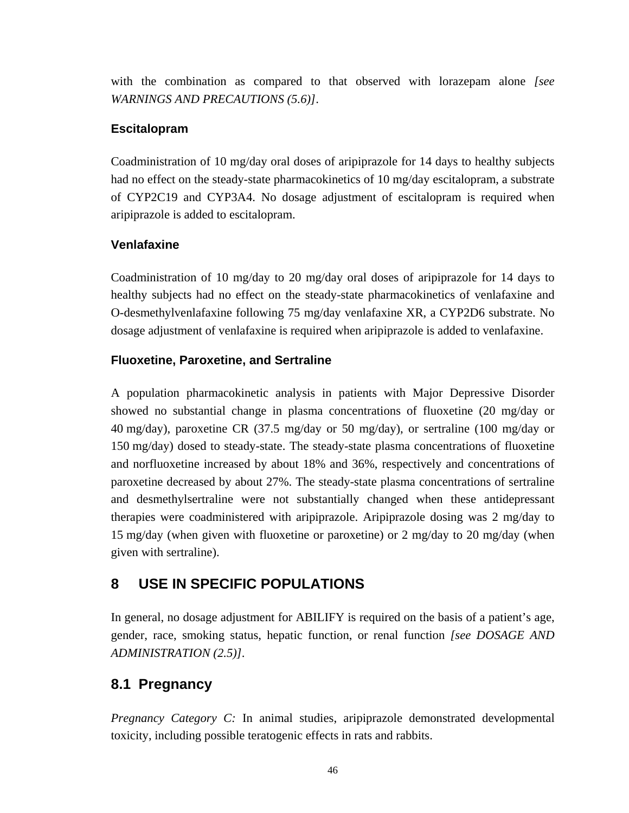with the combination as compared to that observed with lorazepam alone *[see WARNINGS AND PRECAUTIONS (5.6)]*.

### **Escitalopram**

Coadministration of 10 mg/day oral doses of aripiprazole for 14 days to healthy subjects had no effect on the steady-state pharmacokinetics of 10 mg/day escitalopram, a substrate of CYP2C19 and CYP3A4. No dosage adjustment of escitalopram is required when aripiprazole is added to escitalopram.

### **Venlafaxine**

Coadministration of 10 mg/day to 20 mg/day oral doses of aripiprazole for 14 days to healthy subjects had no effect on the steady-state pharmacokinetics of venlafaxine and O-desmethylvenlafaxine following 75 mg/day venlafaxine XR, a CYP2D6 substrate. No dosage adjustment of venlafaxine is required when aripiprazole is added to venlafaxine.

### **Fluoxetine, Paroxetine, and Sertraline**

A population pharmacokinetic analysis in patients with Major Depressive Disorder showed no substantial change in plasma concentrations of fluoxetine (20 mg/day or 40 mg/day), paroxetine CR (37.5 mg/day or 50 mg/day), or sertraline (100 mg/day or 150 mg/day) dosed to steady-state. The steady-state plasma concentrations of fluoxetine and norfluoxetine increased by about 18% and 36%, respectively and concentrations of paroxetine decreased by about 27%. The steady-state plasma concentrations of sertraline and desmethylsertraline were not substantially changed when these antidepressant therapies were coadministered with aripiprazole. Aripiprazole dosing was 2 mg/day to 15 mg/day (when given with fluoxetine or paroxetine) or 2 mg/day to 20 mg/day (when given with sertraline).

#### **8 USE IN SPECIFIC POPULATIONS**

In general, no dosage adjustment for ABILIFY is required on the basis of a patient's age, gender, race, smoking status, hepatic function, or renal function *[see DOSAGE AND ADMINISTRATION (2.5)]*.

## **8.1 Pregnancy**

*Pregnancy Category C:* In animal studies, aripiprazole demonstrated developmental toxicity, including possible teratogenic effects in rats and rabbits.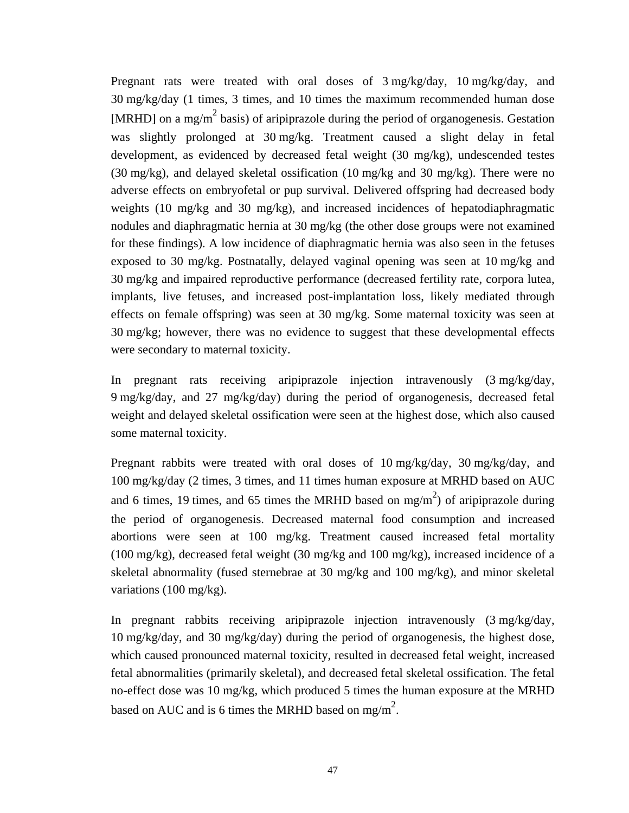Pregnant rats were treated with oral doses of 3 mg/kg/day, 10 mg/kg/day, and 30 mg/kg/day (1 times, 3 times, and 10 times the maximum recommended human dose [MRHD] on a mg/m<sup>2</sup> basis) of aripiprazole during the period of organogenesis. Gestation was slightly prolonged at 30 mg/kg. Treatment caused a slight delay in fetal development, as evidenced by decreased fetal weight (30 mg/kg), undescended testes (30 mg/kg), and delayed skeletal ossification (10 mg/kg and 30 mg/kg). There were no adverse effects on embryofetal or pup survival. Delivered offspring had decreased body weights (10 mg/kg and 30 mg/kg), and increased incidences of hepatodiaphragmatic nodules and diaphragmatic hernia at 30 mg/kg (the other dose groups were not examined for these findings). A low incidence of diaphragmatic hernia was also seen in the fetuses exposed to 30 mg/kg. Postnatally, delayed vaginal opening was seen at 10 mg/kg and 30 mg/kg and impaired reproductive performance (decreased fertility rate, corpora lutea, implants, live fetuses, and increased post-implantation loss, likely mediated through effects on female offspring) was seen at 30 mg/kg. Some maternal toxicity was seen at 30 mg/kg; however, there was no evidence to suggest that these developmental effects were secondary to maternal toxicity.

In pregnant rats receiving aripiprazole injection intravenously (3 mg/kg/day, 9 mg/kg/day, and 27 mg/kg/day) during the period of organogenesis, decreased fetal weight and delayed skeletal ossification were seen at the highest dose, which also caused some maternal toxicity.

Pregnant rabbits were treated with oral doses of 10 mg/kg/day, 30 mg/kg/day, and 100 mg/kg/day (2 times, 3 times, and 11 times human exposure at MRHD based on AUC and 6 times, 19 times, and 65 times the MRHD based on mg/m<sup>2</sup>) of aripiprazole during the period of organogenesis. Decreased maternal food consumption and increased abortions were seen at 100 mg/kg. Treatment caused increased fetal mortality (100 mg/kg), decreased fetal weight (30 mg/kg and 100 mg/kg), increased incidence of a skeletal abnormality (fused sternebrae at 30 mg/kg and 100 mg/kg), and minor skeletal variations (100 mg/kg).

In pregnant rabbits receiving aripiprazole injection intravenously (3 mg/kg/day, 10 mg/kg/day, and 30 mg/kg/day) during the period of organogenesis, the highest dose, which caused pronounced maternal toxicity, resulted in decreased fetal weight, increased fetal abnormalities (primarily skeletal), and decreased fetal skeletal ossification. The fetal no-effect dose was 10 mg/kg, which produced 5 times the human exposure at the MRHD based on AUC and is 6 times the MRHD based on mg/m<sup>2</sup>.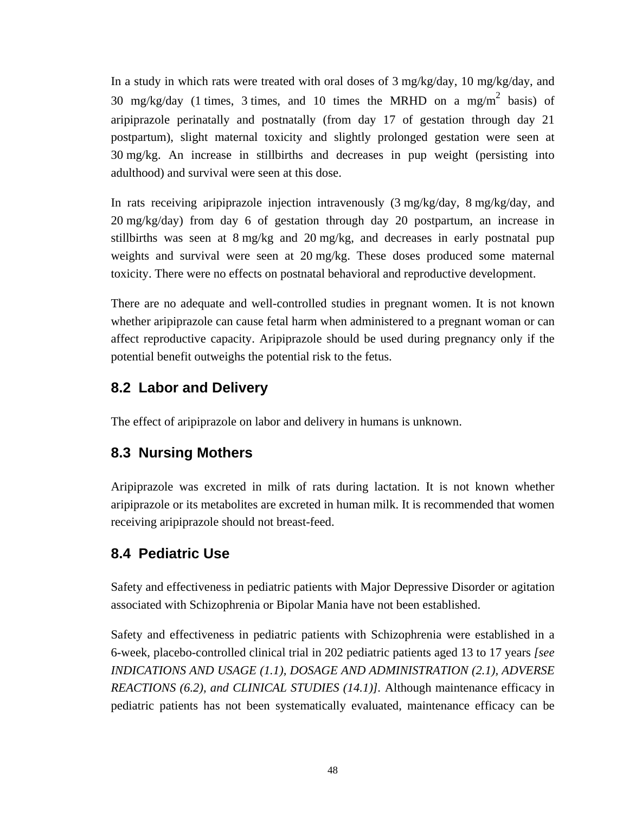In a study in which rats were treated with oral doses of 3 mg/kg/day, 10 mg/kg/day, and 30 mg/kg/day (1 times, 3 times, and 10 times the MRHD on a mg/m<sup>2</sup> basis) of aripiprazole perinatally and postnatally (from day 17 of gestation through day 21 postpartum), slight maternal toxicity and slightly prolonged gestation were seen at 30 mg/kg. An increase in stillbirths and decreases in pup weight (persisting into adulthood) and survival were seen at this dose.

In rats receiving aripiprazole injection intravenously (3 mg/kg/day, 8 mg/kg/day, and 20 mg/kg/day) from day 6 of gestation through day 20 postpartum, an increase in stillbirths was seen at 8 mg/kg and 20 mg/kg, and decreases in early postnatal pup weights and survival were seen at 20 mg/kg. These doses produced some maternal toxicity. There were no effects on postnatal behavioral and reproductive development.

There are no adequate and well-controlled studies in pregnant women. It is not known whether aripiprazole can cause fetal harm when administered to a pregnant woman or can affect reproductive capacity. Aripiprazole should be used during pregnancy only if the potential benefit outweighs the potential risk to the fetus.

## **8.2 Labor and Delivery**

The effect of aripiprazole on labor and delivery in humans is unknown.

# **8.3 Nursing Mothers**

Aripiprazole was excreted in milk of rats during lactation. It is not known whether aripiprazole or its metabolites are excreted in human milk. It is recommended that women receiving aripiprazole should not breast-feed.

# **8.4 Pediatric Use**

Safety and effectiveness in pediatric patients with Major Depressive Disorder or agitation associated with Schizophrenia or Bipolar Mania have not been established.

Safety and effectiveness in pediatric patients with Schizophrenia were established in a 6-week, placebo-controlled clinical trial in 202 pediatric patients aged 13 to 17 years *[see INDICATIONS AND USAGE (1.1), DOSAGE AND ADMINISTRATION (2.1), ADVERSE REACTIONS (6.2), and CLINICAL STUDIES (14.1)].* Although maintenance efficacy in pediatric patients has not been systematically evaluated, maintenance efficacy can be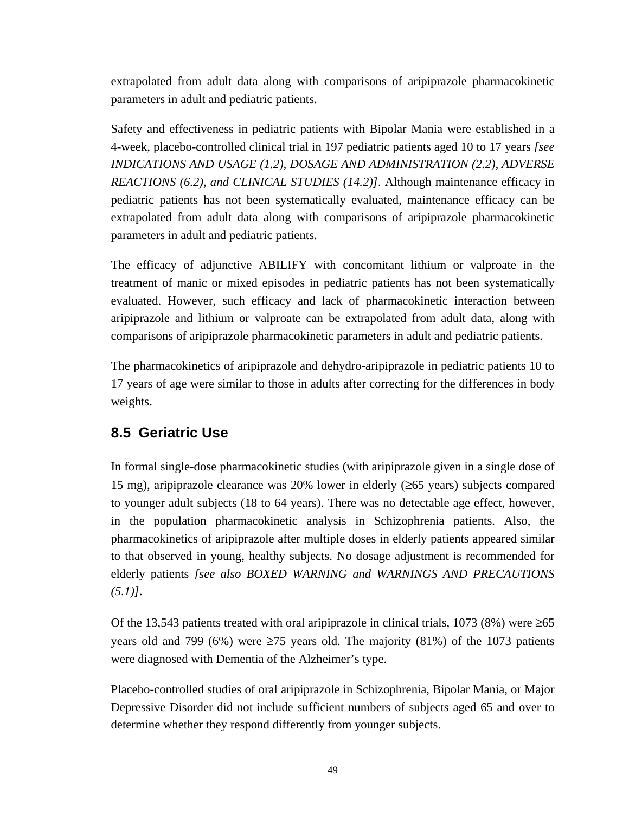extrapolated from adult data along with comparisons of aripiprazole pharmacokinetic parameters in adult and pediatric patients.

Safety and effectiveness in pediatric patients with Bipolar Mania were established in a 4-week, placebo-controlled clinical trial in 197 pediatric patients aged 10 to 17 years *[see INDICATIONS AND USAGE (1.2), DOSAGE AND ADMINISTRATION (2.2), ADVERSE REACTIONS (6.2), and CLINICAL STUDIES (14.2)]*. Although maintenance efficacy in pediatric patients has not been systematically evaluated, maintenance efficacy can be extrapolated from adult data along with comparisons of aripiprazole pharmacokinetic parameters in adult and pediatric patients.

The efficacy of adjunctive ABILIFY with concomitant lithium or valproate in the treatment of manic or mixed episodes in pediatric patients has not been systematically evaluated. However, such efficacy and lack of pharmacokinetic interaction between aripiprazole and lithium or valproate can be extrapolated from adult data, along with comparisons of aripiprazole pharmacokinetic parameters in adult and pediatric patients.

The pharmacokinetics of aripiprazole and dehydro-aripiprazole in pediatric patients 10 to 17 years of age were similar to those in adults after correcting for the differences in body weights.

# **8.5 Geriatric Use**

In formal single-dose pharmacokinetic studies (with aripiprazole given in a single dose of 15 mg), aripiprazole clearance was 20% lower in elderly (≥65 years) subjects compared to younger adult subjects (18 to 64 years). There was no detectable age effect, however, in the population pharmacokinetic analysis in Schizophrenia patients. Also, the pharmacokinetics of aripiprazole after multiple doses in elderly patients appeared similar to that observed in young, healthy subjects. No dosage adjustment is recommended for elderly patients *[see also BOXED WARNING and WARNINGS AND PRECAUTIONS (5.1)]*.

Of the 13,543 patients treated with oral aripiprazole in clinical trials, 1073 (8%) were  $\geq 65$ years old and 799 (6%) were  $\geq 75$  years old. The majority (81%) of the 1073 patients were diagnosed with Dementia of the Alzheimer's type.

Placebo-controlled studies of oral aripiprazole in Schizophrenia, Bipolar Mania, or Major Depressive Disorder did not include sufficient numbers of subjects aged 65 and over to determine whether they respond differently from younger subjects.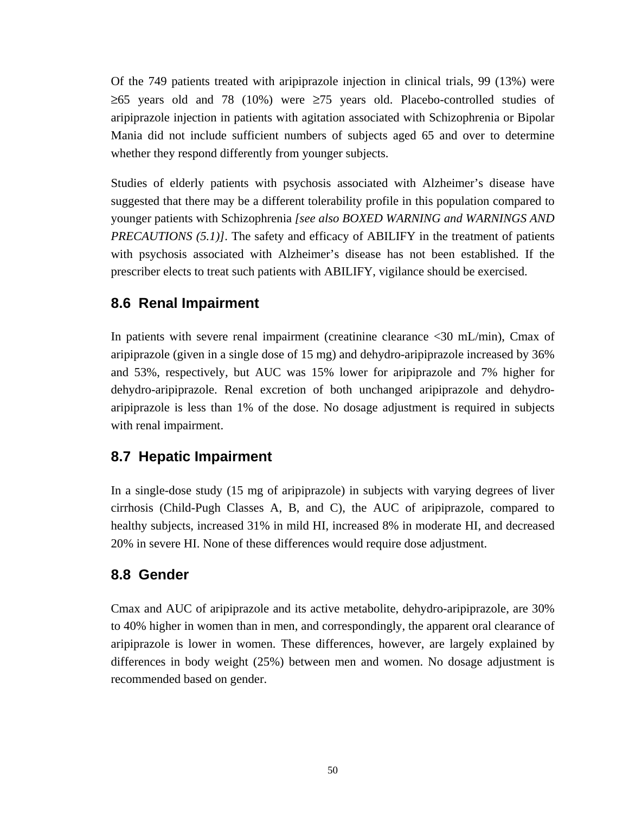Of the 749 patients treated with aripiprazole injection in clinical trials, 99 (13%) were  $≥65$  years old and 78 (10%) were  $≥75$  years old. Placebo-controlled studies of aripiprazole injection in patients with agitation associated with Schizophrenia or Bipolar Mania did not include sufficient numbers of subjects aged 65 and over to determine whether they respond differently from younger subjects.

Studies of elderly patients with psychosis associated with Alzheimer's disease have suggested that there may be a different tolerability profile in this population compared to younger patients with Schizophrenia *[see also BOXED WARNING and WARNINGS AND PRECAUTIONS (5.1)]*. The safety and efficacy of ABILIFY in the treatment of patients with psychosis associated with Alzheimer's disease has not been established. If the prescriber elects to treat such patients with ABILIFY, vigilance should be exercised.

## **8.6 Renal Impairment**

In patients with severe renal impairment (creatinine clearance <30 mL/min), Cmax of aripiprazole (given in a single dose of 15 mg) and dehydro-aripiprazole increased by 36% and 53%, respectively, but AUC was 15% lower for aripiprazole and 7% higher for dehydro-aripiprazole. Renal excretion of both unchanged aripiprazole and dehydroaripiprazole is less than 1% of the dose. No dosage adjustment is required in subjects with renal impairment.

## **8.7 Hepatic Impairment**

In a single-dose study (15 mg of aripiprazole) in subjects with varying degrees of liver cirrhosis (Child-Pugh Classes A, B, and C), the AUC of aripiprazole, compared to healthy subjects, increased 31% in mild HI, increased 8% in moderate HI, and decreased 20% in severe HI. None of these differences would require dose adjustment.

## **8.8 Gender**

Cmax and AUC of aripiprazole and its active metabolite, dehydro-aripiprazole, are 30% to 40% higher in women than in men, and correspondingly, the apparent oral clearance of aripiprazole is lower in women. These differences, however, are largely explained by differences in body weight (25%) between men and women. No dosage adjustment is recommended based on gender.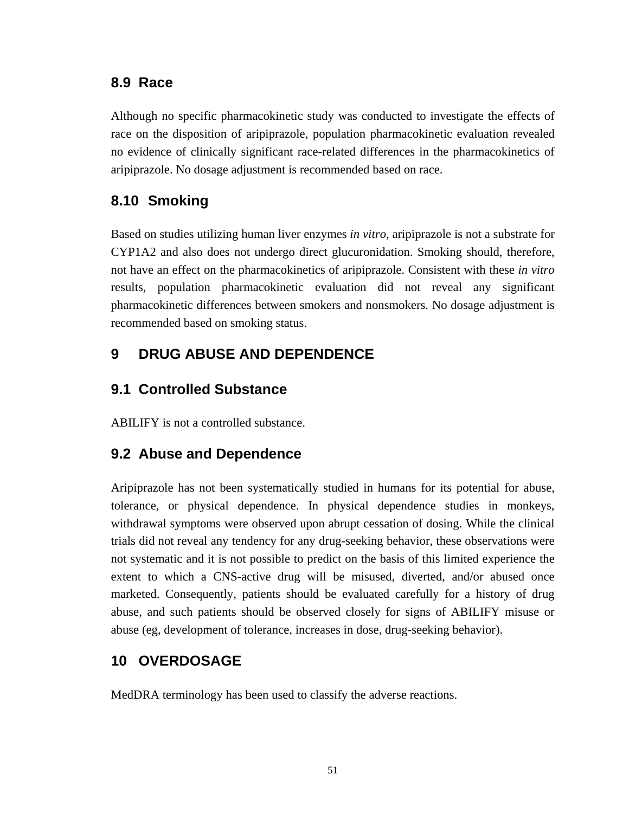## **8.9 Race**

Although no specific pharmacokinetic study was conducted to investigate the effects of race on the disposition of aripiprazole, population pharmacokinetic evaluation revealed no evidence of clinically significant race-related differences in the pharmacokinetics of aripiprazole. No dosage adjustment is recommended based on race.

## **8.10 Smoking**

Based on studies utilizing human liver enzymes *in vitro*, aripiprazole is not a substrate for CYP1A2 and also does not undergo direct glucuronidation. Smoking should, therefore, not have an effect on the pharmacokinetics of aripiprazole. Consistent with these *in vitro*  results, population pharmacokinetic evaluation did not reveal any significant pharmacokinetic differences between smokers and nonsmokers. No dosage adjustment is recommended based on smoking status.

#### **9 DRUG ABUSE AND DEPENDENCE**

## **9.1 Controlled Substance**

ABILIFY is not a controlled substance.

# **9.2 Abuse and Dependence**

Aripiprazole has not been systematically studied in humans for its potential for abuse, tolerance, or physical dependence. In physical dependence studies in monkeys, withdrawal symptoms were observed upon abrupt cessation of dosing. While the clinical trials did not reveal any tendency for any drug-seeking behavior, these observations were not systematic and it is not possible to predict on the basis of this limited experience the extent to which a CNS-active drug will be misused, diverted, and/or abused once marketed. Consequently, patients should be evaluated carefully for a history of drug abuse, and such patients should be observed closely for signs of ABILIFY misuse or abuse (eg, development of tolerance, increases in dose, drug-seeking behavior).

# **10 OVERDOSAGE**

MedDRA terminology has been used to classify the adverse reactions.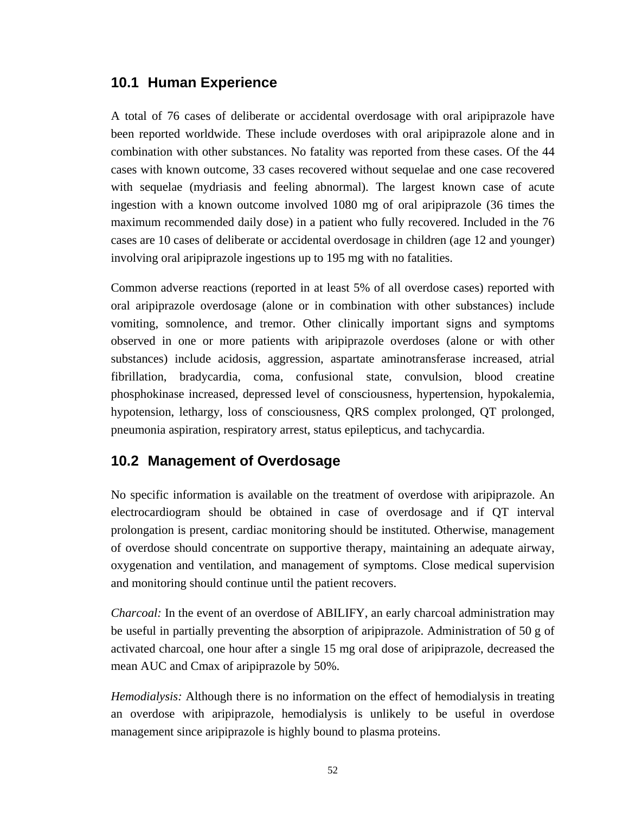### **10.1 Human Experience**

A total of 76 cases of deliberate or accidental overdosage with oral aripiprazole have been reported worldwide. These include overdoses with oral aripiprazole alone and in combination with other substances. No fatality was reported from these cases. Of the 44 cases with known outcome, 33 cases recovered without sequelae and one case recovered with sequelae (mydriasis and feeling abnormal). The largest known case of acute ingestion with a known outcome involved 1080 mg of oral aripiprazole (36 times the maximum recommended daily dose) in a patient who fully recovered. Included in the 76 cases are 10 cases of deliberate or accidental overdosage in children (age 12 and younger) involving oral aripiprazole ingestions up to 195 mg with no fatalities.

Common adverse reactions (reported in at least 5% of all overdose cases) reported with oral aripiprazole overdosage (alone or in combination with other substances) include vomiting, somnolence, and tremor. Other clinically important signs and symptoms observed in one or more patients with aripiprazole overdoses (alone or with other substances) include acidosis, aggression, aspartate aminotransferase increased, atrial fibrillation, bradycardia, coma, confusional state, convulsion, blood creatine phosphokinase increased, depressed level of consciousness, hypertension, hypokalemia, hypotension, lethargy, loss of consciousness, QRS complex prolonged, QT prolonged, pneumonia aspiration, respiratory arrest, status epilepticus, and tachycardia.

## **10.2 Management of Overdosage**

No specific information is available on the treatment of overdose with aripiprazole. An electrocardiogram should be obtained in case of overdosage and if QT interval prolongation is present, cardiac monitoring should be instituted. Otherwise, management of overdose should concentrate on supportive therapy, maintaining an adequate airway, oxygenation and ventilation, and management of symptoms. Close medical supervision and monitoring should continue until the patient recovers.

*Charcoal:* In the event of an overdose of ABILIFY, an early charcoal administration may be useful in partially preventing the absorption of aripiprazole. Administration of 50 g of activated charcoal, one hour after a single 15 mg oral dose of aripiprazole, decreased the mean AUC and Cmax of aripiprazole by 50%.

*Hemodialysis:* Although there is no information on the effect of hemodialysis in treating an overdose with aripiprazole, hemodialysis is unlikely to be useful in overdose management since aripiprazole is highly bound to plasma proteins.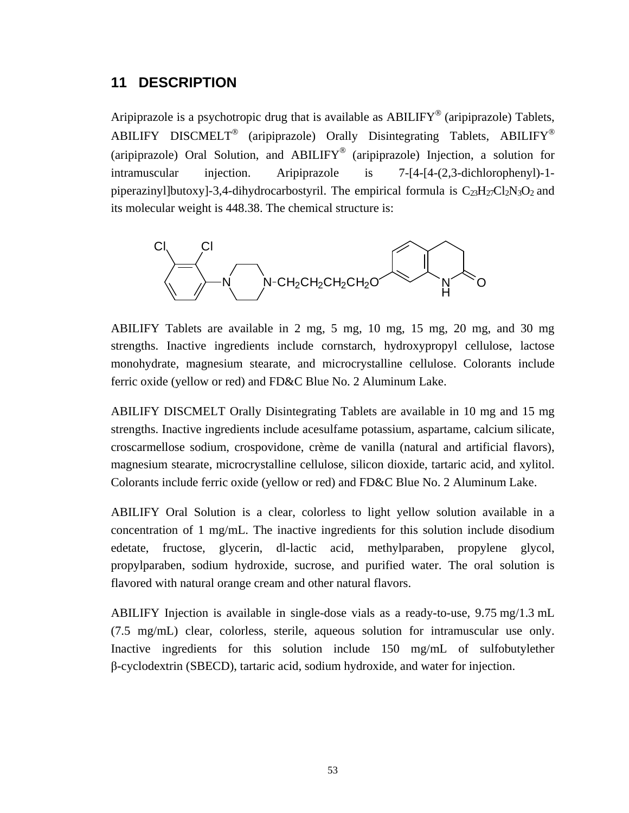### **11 DESCRIPTION**

Aripiprazole is a psychotropic drug that is available as  $ABILIFY<sup>®</sup>$  (aripiprazole) Tablets. ABILIFY DISCMELT<sup>®</sup> (aripiprazole) Orally Disintegrating Tablets, ABILIFY<sup>®</sup> (aripiprazole) Oral Solution, and ABILIFY<sup>®</sup> (aripiprazole) Injection, a solution for intramuscular injection. Aripiprazole is 7-[4-[4-(2,3-dichlorophenyl)-1 piperazinyl]butoxy]-3,4-dihydrocarbostyril. The empirical formula is  $C_{23}H_{27}Cl_2N_3O_2$  and its molecular weight is 448.38. The chemical structure is:



ABILIFY Tablets are available in 2 mg, 5 mg, 10 mg, 15 mg, 20 mg, and 30 mg strengths. Inactive ingredients include cornstarch, hydroxypropyl cellulose, lactose monohydrate, magnesium stearate, and microcrystalline cellulose. Colorants include ferric oxide (yellow or red) and FD&C Blue No. 2 Aluminum Lake.

ABILIFY DISCMELT Orally Disintegrating Tablets are available in 10 mg and 15 mg strengths. Inactive ingredients include acesulfame potassium, aspartame, calcium silicate, croscarmellose sodium, crospovidone, crème de vanilla (natural and artificial flavors), magnesium stearate, microcrystalline cellulose, silicon dioxide, tartaric acid, and xylitol. Colorants include ferric oxide (yellow or red) and FD&C Blue No. 2 Aluminum Lake.

ABILIFY Oral Solution is a clear, colorless to light yellow solution available in a concentration of 1 mg/mL. The inactive ingredients for this solution include disodium edetate, fructose, glycerin, dl-lactic acid, methylparaben, propylene glycol, propylparaben, sodium hydroxide, sucrose, and purified water. The oral solution is flavored with natural orange cream and other natural flavors.

ABILIFY Injection is available in single-dose vials as a ready-to-use, 9.75 mg/1.3 mL (7.5 mg/mL) clear, colorless, sterile, aqueous solution for intramuscular use only. Inactive ingredients for this solution include 150 mg/mL of sulfobutylether β-cyclodextrin (SBECD), tartaric acid, sodium hydroxide, and water for injection.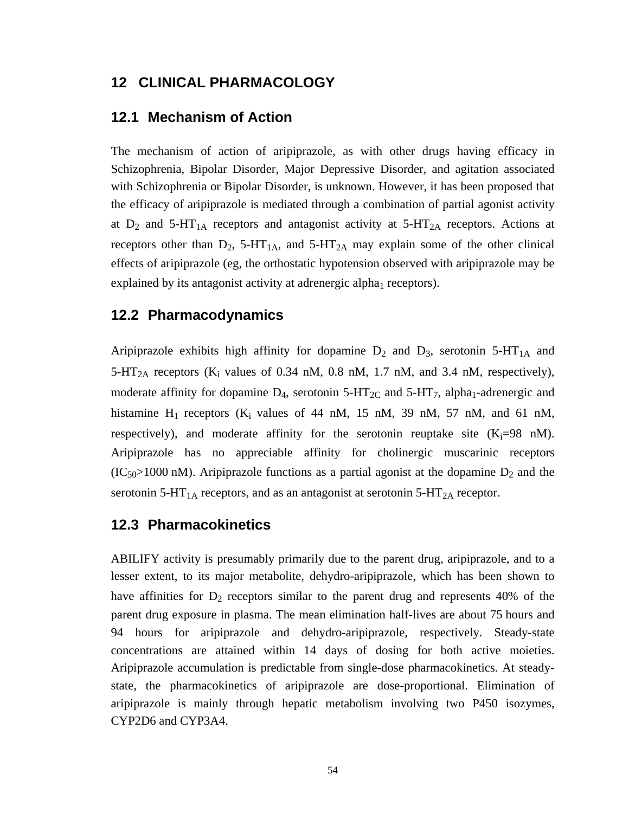### **12 CLINICAL PHARMACOLOGY**

#### **12.1 Mechanism of Action**

The mechanism of action of aripiprazole, as with other drugs having efficacy in Schizophrenia, Bipolar Disorder, Major Depressive Disorder, and agitation associated with Schizophrenia or Bipolar Disorder, is unknown. However, it has been proposed that the efficacy of aripiprazole is mediated through a combination of partial agonist activity at  $D_2$  and 5-HT<sub>1A</sub> receptors and antagonist activity at 5-HT<sub>2A</sub> receptors. Actions at receptors other than  $D_2$ , 5-HT<sub>1A</sub>, and 5-HT<sub>2A</sub> may explain some of the other clinical effects of aripiprazole (eg, the orthostatic hypotension observed with aripiprazole may be explained by its antagonist activity at adrenergic alpha<sub>1</sub> receptors).

### **12.2 Pharmacodynamics**

Aripiprazole exhibits high affinity for dopamine  $D_2$  and  $D_3$ , serotonin 5-HT<sub>1A</sub> and 5-HT<sub>2A</sub> receptors ( $K_i$  values of 0.34 nM, 0.8 nM, 1.7 nM, and 3.4 nM, respectively), moderate affinity for dopamine  $D_4$ , serotonin 5-HT<sub>2C</sub> and 5-HT<sub>7</sub>, alpha<sub>1</sub>-adrenergic and histamine  $H_1$  receptors ( $K_i$  values of 44 nM, 15 nM, 39 nM, 57 nM, and 61 nM, respectively), and moderate affinity for the serotonin reuptake site  $(K_i=98 \text{ nM})$ . Aripiprazole has no appreciable affinity for cholinergic muscarinic receptors  $(IC<sub>50</sub> > 1000$  nM). Aripiprazole functions as a partial agonist at the dopamine  $D<sub>2</sub>$  and the serotonin 5-HT<sub>1A</sub> receptors, and as an antagonist at serotonin 5-HT<sub>2A</sub> receptor.

### **12.3 Pharmacokinetics**

ABILIFY activity is presumably primarily due to the parent drug, aripiprazole, and to a lesser extent, to its major metabolite, dehydro-aripiprazole, which has been shown to have affinities for  $D_2$  receptors similar to the parent drug and represents 40% of the parent drug exposure in plasma. The mean elimination half-lives are about 75 hours and 94 hours for aripiprazole and dehydro-aripiprazole, respectively. Steady-state concentrations are attained within 14 days of dosing for both active moieties. Aripiprazole accumulation is predictable from single-dose pharmacokinetics. At steadystate, the pharmacokinetics of aripiprazole are dose-proportional. Elimination of aripiprazole is mainly through hepatic metabolism involving two P450 isozymes, CYP2D6 and CYP3A4.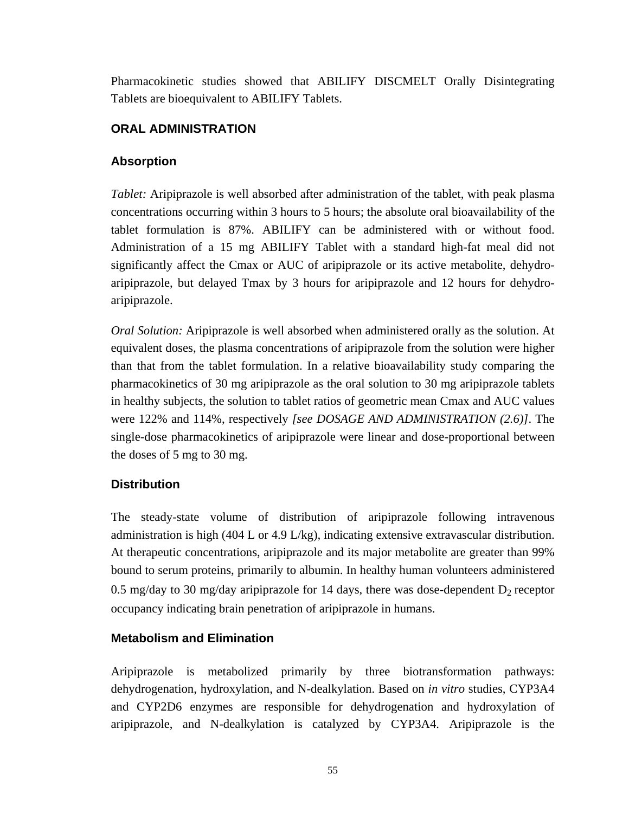Pharmacokinetic studies showed that ABILIFY DISCMELT Orally Disintegrating Tablets are bioequivalent to ABILIFY Tablets.

### **ORAL ADMINISTRATION**

### **Absorption**

*Tablet:* Aripiprazole is well absorbed after administration of the tablet, with peak plasma concentrations occurring within 3 hours to 5 hours; the absolute oral bioavailability of the tablet formulation is 87%. ABILIFY can be administered with or without food. Administration of a 15 mg ABILIFY Tablet with a standard high-fat meal did not significantly affect the Cmax or AUC of aripiprazole or its active metabolite, dehydroaripiprazole, but delayed Tmax by 3 hours for aripiprazole and 12 hours for dehydroaripiprazole.

*Oral Solution:* Aripiprazole is well absorbed when administered orally as the solution. At equivalent doses, the plasma concentrations of aripiprazole from the solution were higher than that from the tablet formulation. In a relative bioavailability study comparing the pharmacokinetics of 30 mg aripiprazole as the oral solution to 30 mg aripiprazole tablets in healthy subjects, the solution to tablet ratios of geometric mean Cmax and AUC values were 122% and 114%, respectively *[see DOSAGE AND ADMINISTRATION (2.6)]*. The single-dose pharmacokinetics of aripiprazole were linear and dose-proportional between the doses of 5 mg to 30 mg.

### **Distribution**

The steady-state volume of distribution of aripiprazole following intravenous administration is high (404 L or 4.9 L/kg), indicating extensive extravascular distribution. At therapeutic concentrations, aripiprazole and its major metabolite are greater than 99% bound to serum proteins, primarily to albumin. In healthy human volunteers administered 0.5 mg/day to 30 mg/day aripiprazole for 14 days, there was dose-dependent  $D_2$  receptor occupancy indicating brain penetration of aripiprazole in humans.

### **Metabolism and Elimination**

Aripiprazole is metabolized primarily by three biotransformation pathways: dehydrogenation, hydroxylation, and N-dealkylation. Based on *in vitro* studies, CYP3A4 and CYP2D6 enzymes are responsible for dehydrogenation and hydroxylation of aripiprazole, and N-dealkylation is catalyzed by CYP3A4. Aripiprazole is the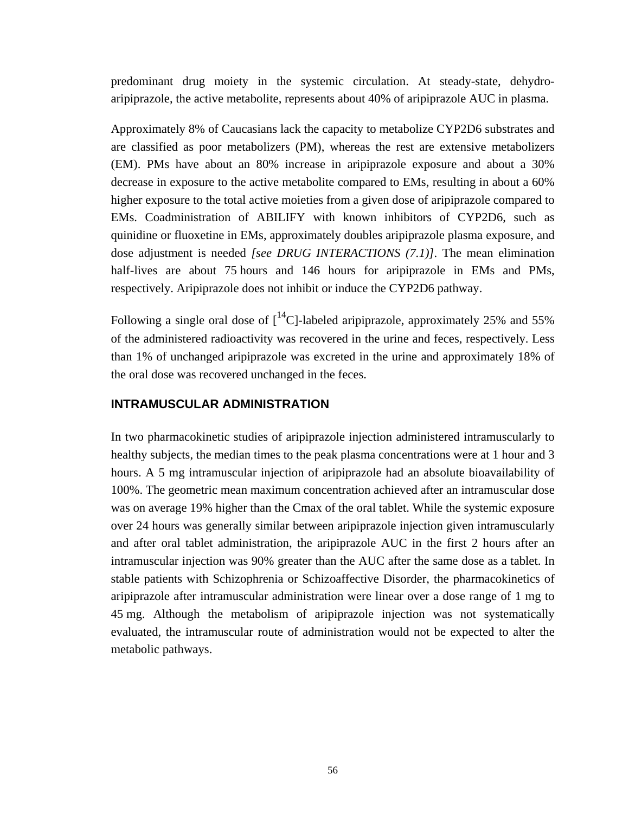predominant drug moiety in the systemic circulation. At steady-state, dehydroaripiprazole, the active metabolite, represents about 40% of aripiprazole AUC in plasma.

Approximately 8% of Caucasians lack the capacity to metabolize CYP2D6 substrates and are classified as poor metabolizers (PM), whereas the rest are extensive metabolizers (EM). PMs have about an 80% increase in aripiprazole exposure and about a 30% decrease in exposure to the active metabolite compared to EMs, resulting in about a 60% higher exposure to the total active moieties from a given dose of aripiprazole compared to EMs. Coadministration of ABILIFY with known inhibitors of CYP2D6, such as quinidine or fluoxetine in EMs, approximately doubles aripiprazole plasma exposure, and dose adjustment is needed *[see DRUG INTERACTIONS (7.1)]*. The mean elimination half-lives are about 75 hours and 146 hours for aripiprazole in EMs and PMs, respectively. Aripiprazole does not inhibit or induce the CYP2D6 pathway.

Following a single oral dose of  $\int_0^{14}$ C]-labeled aripiprazole, approximately 25% and 55% of the administered radioactivity was recovered in the urine and feces, respectively. Less than 1% of unchanged aripiprazole was excreted in the urine and approximately 18% of the oral dose was recovered unchanged in the feces.

#### **INTRAMUSCULAR ADMINISTRATION**

In two pharmacokinetic studies of aripiprazole injection administered intramuscularly to healthy subjects, the median times to the peak plasma concentrations were at 1 hour and 3 hours. A 5 mg intramuscular injection of aripiprazole had an absolute bioavailability of 100%. The geometric mean maximum concentration achieved after an intramuscular dose was on average 19% higher than the Cmax of the oral tablet. While the systemic exposure over 24 hours was generally similar between aripiprazole injection given intramuscularly and after oral tablet administration, the aripiprazole AUC in the first 2 hours after an intramuscular injection was 90% greater than the AUC after the same dose as a tablet. In stable patients with Schizophrenia or Schizoaffective Disorder, the pharmacokinetics of aripiprazole after intramuscular administration were linear over a dose range of 1 mg to 45 mg. Although the metabolism of aripiprazole injection was not systematically evaluated, the intramuscular route of administration would not be expected to alter the metabolic pathways.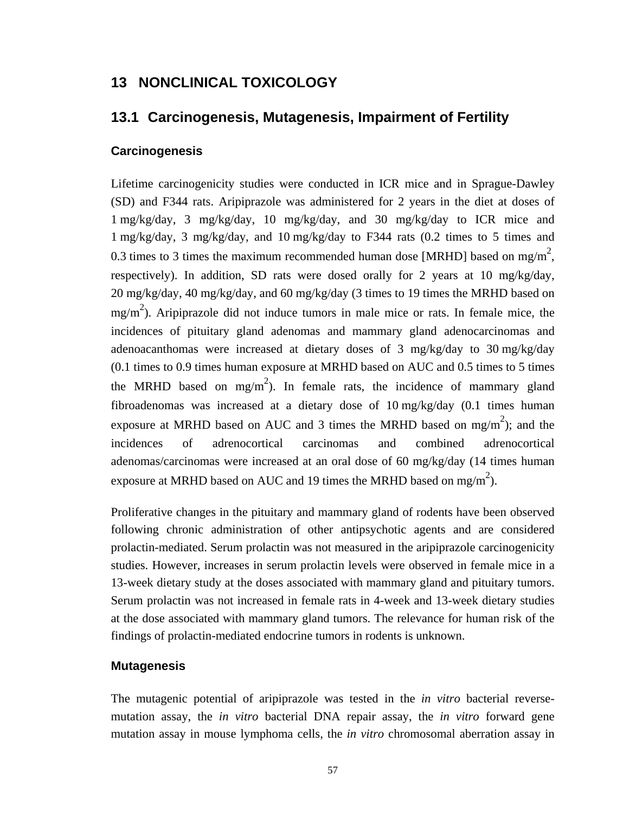### **13 NONCLINICAL TOXICOLOGY**

### **13.1 Carcinogenesis, Mutagenesis, Impairment of Fertility**

#### **Carcinogenesis**

Lifetime carcinogenicity studies were conducted in ICR mice and in Sprague-Dawley (SD) and F344 rats. Aripiprazole was administered for 2 years in the diet at doses of 1 mg/kg/day, 3 mg/kg/day, 10 mg/kg/day, and 30 mg/kg/day to ICR mice and 1 mg/kg/day, 3 mg/kg/day, and 10 mg/kg/day to F344 rats (0.2 times to 5 times and 0.3 times to 3 times the maximum recommended human dose [MRHD] based on mg/m<sup>2</sup>, respectively). In addition, SD rats were dosed orally for 2 years at 10 mg/kg/day, 20 mg/kg/day, 40 mg/kg/day, and 60 mg/kg/day (3 times to 19 times the MRHD based on  $mg/m<sup>2</sup>$ ). Aripiprazole did not induce tumors in male mice or rats. In female mice, the incidences of pituitary gland adenomas and mammary gland adenocarcinomas and adenoacanthomas were increased at dietary doses of 3 mg/kg/day to 30 mg/kg/day (0.1 times to 0.9 times human exposure at MRHD based on AUC and 0.5 times to 5 times the MRHD based on mg/m<sup>2</sup>). In female rats, the incidence of mammary gland fibroadenomas was increased at a dietary dose of 10 mg/kg/day (0.1 times human exposure at MRHD based on AUC and 3 times the MRHD based on mg/m<sup>2</sup>); and the incidences of adrenocortical carcinomas and combined adrenocortical adenomas/carcinomas were increased at an oral dose of 60 mg/kg/day (14 times human exposure at MRHD based on AUC and 19 times the MRHD based on mg/m<sup>2</sup>).

Proliferative changes in the pituitary and mammary gland of rodents have been observed following chronic administration of other antipsychotic agents and are considered prolactin-mediated. Serum prolactin was not measured in the aripiprazole carcinogenicity studies. However, increases in serum prolactin levels were observed in female mice in a 13-week dietary study at the doses associated with mammary gland and pituitary tumors. Serum prolactin was not increased in female rats in 4-week and 13-week dietary studies at the dose associated with mammary gland tumors. The relevance for human risk of the findings of prolactin-mediated endocrine tumors in rodents is unknown.

#### **Mutagenesis**

The mutagenic potential of aripiprazole was tested in the *in vitro* bacterial reversemutation assay, the *in vitro* bacterial DNA repair assay, the *in vitro* forward gene mutation assay in mouse lymphoma cells, the *in vitro* chromosomal aberration assay in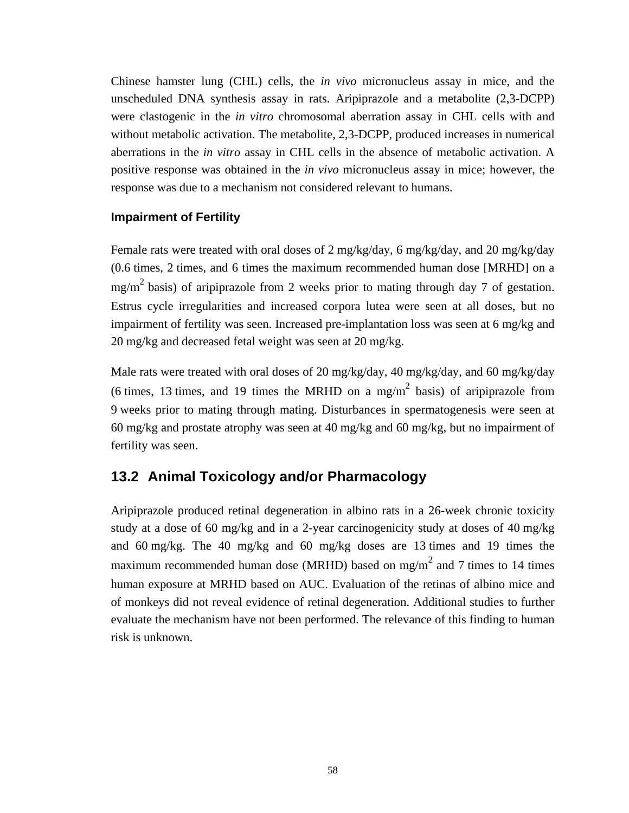Chinese hamster lung (CHL) cells, the *in vivo* micronucleus assay in mice, and the unscheduled DNA synthesis assay in rats. Aripiprazole and a metabolite (2,3-DCPP) were clastogenic in the *in vitro* chromosomal aberration assay in CHL cells with and without metabolic activation. The metabolite, 2,3-DCPP, produced increases in numerical aberrations in the *in vitro* assay in CHL cells in the absence of metabolic activation. A positive response was obtained in the *in vivo* micronucleus assay in mice; however, the response was due to a mechanism not considered relevant to humans.

### **Impairment of Fertility**

Female rats were treated with oral doses of 2 mg/kg/day, 6 mg/kg/day, and 20 mg/kg/day (0.6 times, 2 times, and 6 times the maximum recommended human dose [MRHD] on a  $mg/m<sup>2</sup>$  basis) of aripiprazole from 2 weeks prior to mating through day 7 of gestation. Estrus cycle irregularities and increased corpora lutea were seen at all doses, but no impairment of fertility was seen. Increased pre-implantation loss was seen at 6 mg/kg and 20 mg/kg and decreased fetal weight was seen at 20 mg/kg.

Male rats were treated with oral doses of 20 mg/kg/day, 40 mg/kg/day, and 60 mg/kg/day (6 times, 13 times, and 19 times the MRHD on a mg/m<sup>2</sup> basis) of aripiprazole from 9 weeks prior to mating through mating. Disturbances in spermatogenesis were seen at 60 mg/kg and prostate atrophy was seen at 40 mg/kg and 60 mg/kg, but no impairment of fertility was seen.

## **13.2 Animal Toxicology and/or Pharmacology**

Aripiprazole produced retinal degeneration in albino rats in a 26-week chronic toxicity study at a dose of 60 mg/kg and in a 2-year carcinogenicity study at doses of 40 mg/kg and 60 mg/kg. The 40 mg/kg and 60 mg/kg doses are 13 times and 19 times the maximum recommended human dose (MRHD) based on mg/m<sup>2</sup> and 7 times to 14 times human exposure at MRHD based on AUC. Evaluation of the retinas of albino mice and of monkeys did not reveal evidence of retinal degeneration. Additional studies to further evaluate the mechanism have not been performed. The relevance of this finding to human risk is unknown.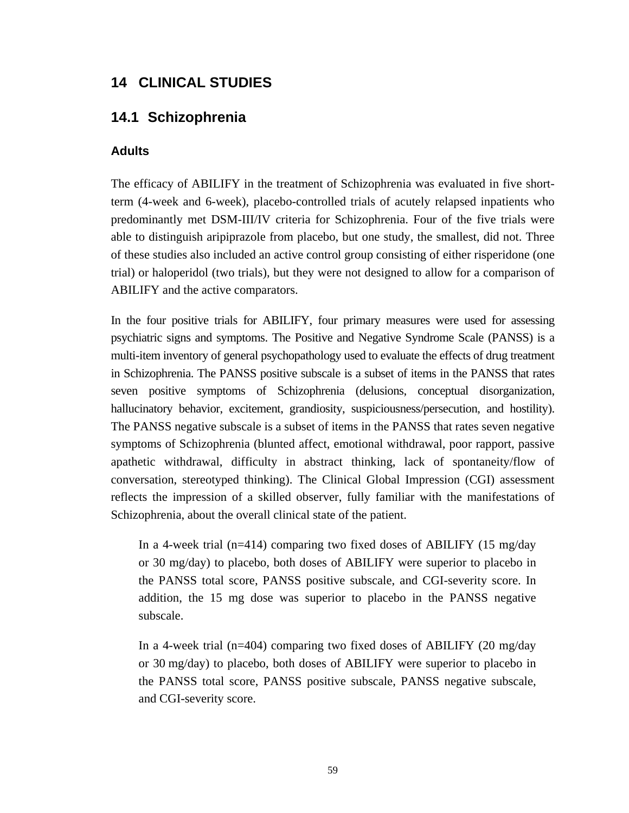## **14 CLINICAL STUDIES**

## **14.1 Schizophrenia**

### **Adults**

The efficacy of ABILIFY in the treatment of Schizophrenia was evaluated in five shortterm (4-week and 6-week), placebo-controlled trials of acutely relapsed inpatients who predominantly met DSM-III/IV criteria for Schizophrenia. Four of the five trials were able to distinguish aripiprazole from placebo, but one study, the smallest, did not. Three of these studies also included an active control group consisting of either risperidone (one trial) or haloperidol (two trials), but they were not designed to allow for a comparison of ABILIFY and the active comparators.

In the four positive trials for ABILIFY, four primary measures were used for assessing psychiatric signs and symptoms. The Positive and Negative Syndrome Scale (PANSS) is a multi-item inventory of general psychopathology used to evaluate the effects of drug treatment in Schizophrenia. The PANSS positive subscale is a subset of items in the PANSS that rates seven positive symptoms of Schizophrenia (delusions, conceptual disorganization, hallucinatory behavior, excitement, grandiosity, suspiciousness/persecution, and hostility). The PANSS negative subscale is a subset of items in the PANSS that rates seven negative symptoms of Schizophrenia (blunted affect, emotional withdrawal, poor rapport, passive apathetic withdrawal, difficulty in abstract thinking, lack of spontaneity/flow of conversation, stereotyped thinking). The Clinical Global Impression (CGI) assessment reflects the impression of a skilled observer, fully familiar with the manifestations of Schizophrenia, about the overall clinical state of the patient.

In a 4-week trial (n=414) comparing two fixed doses of ABILIFY (15 mg/day or 30 mg/day) to placebo, both doses of ABILIFY were superior to placebo in the PANSS total score, PANSS positive subscale, and CGI-severity score. In addition, the 15 mg dose was superior to placebo in the PANSS negative subscale.

In a 4-week trial (n=404) comparing two fixed doses of ABILIFY (20 mg/day or 30 mg/day) to placebo, both doses of ABILIFY were superior to placebo in the PANSS total score, PANSS positive subscale, PANSS negative subscale, and CGI-severity score.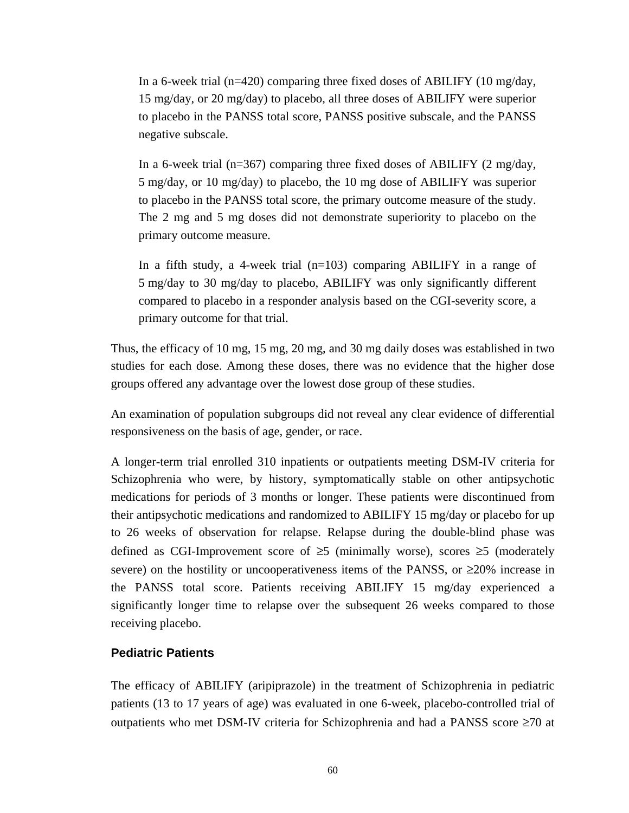In a 6-week trial (n=420) comparing three fixed doses of ABILIFY (10 mg/day, 15 mg/day, or 20 mg/day) to placebo, all three doses of ABILIFY were superior to placebo in the PANSS total score, PANSS positive subscale, and the PANSS negative subscale.

In a 6-week trial ( $n=367$ ) comparing three fixed doses of ABILIFY (2 mg/day, 5 mg/day, or 10 mg/day) to placebo, the 10 mg dose of ABILIFY was superior to placebo in the PANSS total score, the primary outcome measure of the study. The 2 mg and 5 mg doses did not demonstrate superiority to placebo on the primary outcome measure.

In a fifth study, a 4-week trial  $(n=103)$  comparing ABILIFY in a range of 5 mg/day to 30 mg/day to placebo, ABILIFY was only significantly different compared to placebo in a responder analysis based on the CGI-severity score, a primary outcome for that trial.

Thus, the efficacy of 10 mg, 15 mg, 20 mg, and 30 mg daily doses was established in two studies for each dose. Among these doses, there was no evidence that the higher dose groups offered any advantage over the lowest dose group of these studies.

An examination of population subgroups did not reveal any clear evidence of differential responsiveness on the basis of age, gender, or race.

A longer-term trial enrolled 310 inpatients or outpatients meeting DSM-IV criteria for Schizophrenia who were, by history, symptomatically stable on other antipsychotic medications for periods of 3 months or longer. These patients were discontinued from their antipsychotic medications and randomized to ABILIFY 15 mg/day or placebo for up to 26 weeks of observation for relapse. Relapse during the double-blind phase was defined as CGI-Improvement score of  $\geq$ 5 (minimally worse), scores  $\geq$ 5 (moderately severe) on the hostility or uncooperativeness items of the PANSS, or  $\geq 20\%$  increase in the PANSS total score. Patients receiving ABILIFY 15 mg/day experienced a significantly longer time to relapse over the subsequent 26 weeks compared to those receiving placebo.

#### **Pediatric Patients**

The efficacy of ABILIFY (aripiprazole) in the treatment of Schizophrenia in pediatric patients (13 to 17 years of age) was evaluated in one 6-week, placebo-controlled trial of outpatients who met DSM-IV criteria for Schizophrenia and had a PANSS score ≥70 at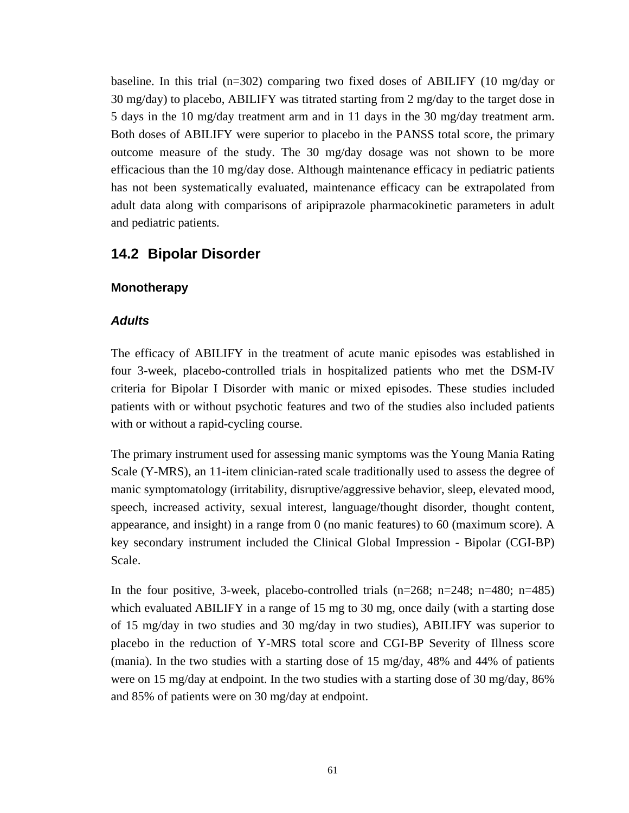5 days in the 10 mg/day treatment arm and in 11 days in the 30 mg/day treatment arm. baseline. In this trial (n=302) comparing two fixed doses of ABILIFY (10 mg/day or 30 mg/day) to placebo, ABILIFY was titrated starting from 2 mg/day to the target dose in Both doses of ABILIFY were superior to placebo in the PANSS total score, the primary outcome measure of the study. The 30 mg/day dosage was not shown to be more efficacious than the 10 mg/day dose. Although maintenance efficacy in pediatric patients has not been systematically evaluated, maintenance efficacy can be extrapolated from adult data along with comparisons of aripiprazole pharmacokinetic parameters in adult and pediatric patients.

## **14.2 Bipolar Disorder**

### **Monotherapy**

### *Adults*

The efficacy of ABILIFY in the treatment of acute manic episodes was established in four 3-week, placebo-controlled trials in hospitalized patients who met the DSM-IV criteria for Bipolar I Disorder with manic or mixed episodes. These studies included patients with or without psychotic features and two of the studies also included patients with or without a rapid-cycling course.

The primary instrument used for assessing manic symptoms was the Young Mania Rating Scale (Y-MRS), an 11-item clinician-rated scale traditionally used to assess the degree of manic symptomatology (irritability, disruptive/aggressive behavior, sleep, elevated mood, speech, increased activity, sexual interest, language/thought disorder, thought content, appearance, and insight) in a range from 0 (no manic features) to 60 (maximum score). A key secondary instrument included the Clinical Global Impression - Bipolar (CGI-BP) Scale.

In the four positive, 3-week, placebo-controlled trials  $(n=268; n=248; n=480; n=485)$ which evaluated ABILIFY in a range of 15 mg to 30 mg, once daily (with a starting dose of 15 mg/day in two studies and 30 mg/day in two studies), ABILIFY was superior to placebo in the reduction of Y-MRS total score and CGI-BP Severity of Illness score (mania). In the two studies with a starting dose of 15 mg/day, 48% and 44% of patients were on 15 mg/day at endpoint. In the two studies with a starting dose of 30 mg/day, 86% and 85% of patients were on 30 mg/day at endpoint.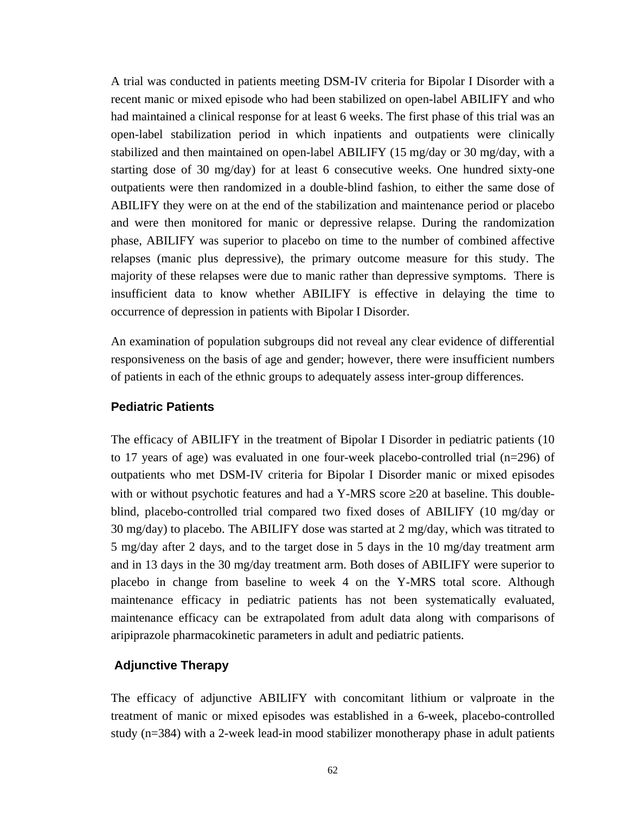A trial was conducted in patients meeting DSM-IV criteria for Bipolar I Disorder with a recent manic or mixed episode who had been stabilized on open-label ABILIFY and who had maintained a clinical response for at least 6 weeks. The first phase of this trial was an open-label stabilization period in which inpatients and outpatients were clinically stabilized and then maintained on open-label ABILIFY (15 mg/day or 30 mg/day, with a starting dose of 30 mg/day) for at least 6 consecutive weeks. One hundred sixty-one outpatients were then randomized in a double-blind fashion, to either the same dose of ABILIFY they were on at the end of the stabilization and maintenance period or placebo and were then monitored for manic or depressive relapse. During the randomization phase, ABILIFY was superior to placebo on time to the number of combined affective relapses (manic plus depressive), the primary outcome measure for this study. The majority of these relapses were due to manic rather than depressive symptoms. There is insufficient data to know whether ABILIFY is effective in delaying the time to occurrence of depression in patients with Bipolar I Disorder.

An examination of population subgroups did not reveal any clear evidence of differential responsiveness on the basis of age and gender; however, there were insufficient numbers of patients in each of the ethnic groups to adequately assess inter-group differences.

#### **Pediatric Patients**

The efficacy of ABILIFY in the treatment of Bipolar I Disorder in pediatric patients (10 to 17 years of age) was evaluated in one four-week placebo-controlled trial (n=296) of outpatients who met DSM-IV criteria for Bipolar I Disorder manic or mixed episodes with or without psychotic features and had a Y-MRS score ≥20 at baseline. This doubleblind, placebo-controlled trial compared two fixed doses of ABILIFY (10 mg/day or 30 mg/day) to placebo. The ABILIFY dose was started at 2 mg/day, which was titrated to 5 mg/day after 2 days, and to the target dose in 5 days in the 10 mg/day treatment arm and in 13 days in the 30 mg/day treatment arm. Both doses of ABILIFY were superior to placebo in change from baseline to week 4 on the Y-MRS total score. Although maintenance efficacy in pediatric patients has not been systematically evaluated, maintenance efficacy can be extrapolated from adult data along with comparisons of aripiprazole pharmacokinetic parameters in adult and pediatric patients.

#### **Adjunctive Therapy**

The efficacy of adjunctive ABILIFY with concomitant lithium or valproate in the treatment of manic or mixed episodes was established in a 6-week, placebo-controlled study (n=384) with a 2-week lead-in mood stabilizer monotherapy phase in adult patients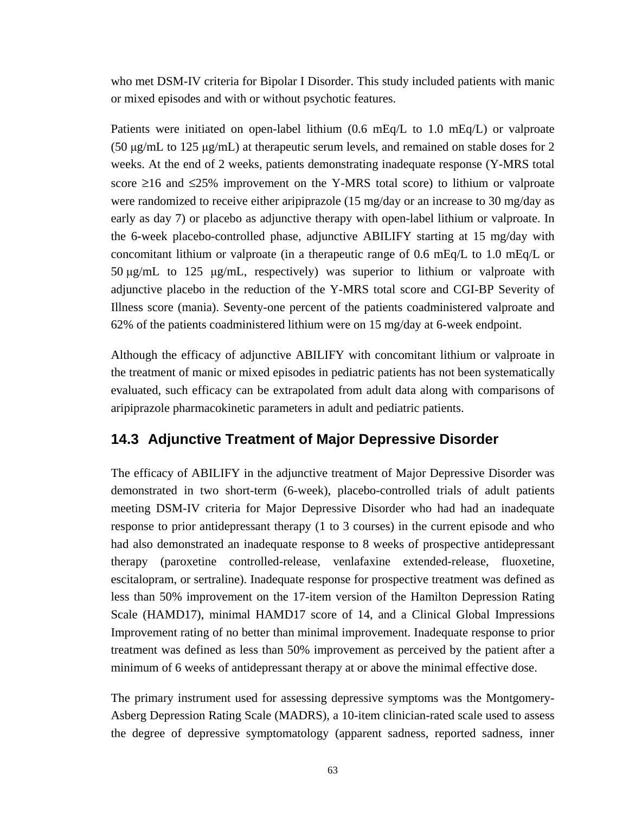who met DSM-IV criteria for Bipolar I Disorder. This study included patients with manic or mixed episodes and with or without psychotic features.

Patients were initiated on open-label lithium  $(0.6 \text{ mEq/L})$  to 1.0 mEq/L) or valproate (50 μg/mL to 125 μg/mL) at therapeutic serum levels, and remained on stable doses for 2 weeks. At the end of 2 weeks, patients demonstrating inadequate response (Y-MRS total score  $\geq$ 16 and  $\leq$ 25% improvement on the Y-MRS total score) to lithium or valproate were randomized to receive either aripiprazole (15 mg/day or an increase to 30 mg/day as early as day 7) or placebo as adjunctive therapy with open-label lithium or valproate. In the 6-week placebo-controlled phase, adjunctive ABILIFY starting at 15 mg/day with concomitant lithium or valproate (in a therapeutic range of 0.6 mEq/L to 1.0 mEq/L or 50 μg/mL to 125 μg/mL, respectively) was superior to lithium or valproate with adjunctive placebo in the reduction of the Y-MRS total score and CGI-BP Severity of Illness score (mania). Seventy-one percent of the patients coadministered valproate and 62% of the patients coadministered lithium were on 15 mg/day at 6-week endpoint.

Although the efficacy of adjunctive ABILIFY with concomitant lithium or valproate in the treatment of manic or mixed episodes in pediatric patients has not been systematically evaluated, such efficacy can be extrapolated from adult data along with comparisons of aripiprazole pharmacokinetic parameters in adult and pediatric patients.

## **14.3 Adjunctive Treatment of Major Depressive Disorder**

The efficacy of ABILIFY in the adjunctive treatment of Major Depressive Disorder was demonstrated in two short-term (6-week), placebo-controlled trials of adult patients meeting DSM-IV criteria for Major Depressive Disorder who had had an inadequate response to prior antidepressant therapy (1 to 3 courses) in the current episode and who had also demonstrated an inadequate response to 8 weeks of prospective antidepressant therapy (paroxetine controlled-release, venlafaxine extended-release, fluoxetine, escitalopram, or sertraline). Inadequate response for prospective treatment was defined as less than 50% improvement on the 17-item version of the Hamilton Depression Rating Scale (HAMD17), minimal HAMD17 score of 14, and a Clinical Global Impressions Improvement rating of no better than minimal improvement. Inadequate response to prior treatment was defined as less than 50% improvement as perceived by the patient after a minimum of 6 weeks of antidepressant therapy at or above the minimal effective dose.

The primary instrument used for assessing depressive symptoms was the Montgomery-Asberg Depression Rating Scale (MADRS), a 10-item clinician-rated scale used to assess the degree of depressive symptomatology (apparent sadness, reported sadness, inner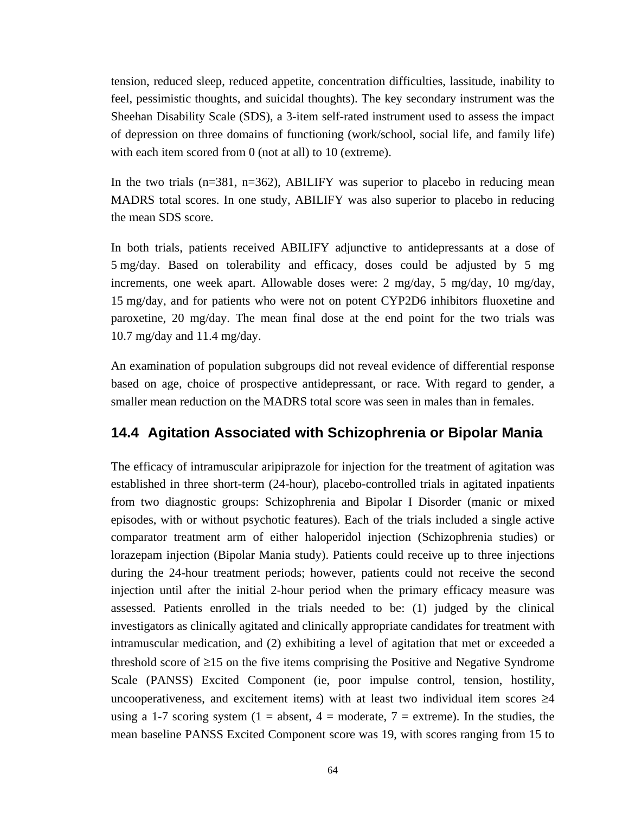tension, reduced sleep, reduced appetite, concentration difficulties, lassitude, inability to feel, pessimistic thoughts, and suicidal thoughts). The key secondary instrument was the Sheehan Disability Scale (SDS), a 3-item self-rated instrument used to assess the impact of depression on three domains of functioning (work/school, social life, and family life) with each item scored from 0 (not at all) to 10 (extreme).

In the two trials  $(n=381, n=362)$ , ABILIFY was superior to placebo in reducing mean MADRS total scores. In one study, ABILIFY was also superior to placebo in reducing the mean SDS score.

In both trials, patients received ABILIFY adjunctive to antidepressants at a dose of 5 mg/day. Based on tolerability and efficacy, doses could be adjusted by 5 mg increments, one week apart. Allowable doses were: 2 mg/day, 5 mg/day, 10 mg/day, 15 mg/day, and for patients who were not on potent CYP2D6 inhibitors fluoxetine and paroxetine, 20 mg/day. The mean final dose at the end point for the two trials was 10.7 mg/day and 11.4 mg/day.

An examination of population subgroups did not reveal evidence of differential response based on age, choice of prospective antidepressant, or race. With regard to gender, a smaller mean reduction on the MADRS total score was seen in males than in females.

### **14.4 Agitation Associated with Schizophrenia or Bipolar Mania**

The efficacy of intramuscular aripiprazole for injection for the treatment of agitation was established in three short-term (24-hour), placebo-controlled trials in agitated inpatients from two diagnostic groups: Schizophrenia and Bipolar I Disorder (manic or mixed episodes, with or without psychotic features). Each of the trials included a single active comparator treatment arm of either haloperidol injection (Schizophrenia studies) or lorazepam injection (Bipolar Mania study). Patients could receive up to three injections during the 24-hour treatment periods; however, patients could not receive the second injection until after the initial 2-hour period when the primary efficacy measure was assessed. Patients enrolled in the trials needed to be: (1) judged by the clinical investigators as clinically agitated and clinically appropriate candidates for treatment with intramuscular medication, and (2) exhibiting a level of agitation that met or exceeded a threshold score of ≥15 on the five items comprising the Positive and Negative Syndrome Scale (PANSS) Excited Component (ie, poor impulse control, tension, hostility, uncooperativeness, and excitement items) with at least two individual item scores  $\geq 4$ using a 1-7 scoring system (1 = absent, 4 = moderate, 7 = extreme). In the studies, the mean baseline PANSS Excited Component score was 19, with scores ranging from 15 to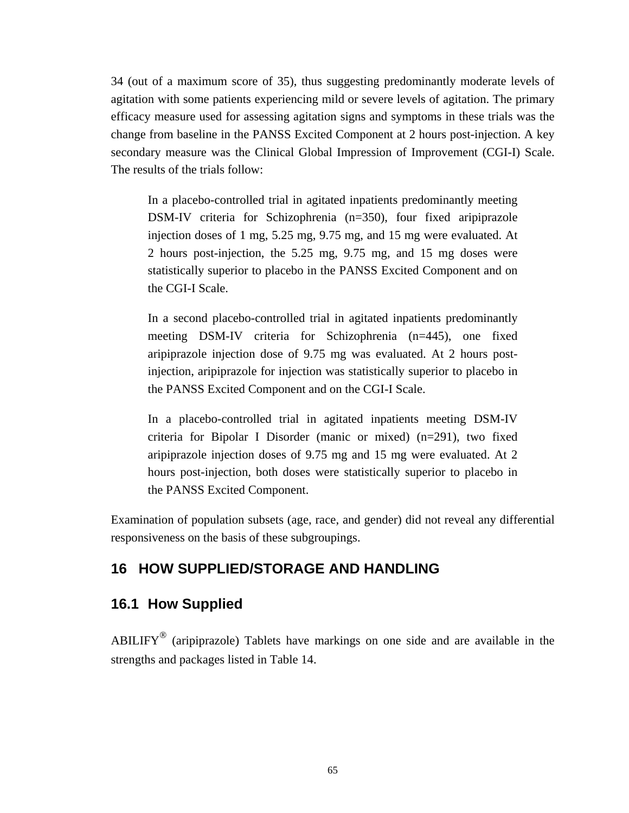34 (out of a maximum score of 35), thus suggesting predominantly moderate levels of agitation with some patients experiencing mild or severe levels of agitation. The primary efficacy measure used for assessing agitation signs and symptoms in these trials was the change from baseline in the PANSS Excited Component at 2 hours post-injection. A key secondary measure was the Clinical Global Impression of Improvement (CGI-I) Scale. The results of the trials follow:

In a placebo-controlled trial in agitated inpatients predominantly meeting DSM-IV criteria for Schizophrenia (n=350), four fixed aripiprazole injection doses of 1 mg, 5.25 mg, 9.75 mg, and 15 mg were evaluated. At 2 hours post-injection, the 5.25 mg, 9.75 mg, and 15 mg doses were statistically superior to placebo in the PANSS Excited Component and on the CGI-I Scale.

In a second placebo-controlled trial in agitated inpatients predominantly meeting DSM-IV criteria for Schizophrenia (n=445), one fixed aripiprazole injection dose of 9.75 mg was evaluated. At 2 hours postinjection, aripiprazole for injection was statistically superior to placebo in the PANSS Excited Component and on the CGI-I Scale.

In a placebo-controlled trial in agitated inpatients meeting DSM-IV criteria for Bipolar I Disorder (manic or mixed) (n=291), two fixed aripiprazole injection doses of 9.75 mg and 15 mg were evaluated. At 2 hours post-injection, both doses were statistically superior to placebo in the PANSS Excited Component.

Examination of population subsets (age, race, and gender) did not reveal any differential responsiveness on the basis of these subgroupings.

## **16 HOW SUPPLIED/STORAGE AND HANDLING**

## **16.1 How Supplied**

ABILIFY<sup>®</sup> (aripiprazole) Tablets have markings on one side and are available in the strengths and packages listed in Table 14.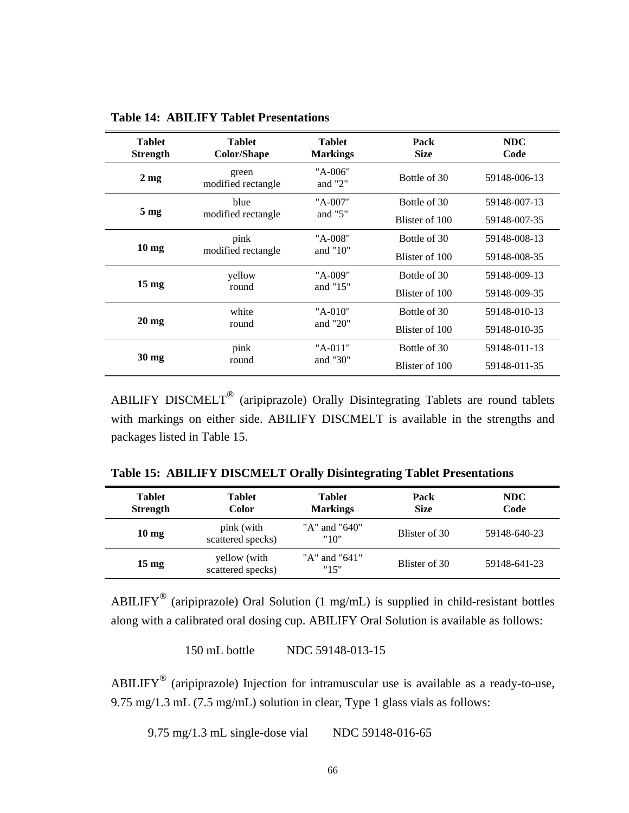| <b>Tablet</b><br><b>Strength</b> | <b>Tablet</b><br>Color/Shape | <b>Tablet</b><br><b>Markings</b> | Pack<br><b>Size</b> | <b>NDC</b><br>Code |
|----------------------------------|------------------------------|----------------------------------|---------------------|--------------------|
| 2 <sub>mg</sub>                  | green<br>modified rectangle  | "A-006"<br>and $"2"$             | Bottle of 30        | 59148-006-13       |
| 5 <sub>mg</sub>                  | blue                         | "A-007"<br>and $"5"$             | Bottle of 30        | 59148-007-13       |
|                                  | modified rectangle           |                                  | Blister of 100      | 59148-007-35       |
|                                  | pink                         | "A-008"<br>and $"10"$            | Bottle of 30        | 59148-008-13       |
| $10 \text{ mg}$                  | modified rectangle           |                                  | Blister of 100      | 59148-008-35       |
|                                  | yellow                       | "A-009"                          | Bottle of 30        | 59148-009-13       |
| $15 \text{ mg}$                  | round                        | and "15"                         | Blister of 100      | 59148-009-35       |
|                                  | white                        | "A-010"<br>and $"20"$            | Bottle of 30        | 59148-010-13       |
| $20 \text{ mg}$                  | round                        |                                  | Blister of 100      | 59148-010-35       |
|                                  | pink                         | "A-011"                          | Bottle of 30        | 59148-011-13       |
| $30$ mg                          | round                        | and "30"                         | Blister of 100      | 59148-011-35       |

**Table 14: ABILIFY Tablet Presentations** 

ABILIFY DISCMELT<sup>®</sup> (aripiprazole) Orally Disintegrating Tablets are round tablets with markings on either side. ABILIFY DISCMELT is available in the strengths and packages listed in Table 15.

| <b>Tablet</b><br><b>Strength</b> | <b>Tablet</b><br>Color            | <b>Tablet</b><br><b>Markings</b> | Pack<br><b>Size</b> | NDC<br>Code  |
|----------------------------------|-----------------------------------|----------------------------------|---------------------|--------------|
| $10 \text{ mg}$                  | pink (with<br>scattered specks)   | "A" and "640"<br>"10"            | Blister of 30       | 59148-640-23 |
| $15 \text{ mg}$                  | yellow (with<br>scattered specks) | "A" and "641"<br>"15"            | Blister of 30       | 59148-641-23 |

**Table 15: ABILIFY DISCMELT Orally Disintegrating Tablet Presentations** 

ABILIFY<sup>®</sup> (aripiprazole) Oral Solution (1 mg/mL) is supplied in child-resistant bottles along with a calibrated oral dosing cup. ABILIFY Oral Solution is available as follows:

150 mL bottle NDC 59148-013-15

ABILIFY<sup>®</sup> (aripiprazole) Injection for intramuscular use is available as a ready-to-use, 9.75 mg/1.3 mL (7.5 mg/mL) solution in clear, Type 1 glass vials as follows:

9.75 mg/1.3 mL single-dose vial NDC 59148-016-65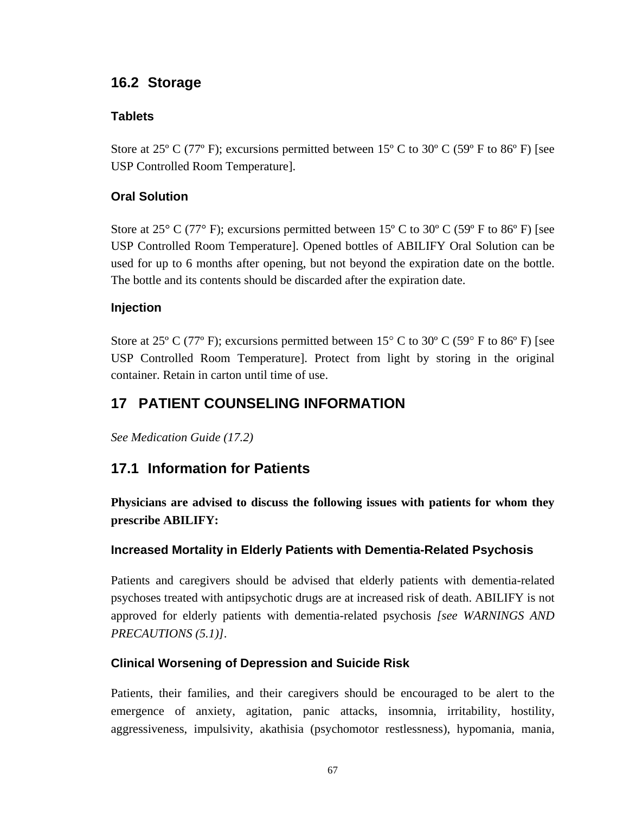## **16.2 Storage**

### **Tablets**

Store at 25 $\degree$  C (77 $\degree$  F); excursions permitted between 15 $\degree$  C to 30 $\degree$  C (59 $\degree$  F to 86 $\degree$  F) [see USP Controlled Room Temperature].

### **Oral Solution**

Store at 25 $\degree$  C (77 $\degree$  F); excursions permitted between 15 $\degree$  C to 30 $\degree$  C (59 $\degree$  F to 86 $\degree$  F) [see USP Controlled Room Temperature]. Opened bottles of ABILIFY Oral Solution can be used for up to 6 months after opening, but not beyond the expiration date on the bottle. The bottle and its contents should be discarded after the expiration date.

### **Injection**

Store at 25 $\degree$  C (77 $\degree$  F); excursions permitted between 15 $\degree$  C to 30 $\degree$  C (59 $\degree$  F to 86 $\degree$  F) [see USP Controlled Room Temperature]. Protect from light by storing in the original container. Retain in carton until time of use.

## **17 PATIENT COUNSELING INFORMATION**

*See Medication Guide (17.2)* 

## **17.1 Information for Patients**

**Physicians are advised to discuss the following issues with patients for whom they prescribe ABILIFY:** 

### **Increased Mortality in Elderly Patients with Dementia-Related Psychosis**

Patients and caregivers should be advised that elderly patients with dementia-related psychoses treated with antipsychotic drugs are at increased risk of death. ABILIFY is not approved for elderly patients with dementia-related psychosis *[see WARNINGS AND PRECAUTIONS (5.1)]*.

### **Clinical Worsening of Depression and Suicide Risk**

Patients, their families, and their caregivers should be encouraged to be alert to the emergence of anxiety, agitation, panic attacks, insomnia, irritability, hostility, aggressiveness, impulsivity, akathisia (psychomotor restlessness), hypomania, mania,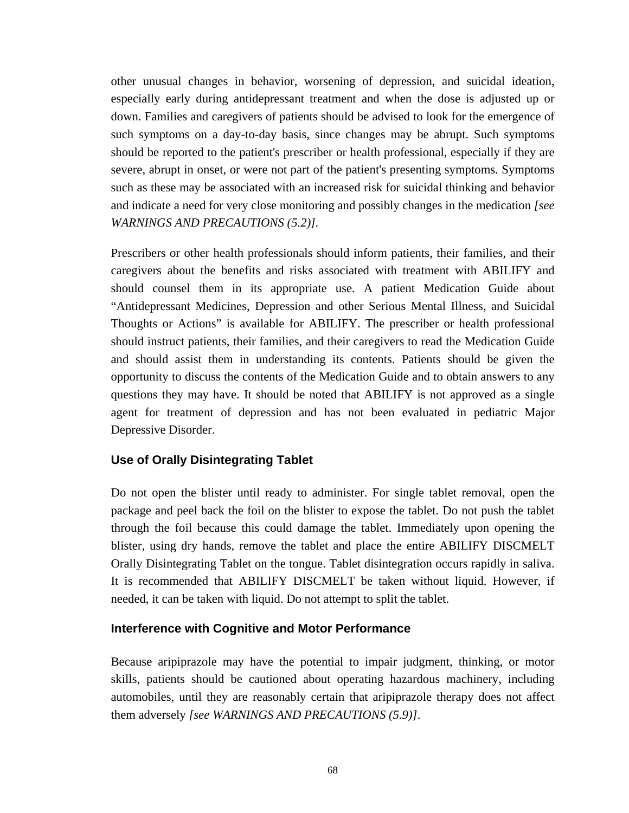other unusual changes in behavior, worsening of depression, and suicidal ideation, especially early during antidepressant treatment and when the dose is adjusted up or down. Families and caregivers of patients should be advised to look for the emergence of such symptoms on a day-to-day basis, since changes may be abrupt. Such symptoms should be reported to the patient's prescriber or health professional, especially if they are severe, abrupt in onset, or were not part of the patient's presenting symptoms. Symptoms such as these may be associated with an increased risk for suicidal thinking and behavior and indicate a need for very close monitoring and possibly changes in the medication *[see WARNINGS AND PRECAUTIONS (5.2)].* 

Prescribers or other health professionals should inform patients, their families, and their caregivers about the benefits and risks associated with treatment with ABILIFY and should counsel them in its appropriate use. A patient Medication Guide about "Antidepressant Medicines, Depression and other Serious Mental Illness, and Suicidal Thoughts or Actions" is available for ABILIFY. The prescriber or health professional should instruct patients, their families, and their caregivers to read the Medication Guide and should assist them in understanding its contents. Patients should be given the opportunity to discuss the contents of the Medication Guide and to obtain answers to any questions they may have. It should be noted that ABILIFY is not approved as a single agent for treatment of depression and has not been evaluated in pediatric Major Depressive Disorder.

### **Use of Orally Disintegrating Tablet**

Do not open the blister until ready to administer. For single tablet removal, open the package and peel back the foil on the blister to expose the tablet. Do not push the tablet through the foil because this could damage the tablet. Immediately upon opening the blister, using dry hands, remove the tablet and place the entire ABILIFY DISCMELT Orally Disintegrating Tablet on the tongue. Tablet disintegration occurs rapidly in saliva. It is recommended that ABILIFY DISCMELT be taken without liquid. However, if needed, it can be taken with liquid. Do not attempt to split the tablet.

#### **Interference with Cognitive and Motor Performance**

Because aripiprazole may have the potential to impair judgment, thinking, or motor skills, patients should be cautioned about operating hazardous machinery, including automobiles, until they are reasonably certain that aripiprazole therapy does not affect them adversely *[see WARNINGS AND PRECAUTIONS (5.9)]*.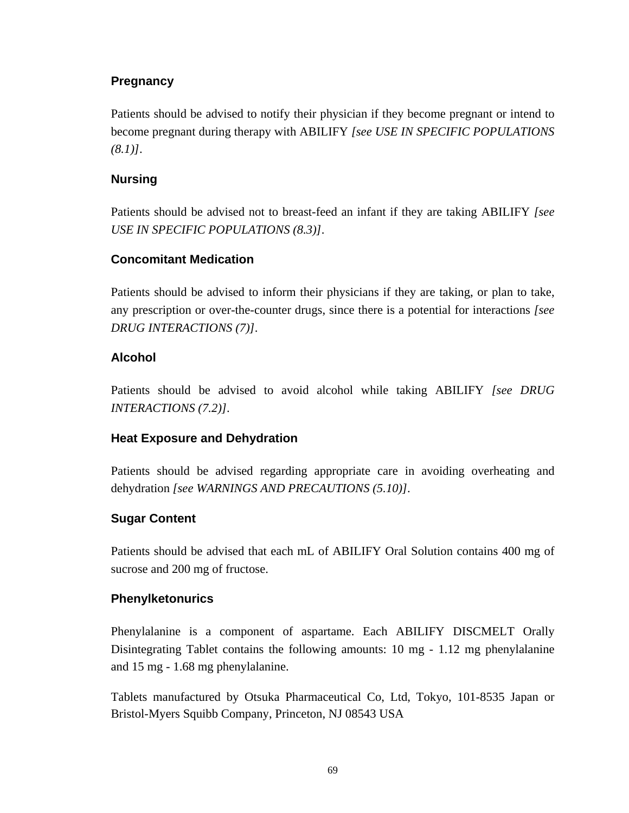### **Pregnancy**

Patients should be advised to notify their physician if they become pregnant or intend to become pregnant during therapy with ABILIFY *[see USE IN SPECIFIC POPULATIONS (8.1)]*.

### **Nursing**

Patients should be advised not to breast-feed an infant if they are taking ABILIFY *[see USE IN SPECIFIC POPULATIONS (8.3)]*.

### **Concomitant Medication**

Patients should be advised to inform their physicians if they are taking, or plan to take, any prescription or over-the-counter drugs, since there is a potential for interactions *[see DRUG INTERACTIONS (7)]*.

### **Alcohol**

Patients should be advised to avoid alcohol while taking ABILIFY *[see DRUG INTERACTIONS (7.2)]*.

### **Heat Exposure and Dehydration**

Patients should be advised regarding appropriate care in avoiding overheating and dehydration *[see WARNINGS AND PRECAUTIONS (5.10)]*.

### **Sugar Content**

Patients should be advised that each mL of ABILIFY Oral Solution contains 400 mg of sucrose and 200 mg of fructose.

### **Phenylketonurics**

Phenylalanine is a component of aspartame. Each ABILIFY DISCMELT Orally Disintegrating Tablet contains the following amounts: 10 mg - 1.12 mg phenylalanine and 15 mg - 1.68 mg phenylalanine.

Tablets manufactured by Otsuka Pharmaceutical Co, Ltd, Tokyo, 101-8535 Japan or Bristol-Myers Squibb Company, Princeton, NJ 08543 USA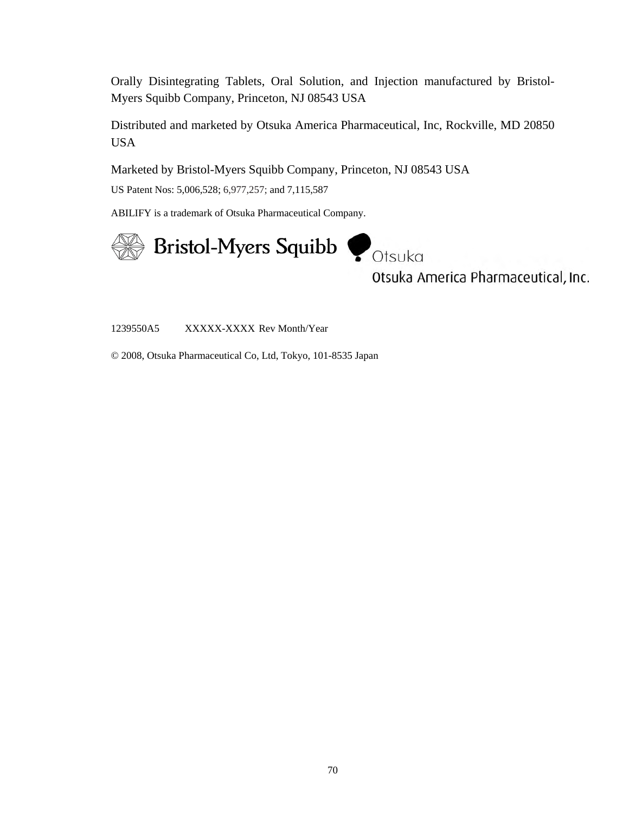Orally Disintegrating Tablets, Oral Solution, and Injection manufactured by Bristol-Myers Squibb Company, Princeton, NJ 08543 USA

Distributed and marketed by Otsuka America Pharmaceutical, Inc, Rockville, MD 20850 USA

Marketed by Bristol-Myers Squibb Company, Princeton, NJ 08543 USA

US Patent Nos: 5,006,528; 6,977,257; and 7,115,587

ABILIFY is a trademark of Otsuka Pharmaceutical Company.



Otsuka America Pharmaceutical, Inc.

1239550A5 XXXXX-XXXX Rev Month/Year

© 2008, Otsuka Pharmaceutical Co, Ltd, Tokyo, 101-8535 Japan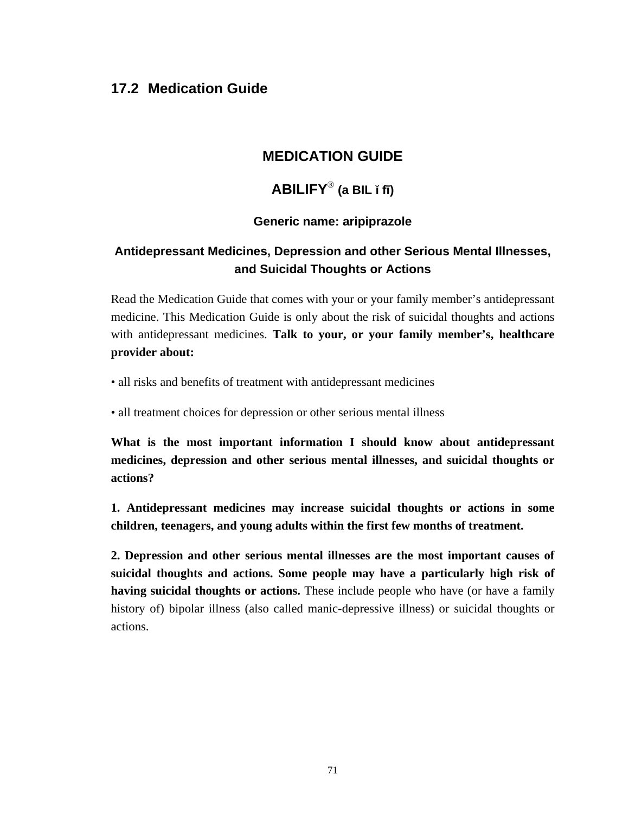## **17.2 Medication Guide**

## **MEDICATION GUIDE**

## **ABILIFY**® **(a BIL ĭ fī)**

### **Generic name: aripiprazole**

## **Antidepressant Medicines, Depression and other Serious Mental Illnesses, and Suicidal Thoughts or Actions**

 **provider about:** Read the Medication Guide that comes with your or your family member's antidepressant medicine. This Medication Guide is only about the risk of suicidal thoughts and actions with antidepressant medicines. **Talk to your, or your family member's, healthcare** 

• all risks and benefits of treatment with antidepressant medicines

• all treatment choices for depression or other serious mental illness

**What is the most important information I should know about antidepressant medicines, depression and other serious mental illnesses, and suicidal thoughts or actions?** 

**1. Antidepressant medicines may increase suicidal thoughts or actions in some children, teenagers, and young adults within the first few months of treatment.** 

**2. Depression and other serious mental illnesses are the most important causes of suicidal thoughts and actions. Some people may have a particularly high risk of having suicidal thoughts or actions.** These include people who have (or have a family history of) bipolar illness (also called manic-depressive illness) or suicidal thoughts or actions.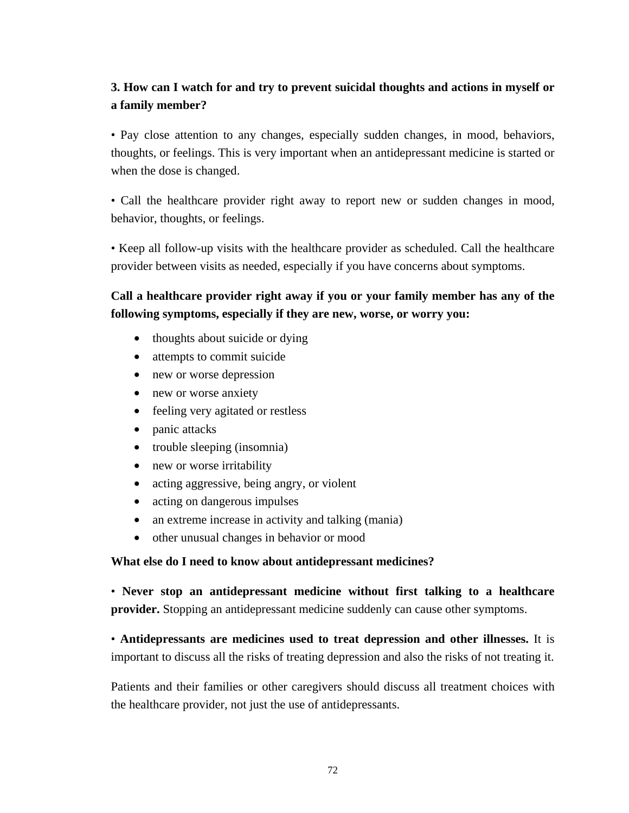## **3. How can I watch for and try to prevent suicidal thoughts and actions in myself or a family member?**

• Pay close attention to any changes, especially sudden changes, in mood, behaviors, thoughts, or feelings. This is very important when an antidepressant medicine is started or when the dose is changed.

• Call the healthcare provider right away to report new or sudden changes in mood, behavior, thoughts, or feelings.

• Keep all follow-up visits with the healthcare provider as scheduled. Call the healthcare provider between visits as needed, especially if you have concerns about symptoms.

## **Call a healthcare provider right away if you or your family member has any of the following symptoms, especially if they are new, worse, or worry you:**

- thoughts about suicide or dying
- attempts to commit suicide
- new or worse depression
- new or worse anxiety
- feeling very agitated or restless
- panic attacks
- trouble sleeping (insomnia)
- new or worse irritability
- acting aggressive, being angry, or violent
- acting on dangerous impulses
- an extreme increase in activity and talking (mania)
- other unusual changes in behavior or mood

#### **What else do I need to know about antidepressant medicines?**

• **Never stop an antidepressant medicine without first talking to a healthcare provider.** Stopping an antidepressant medicine suddenly can cause other symptoms.

• **Antidepressants are medicines used to treat depression and other illnesses.** It is important to discuss all the risks of treating depression and also the risks of not treating it.

Patients and their families or other caregivers should discuss all treatment choices with the healthcare provider, not just the use of antidepressants.